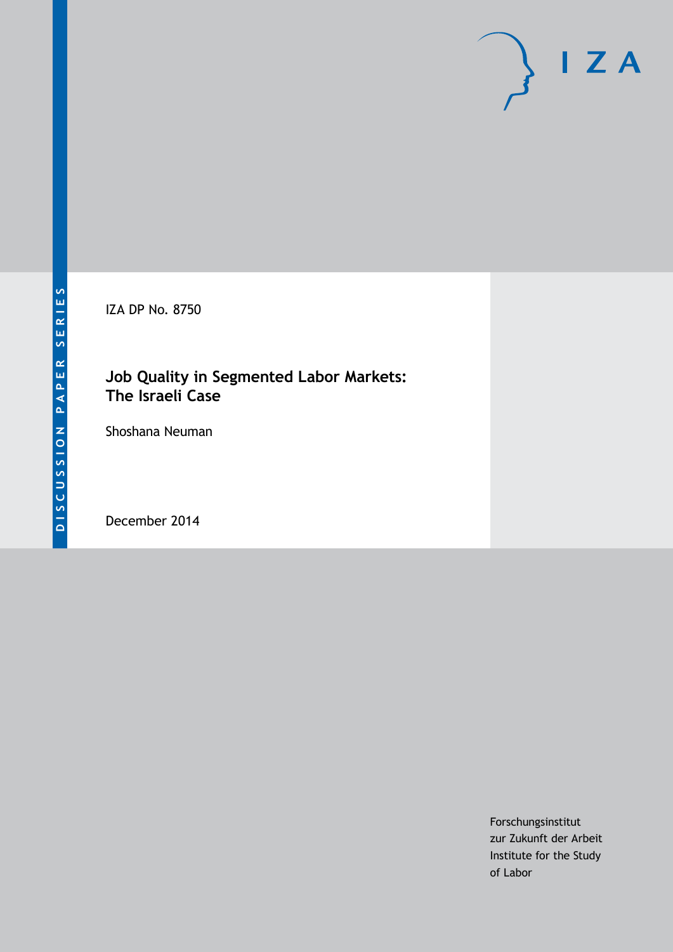IZA DP No. 8750

# **Job Quality in Segmented Labor Markets: The Israeli Case**

Shoshana Neuman

December 2014

Forschungsinstitut zur Zukunft der Arbeit Institute for the Study of Labor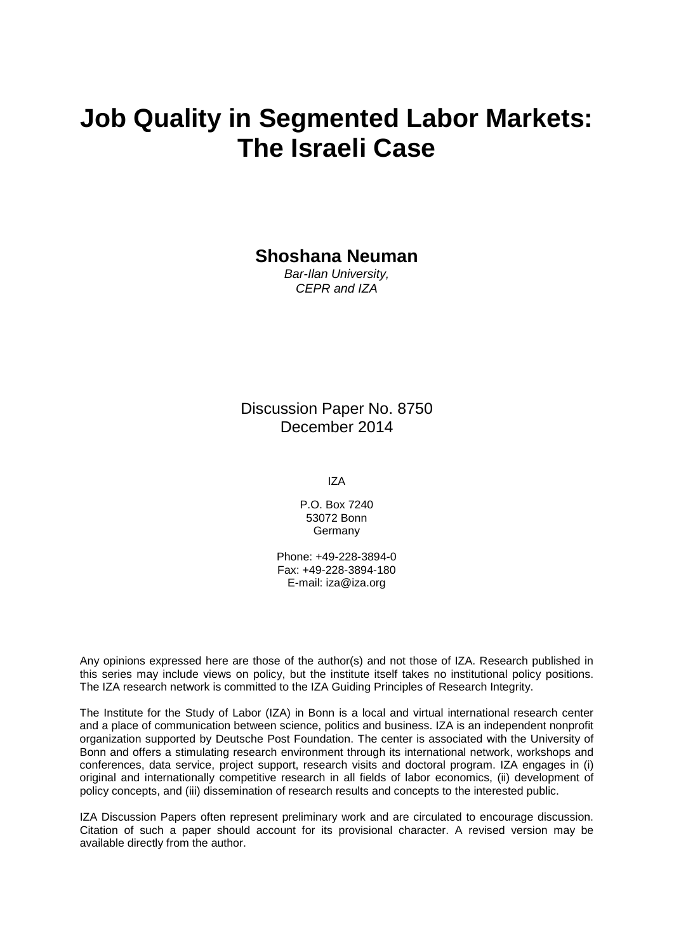# **Job Quality in Segmented Labor Markets: The Israeli Case**

**Shoshana Neuman**

*Bar-Ilan University, CEPR and IZA*

Discussion Paper No. 8750 December 2014

IZA

P.O. Box 7240 53072 Bonn **Germany** 

Phone: +49-228-3894-0 Fax: +49-228-3894-180 E-mail: [iza@iza.org](mailto:iza@iza.org)

Any opinions expressed here are those of the author(s) and not those of IZA. Research published in this series may include views on policy, but the institute itself takes no institutional policy positions. The IZA research network is committed to the IZA Guiding Principles of Research Integrity.

The Institute for the Study of Labor (IZA) in Bonn is a local and virtual international research center and a place of communication between science, politics and business. IZA is an independent nonprofit organization supported by Deutsche Post Foundation. The center is associated with the University of Bonn and offers a stimulating research environment through its international network, workshops and conferences, data service, project support, research visits and doctoral program. IZA engages in (i) original and internationally competitive research in all fields of labor economics, (ii) development of policy concepts, and (iii) dissemination of research results and concepts to the interested public.

<span id="page-1-0"></span>IZA Discussion Papers often represent preliminary work and are circulated to encourage discussion. Citation of such a paper should account for its provisional character. A revised version may be available directly from the author.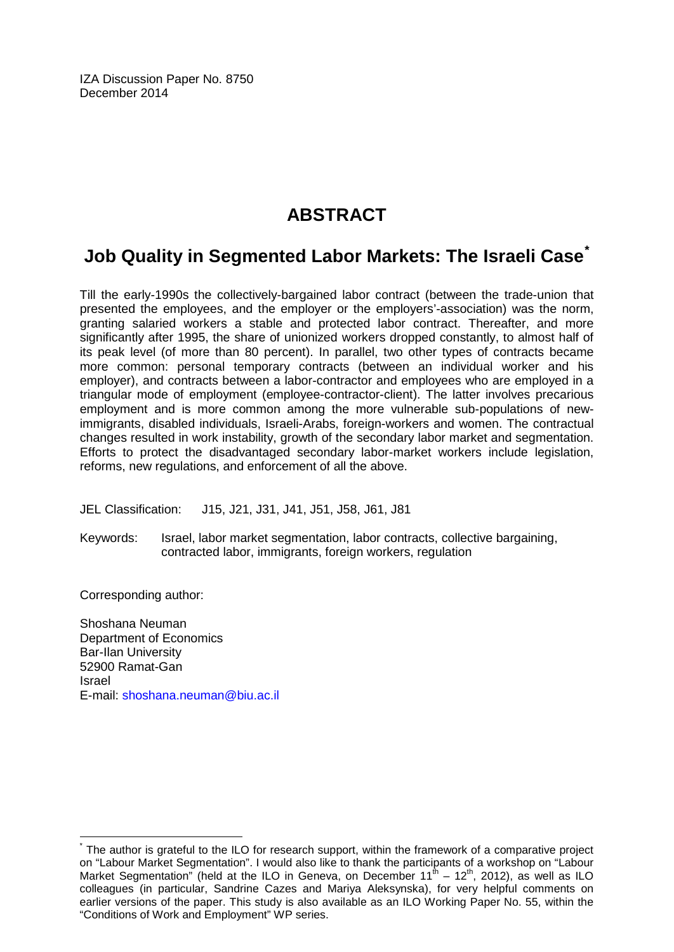IZA Discussion Paper No. 8750 December 2014

# **ABSTRACT**

# **Job Quality in Segmented Labor Markets: The Israeli Case[\\*](#page-1-0)**

Till the early-1990s the collectively-bargained labor contract (between the trade-union that presented the employees, and the employer or the employers'-association) was the norm, granting salaried workers a stable and protected labor contract. Thereafter, and more significantly after 1995, the share of unionized workers dropped constantly, to almost half of its peak level (of more than 80 percent). In parallel, two other types of contracts became more common: personal temporary contracts (between an individual worker and his employer), and contracts between a labor-contractor and employees who are employed in a triangular mode of employment (employee-contractor-client). The latter involves precarious employment and is more common among the more vulnerable sub-populations of newimmigrants, disabled individuals, Israeli-Arabs, foreign-workers and women. The contractual changes resulted in work instability, growth of the secondary labor market and segmentation. Efforts to protect the disadvantaged secondary labor-market workers include legislation, reforms, new regulations, and enforcement of all the above.

JEL Classification: J15, J21, J31, J41, J51, J58, J61, J81

Keywords: Israel, labor market segmentation, labor contracts, collective bargaining, contracted labor, immigrants, foreign workers, regulation

Corresponding author:

Shoshana Neuman Department of Economics Bar-Ilan University 52900 Ramat-Gan Israel E-mail: [shoshana.neuman@biu.ac.il](mailto:shoshana.neuman@biu.ac.il)

The author is grateful to the ILO for research support, within the framework of a comparative project on "Labour Market Segmentation". I would also like to thank the participants of a workshop on "Labour Market Segmentation" (held at the ILO in Geneva, on December 11<sup>th</sup> – 12<sup>th</sup>, 2012), as well as ILO colleagues (in particular, Sandrine Cazes and Mariya Aleksynska), for very helpful comments on earlier versions of the paper. This study is also available as an ILO Working Paper No. 55, within the "Conditions of Work and Employment" WP series.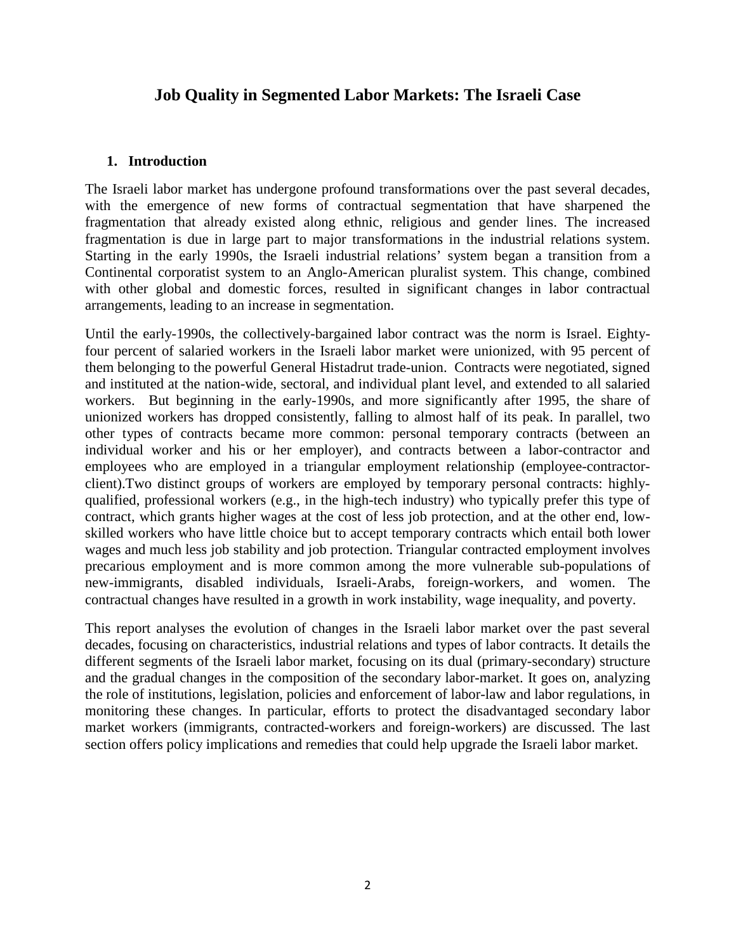## **Job Quality in Segmented Labor Markets: The Israeli Case**

#### **1. Introduction**

The Israeli labor market has undergone profound transformations over the past several decades, with the emergence of new forms of contractual segmentation that have sharpened the fragmentation that already existed along ethnic, religious and gender lines. The increased fragmentation is due in large part to major transformations in the industrial relations system. Starting in the early 1990s, the Israeli industrial relations' system began a transition from a Continental corporatist system to an Anglo-American pluralist system. This change, combined with other global and domestic forces, resulted in significant changes in labor contractual arrangements, leading to an increase in segmentation.

Until the early-1990s, the collectively-bargained labor contract was the norm is Israel. Eightyfour percent of salaried workers in the Israeli labor market were unionized, with 95 percent of them belonging to the powerful General Histadrut trade-union. Contracts were negotiated, signed and instituted at the nation-wide, sectoral, and individual plant level, and extended to all salaried workers. But beginning in the early-1990s, and more significantly after 1995, the share of unionized workers has dropped consistently, falling to almost half of its peak. In parallel, two other types of contracts became more common: personal temporary contracts (between an individual worker and his or her employer), and contracts between a labor-contractor and employees who are employed in a triangular employment relationship (employee-contractorclient).Two distinct groups of workers are employed by temporary personal contracts: highlyqualified, professional workers (e.g., in the high-tech industry) who typically prefer this type of contract, which grants higher wages at the cost of less job protection, and at the other end, lowskilled workers who have little choice but to accept temporary contracts which entail both lower wages and much less job stability and job protection. Triangular contracted employment involves precarious employment and is more common among the more vulnerable sub-populations of new-immigrants, disabled individuals, Israeli-Arabs, foreign-workers, and women. The contractual changes have resulted in a growth in work instability, wage inequality, and poverty.

This report analyses the evolution of changes in the Israeli labor market over the past several decades, focusing on characteristics, industrial relations and types of labor contracts. It details the different segments of the Israeli labor market, focusing on its dual (primary-secondary) structure and the gradual changes in the composition of the secondary labor-market. It goes on, analyzing the role of institutions, legislation, policies and enforcement of labor-law and labor regulations, in monitoring these changes. In particular, efforts to protect the disadvantaged secondary labor market workers (immigrants, contracted-workers and foreign-workers) are discussed. The last section offers policy implications and remedies that could help upgrade the Israeli labor market.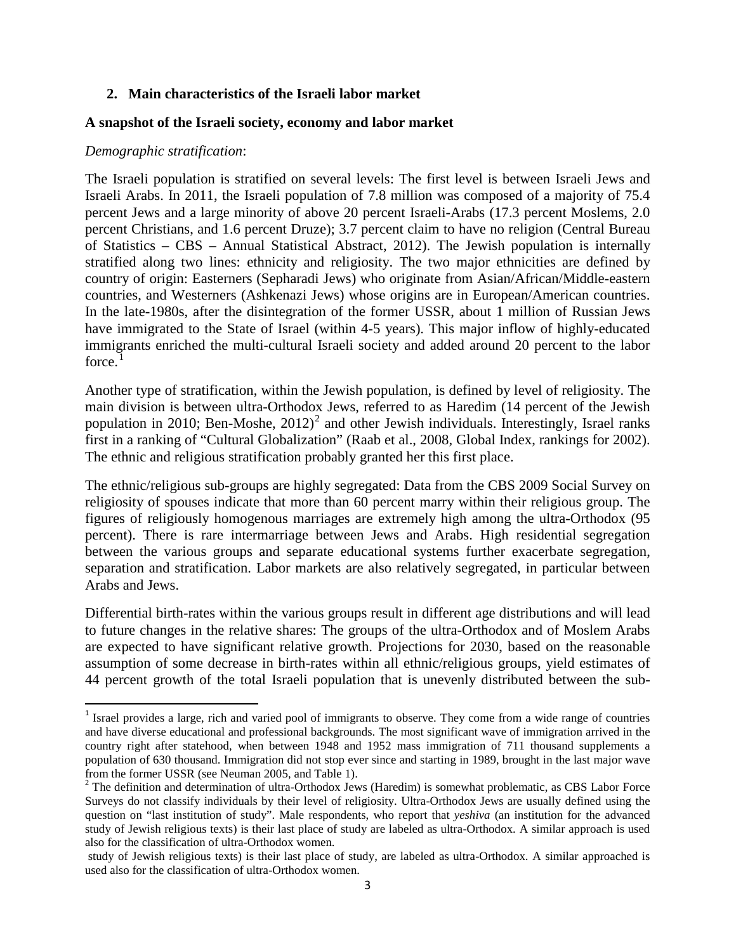#### **2. Main characteristics of the Israeli labor market**

#### **A snapshot of the Israeli society, economy and labor market**

#### *Demographic stratification*:

The Israeli population is stratified on several levels: The first level is between Israeli Jews and Israeli Arabs. In 2011, the Israeli population of 7.8 million was composed of a majority of 75.4 percent Jews and a large minority of above 20 percent Israeli-Arabs (17.3 percent Moslems, 2.0 percent Christians, and 1.6 percent Druze); 3.7 percent claim to have no religion (Central Bureau of Statistics – CBS – Annual Statistical Abstract, 2012). The Jewish population is internally stratified along two lines: ethnicity and religiosity. The two major ethnicities are defined by country of origin: Easterners (Sepharadi Jews) who originate from Asian/African/Middle-eastern countries, and Westerners (Ashkenazi Jews) whose origins are in European/American countries. In the late-1980s, after the disintegration of the former USSR, about 1 million of Russian Jews have immigrated to the State of Israel (within 4-5 years). This major inflow of highly-educated immigrants enriched the multi-cultural Israeli society and added around 20 percent to the labor force.<sup>[1](#page-50-0)</sup>

Another type of stratification, within the Jewish population, is defined by level of religiosity. The main division is between ultra-Orthodox Jews, referred to as Haredim (14 percent of the Jewish population in [2](#page-4-0)010; Ben-Moshe,  $2012$ <sup>2</sup> and other Jewish individuals. Interestingly, Israel ranks first in a ranking of "Cultural Globalization" (Raab et al., 2008, Global Index, rankings for 2002). The ethnic and religious stratification probably granted her this first place.

The ethnic/religious sub-groups are highly segregated: Data from the CBS 2009 Social Survey on religiosity of spouses indicate that more than 60 percent marry within their religious group. The figures of religiously homogenous marriages are extremely high among the ultra-Orthodox (95 percent). There is rare intermarriage between Jews and Arabs. High residential segregation between the various groups and separate educational systems further exacerbate segregation, separation and stratification. Labor markets are also relatively segregated, in particular between Arabs and Jews.

Differential birth-rates within the various groups result in different age distributions and will lead to future changes in the relative shares: The groups of the ultra-Orthodox and of Moslem Arabs are expected to have significant relative growth. Projections for 2030, based on the reasonable assumption of some decrease in birth-rates within all ethnic/religious groups, yield estimates of 44 percent growth of the total Israeli population that is unevenly distributed between the sub-

<sup>&</sup>lt;sup>1</sup> Israel provides a large, rich and varied pool of immigrants to observe. They come from a wide range of countries and have diverse educational and professional backgrounds. The most significant wave of immigration arrived in the country right after statehood, when between 1948 and 1952 mass immigration of 711 thousand supplements a population of 630 thousand. Immigration did not stop ever since and starting in 1989, brought in the last major wave from the former USSR (see Neuman 2005, and Table 1).

<span id="page-4-1"></span><span id="page-4-0"></span> $\frac{1}{2}$  The definition and determination of ultra-Orthodox Jews (Haredim) is somewhat problematic, as CBS Labor Force Surveys do not classify individuals by their level of religiosity. Ultra-Orthodox Jews are usually defined using the question on "last institution of study". Male respondents, who report that *yeshiva* (an institution for the advanced study of Jewish religious texts) is their last place of study are labeled as ultra-Orthodox. A similar approach is used also for the classification of ultra-Orthodox women.

study of Jewish religious texts) is their last place of study, are labeled as ultra-Orthodox. A similar approached is used also for the classification of ultra-Orthodox women.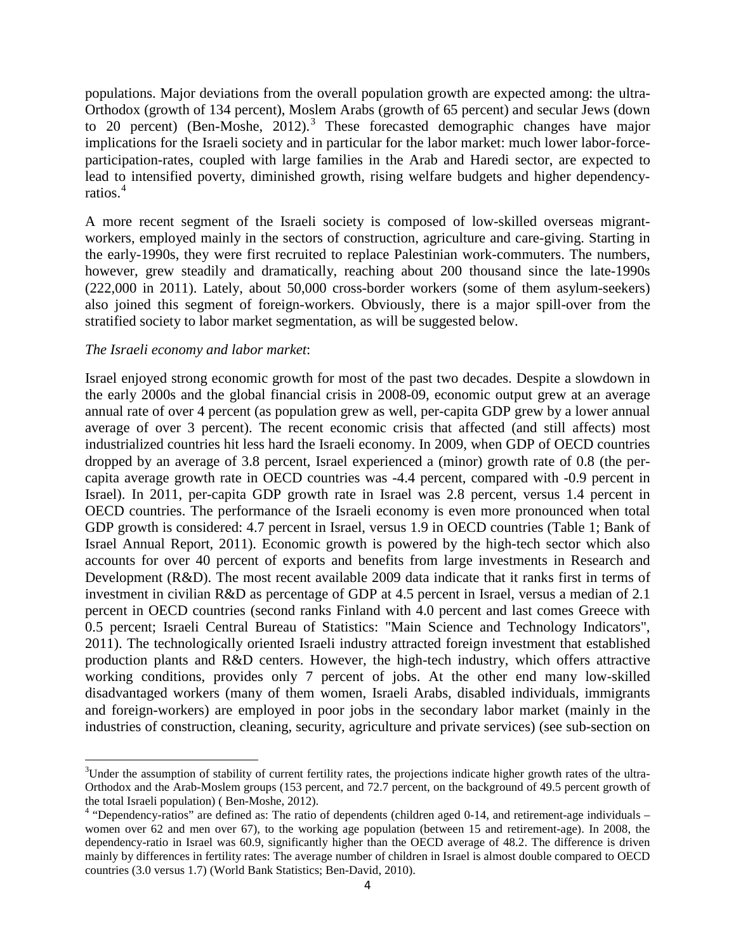populations. Major deviations from the overall population growth are expected among: the ultra-Orthodox (growth of 134 percent), Moslem Arabs (growth of 65 percent) and secular Jews (down to 20 percent) (Ben-Moshe,  $2012$ ).<sup>[3](#page-4-1)</sup> These forecasted demographic changes have major implications for the Israeli society and in particular for the labor market: much lower labor-forceparticipation-rates, coupled with large families in the Arab and Haredi sector, are expected to lead to intensified poverty, diminished growth, rising welfare budgets and higher dependencyratios.[4](#page-5-0)

A more recent segment of the Israeli society is composed of low-skilled overseas migrantworkers, employed mainly in the sectors of construction, agriculture and care-giving. Starting in the early-1990s, they were first recruited to replace Palestinian work-commuters. The numbers, however, grew steadily and dramatically, reaching about 200 thousand since the late-1990s (222,000 in 2011). Lately, about 50,000 cross-border workers (some of them asylum-seekers) also joined this segment of foreign-workers. Obviously, there is a major spill-over from the stratified society to labor market segmentation, as will be suggested below.

#### *The Israeli economy and labor market*:

Israel enjoyed strong economic growth for most of the past two decades. Despite a slowdown in the early 2000s and the global financial crisis in 2008-09, economic output grew at an average annual rate of over 4 percent (as population grew as well, per-capita GDP grew by a lower annual average of over 3 percent). The recent economic crisis that affected (and still affects) most industrialized countries hit less hard the Israeli economy. In 2009, when GDP of OECD countries dropped by an average of 3.8 percent, Israel experienced a (minor) growth rate of 0.8 (the percapita average growth rate in OECD countries was -4.4 percent, compared with -0.9 percent in Israel). In 2011, per-capita GDP growth rate in Israel was 2.8 percent, versus 1.4 percent in OECD countries. The performance of the Israeli economy is even more pronounced when total GDP growth is considered: 4.7 percent in Israel, versus 1.9 in OECD countries (Table 1; Bank of Israel Annual Report, 2011). Economic growth is powered by the high-tech sector which also accounts for over 40 percent of exports and benefits from large investments in Research and Development (R&D). The most recent available 2009 data indicate that it ranks first in terms of investment in civilian R&D as percentage of GDP at 4.5 percent in Israel, versus a median of 2.1 percent in OECD countries (second ranks Finland with 4.0 percent and last comes Greece with 0.5 percent; Israeli Central Bureau of Statistics: "Main Science and Technology Indicators", 2011). The technologically oriented Israeli industry attracted foreign investment that established production plants and R&D centers. However, the high-tech industry, which offers attractive working conditions, provides only 7 percent of jobs. At the other end many low-skilled disadvantaged workers (many of them women, Israeli Arabs, disabled individuals, immigrants and foreign-workers) are employed in poor jobs in the secondary labor market (mainly in the industries of construction, cleaning, security, agriculture and private services) (see sub-section on

<span id="page-5-1"></span>3  $3$ Under the assumption of stability of current fertility rates, the projections indicate higher growth rates of the ultra-Orthodox and the Arab-Moslem groups (153 percent, and 72.7 percent, on the background of 49.5 percent growth of

<span id="page-5-0"></span><sup>&</sup>lt;sup>4</sup> "Dependency-ratios" are defined as: The ratio of dependents (children aged 0-14, and retirement-age individuals – women over 62 and men over 67), to the working age population (between 15 and retirement-age). In 2008, the dependency-ratio in Israel was 60.9, significantly higher than the OECD average of 48.2. The difference is driven mainly by differences in fertility rates: The average number of children in Israel is almost double compared to OECD countries (3.0 versus 1.7) (World Bank Statistics; Ben-David, 2010).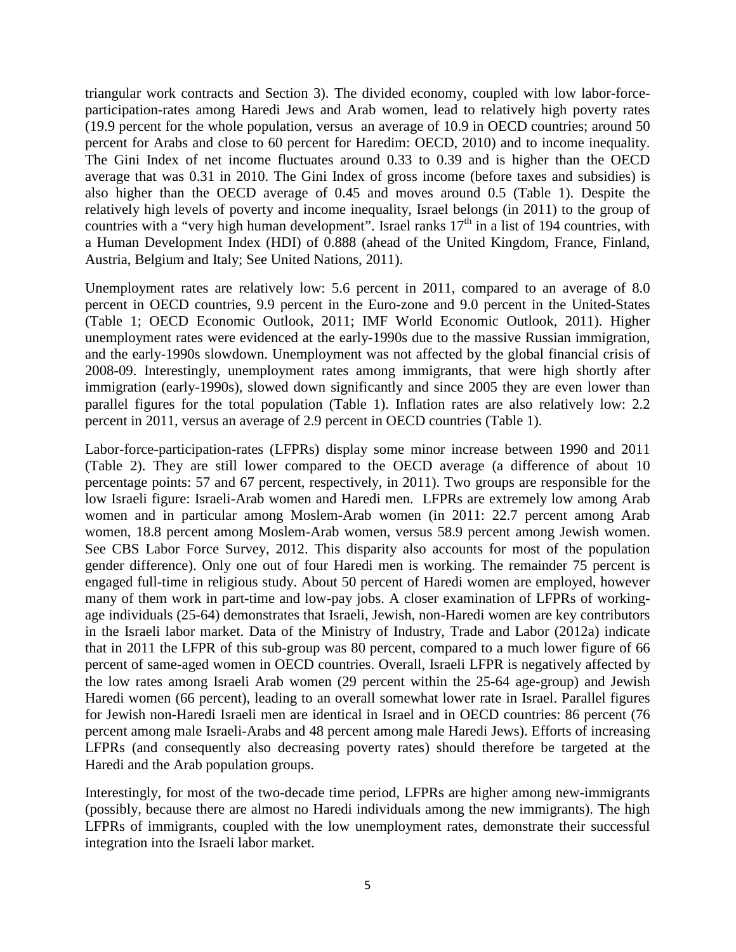triangular work contracts and Section 3). The divided economy, coupled with low labor-forceparticipation-rates among Haredi Jews and Arab women, lead to relatively high poverty rates (19.9 percent for the whole population, versus an average of 10.9 in OECD countries; around 50 percent for Arabs and close to 60 percent for Haredim: OECD, 2010) and to income inequality. The Gini Index of net income fluctuates around 0.33 to 0.39 and is higher than the OECD average that was 0.31 in 2010. The Gini Index of gross income (before taxes and subsidies) is also higher than the OECD average of 0.45 and moves around 0.5 (Table 1). Despite the relatively high levels of poverty and income inequality, Israel belongs (in 2011) to the group of countries with a "very high human development". Israel ranks  $17<sup>th</sup>$  in a list of 194 countries, with a Human Development Index (HDI) of 0.888 (ahead of the United Kingdom, France, Finland, Austria, Belgium and Italy; See United Nations, 2011).

Unemployment rates are relatively low: 5.6 percent in 2011, compared to an average of 8.0 percent in OECD countries, 9.9 percent in the Euro-zone and 9.0 percent in the United-States (Table 1; OECD Economic Outlook, 2011; IMF World Economic Outlook, 2011). Higher unemployment rates were evidenced at the early-1990s due to the massive Russian immigration, and the early-1990s slowdown. Unemployment was not affected by the global financial crisis of 2008-09. Interestingly, unemployment rates among immigrants, that were high shortly after immigration (early-1990s), slowed down significantly and since 2005 they are even lower than parallel figures for the total population (Table 1). Inflation rates are also relatively low: 2.2 percent in 2011, versus an average of 2.9 percent in OECD countries (Table 1).

Labor-force-participation-rates (LFPRs) display some minor increase between 1990 and 2011 (Table 2). They are still lower compared to the OECD average (a difference of about 10 percentage points: 57 and 67 percent, respectively, in 2011). Two groups are responsible for the low Israeli figure: Israeli-Arab women and Haredi men. LFPRs are extremely low among Arab women and in particular among Moslem-Arab women (in 2011: 22.7 percent among Arab women, 18.8 percent among Moslem-Arab women, versus 58.9 percent among Jewish women. See CBS Labor Force Survey, 2012. This disparity also accounts for most of the population gender difference). Only one out of four Haredi men is working. The remainder 75 percent is engaged full-time in religious study. About 50 percent of Haredi women are employed, however many of them work in part-time and low-pay jobs. A closer examination of LFPRs of workingage individuals (25-64) demonstrates that Israeli, Jewish, non-Haredi women are key contributors in the Israeli labor market. Data of the Ministry of Industry, Trade and Labor (2012a) indicate that in 2011 the LFPR of this sub-group was 80 percent, compared to a much lower figure of 66 percent of same-aged women in OECD countries. Overall, Israeli LFPR is negatively affected by the low rates among Israeli Arab women (29 percent within the 25-64 age-group) and Jewish Haredi women (66 percent), leading to an overall somewhat lower rate in Israel. Parallel figures for Jewish non-Haredi Israeli men are identical in Israel and in OECD countries: 86 percent (76 percent among male Israeli-Arabs and 48 percent among male Haredi Jews). Efforts of increasing LFPRs (and consequently also decreasing poverty rates) should therefore be targeted at the Haredi and the Arab population groups.

Interestingly, for most of the two-decade time period, LFPRs are higher among new-immigrants (possibly, because there are almost no Haredi individuals among the new immigrants). The high LFPRs of immigrants, coupled with the low unemployment rates, demonstrate their successful integration into the Israeli labor market.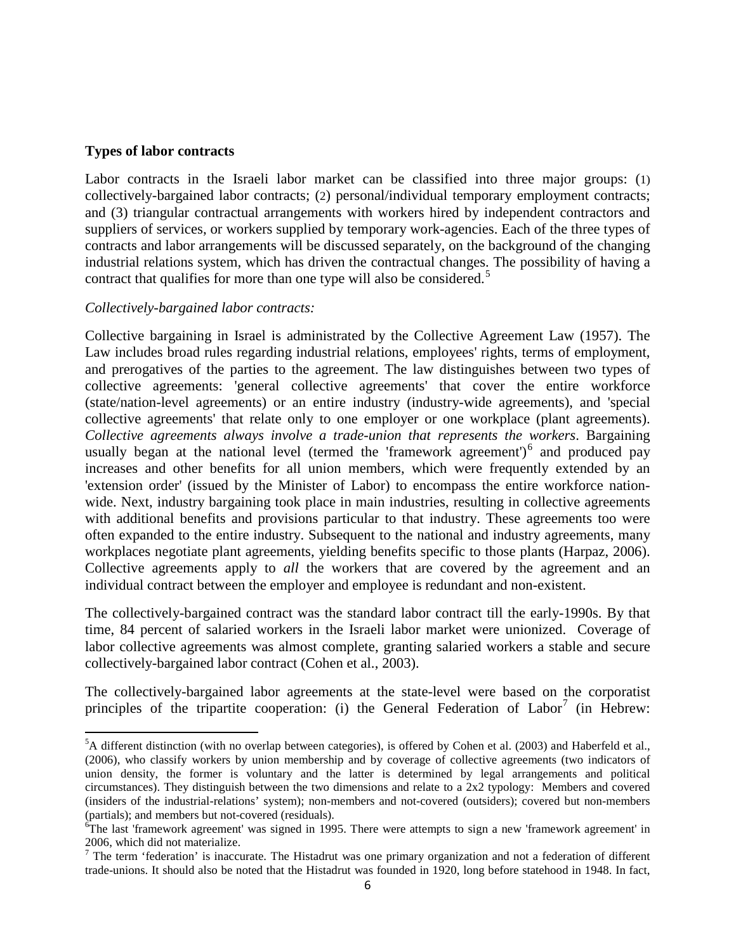#### **Types of labor contracts**

Labor contracts in the Israeli labor market can be classified into three major groups: (1) collectively-bargained labor contracts; (2) personal/individual temporary employment contracts; and (3) triangular contractual arrangements with workers hired by independent contractors and suppliers of services, or workers supplied by temporary work-agencies. Each of the three types of contracts and labor arrangements will be discussed separately, on the background of the changing industrial relations system, which has driven the contractual changes. The possibility of having a contract that qualifies for more than one type will also be considered.<sup>[5](#page-5-1)</sup>

#### *Collectively-bargained labor contracts:*

Collective bargaining in Israel is administrated by the Collective Agreement Law (1957). The Law includes broad rules regarding industrial relations, employees' rights, terms of employment, and prerogatives of the parties to the agreement. The law distinguishes between two types of collective agreements: 'general collective agreements' that cover the entire workforce (state/nation-level agreements) or an entire industry (industry-wide agreements), and 'special collective agreements' that relate only to one employer or one workplace (plant agreements). *Collective agreements always involve a trade-union that represents the workers*. Bargaining usually began at the national level (termed the 'framework agreement')<sup>[6](#page-7-0)</sup> and produced pay increases and other benefits for all union members, which were frequently extended by an 'extension order' (issued by the Minister of Labor) to encompass the entire workforce nationwide. Next, industry bargaining took place in main industries, resulting in collective agreements with additional benefits and provisions particular to that industry. These agreements too were often expanded to the entire industry. Subsequent to the national and industry agreements, many workplaces negotiate plant agreements, yielding benefits specific to those plants (Harpaz, 2006). Collective agreements apply to *all* the workers that are covered by the agreement and an individual contract between the employer and employee is redundant and non-existent.

The collectively-bargained contract was the standard labor contract till the early-1990s. By that time, 84 percent of salaried workers in the Israeli labor market were unionized. Coverage of labor collective agreements was almost complete, granting salaried workers a stable and secure collectively-bargained labor contract (Cohen et al., 2003).

The collectively-bargained labor agreements at the state-level were based on the corporatist principles of the tripartite cooperation: (i) the General Federation of  $\text{Labor}^7$  $\text{Labor}^7$  (in Hebrew:

5  ${}^{5}A$  different distinction (with no overlap between categories), is offered by Cohen et al. (2003) and Haberfeld et al., (2006), who classify workers by union membership and by coverage of collective agreements (two indicators of union density, the former is voluntary and the latter is determined by legal arrangements and political circumstances). They distinguish between the two dimensions and relate to a 2x2 typology: Members and covered (insiders of the industrial-relations' system); non-members and not-covered (outsiders); covered but non-members (partials); and members but not-covered (residuals).

<span id="page-7-0"></span><sup>&</sup>lt;sup>6</sup>The last 'framework agreement' was signed in 1995. There were attempts to sign a new 'framework agreement' in 2006, which did not materialize.

<span id="page-7-2"></span><span id="page-7-1"></span> $7$  The term 'federation' is inaccurate. The Histadrut was one primary organization and not a federation of different trade-unions. It should also be noted that the Histadrut was founded in 1920, long before statehood in 1948. In fact,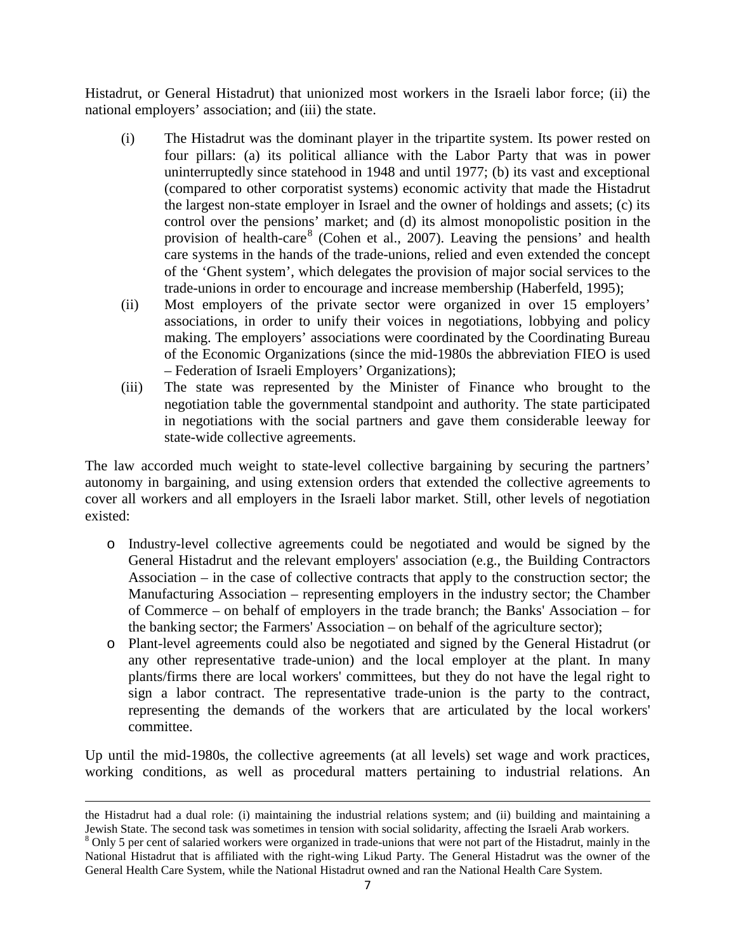Histadrut, or General Histadrut) that unionized most workers in the Israeli labor force; (ii) the national employers' association; and (iii) the state.

- (i) The Histadrut was the dominant player in the tripartite system. Its power rested on four pillars: (a) its political alliance with the Labor Party that was in power uninterruptedly since statehood in 1948 and until 1977; (b) its vast and exceptional (compared to other corporatist systems) economic activity that made the Histadrut the largest non-state employer in Israel and the owner of holdings and assets; (c) its control over the pensions' market; and (d) its almost monopolistic position in the provision of health-care<sup>[8](#page-7-2)</sup> (Cohen et al., 2007). Leaving the pensions' and health care systems in the hands of the trade-unions, relied and even extended the concept of the 'Ghent system', which delegates the provision of major social services to the trade-unions in order to encourage and increase membership (Haberfeld, 1995);
- (ii) Most employers of the private sector were organized in over 15 employers' associations, in order to unify their voices in negotiations, lobbying and policy making. The employers' associations were coordinated by the Coordinating Bureau of the Economic Organizations (since the mid-1980s the abbreviation FIEO is used – Federation of Israeli Employers' Organizations);
- (iii) The state was represented by the Minister of Finance who brought to the negotiation table the governmental standpoint and authority. The state participated in negotiations with the social partners and gave them considerable leeway for state-wide collective agreements.

The law accorded much weight to state-level collective bargaining by securing the partners' autonomy in bargaining, and using extension orders that extended the collective agreements to cover all workers and all employers in the Israeli labor market. Still, other levels of negotiation existed:

- o Industry-level collective agreements could be negotiated and would be signed by the General Histadrut and the relevant employers' association (e.g., the Building Contractors Association – in the case of collective contracts that apply to the construction sector; the Manufacturing Association – representing employers in the industry sector; the Chamber of Commerce – on behalf of employers in the trade branch; the Banks' Association – for the banking sector; the Farmers' Association – on behalf of the agriculture sector);
- <span id="page-8-0"></span>o Plant-level agreements could also be negotiated and signed by the General Histadrut (or any other representative trade-union) and the local employer at the plant. In many plants/firms there are local workers' committees, but they do not have the legal right to sign a labor contract. The representative trade-union is the party to the contract, representing the demands of the workers that are articulated by the local workers' committee.

Up until the mid-1980s, the collective agreements (at all levels) set wage and work practices, working conditions, as well as procedural matters pertaining to industrial relations. An

 $\overline{a}$ 

the Histadrut had a dual role: (i) maintaining the industrial relations system; and (ii) building and maintaining a Jewish State. The second task was sometimes in tension with social solidarity, affecting the Israeli Arab workers.

<sup>&</sup>lt;sup>8</sup> Only 5 per cent of salaried workers were organized in trade-unions that were not part of the Histadrut, mainly in the National Histadrut that is affiliated with the right-wing Likud Party. The General Histadrut was the owner of the General Health Care System, while the National Histadrut owned and ran the National Health Care System.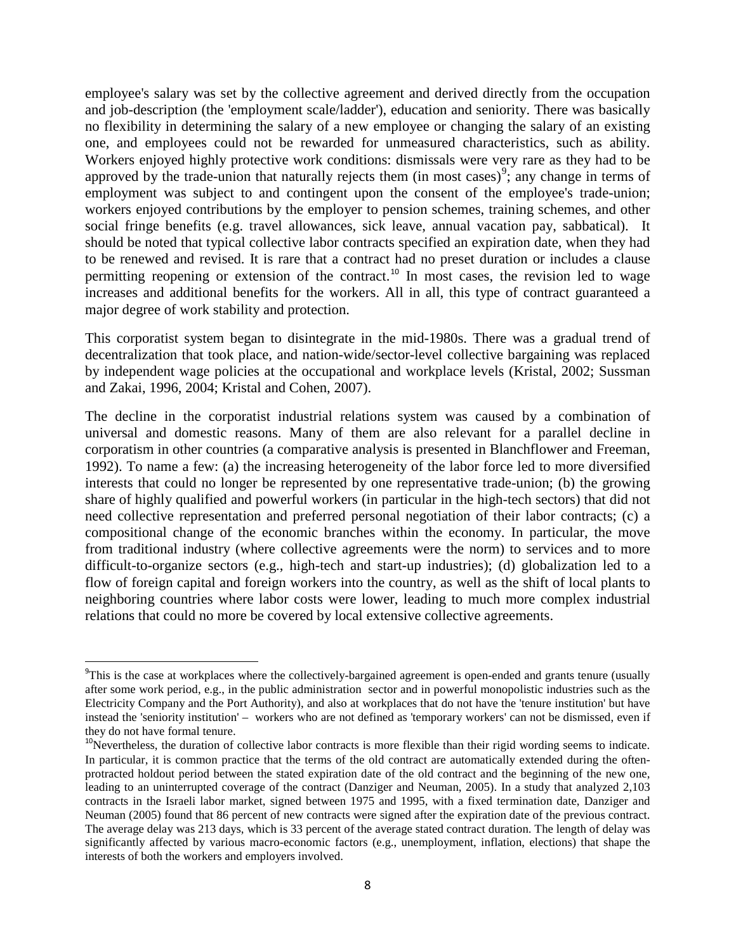employee's salary was set by the collective agreement and derived directly from the occupation and job-description (the 'employment scale/ladder'), education and seniority. There was basically no flexibility in determining the salary of a new employee or changing the salary of an existing one, and employees could not be rewarded for unmeasured characteristics, such as ability. Workers enjoyed highly protective work conditions: dismissals were very rare as they had to be approved by the trade-union that naturally rejects them (in most cases)<sup>[9](#page-8-0)</sup>; any change in terms of employment was subject to and contingent upon the consent of the employee's trade-union; workers enjoyed contributions by the employer to pension schemes, training schemes, and other social fringe benefits (e.g. travel allowances, sick leave, annual vacation pay, sabbatical). It should be noted that typical collective labor contracts specified an expiration date, when they had to be renewed and revised. It is rare that a contract had no preset duration or includes a clause permitting reopening or extension of the contract.<sup>[10](#page-9-0)</sup> In most cases, the revision led to wage increases and additional benefits for the workers. All in all, this type of contract guaranteed a major degree of work stability and protection.

This corporatist system began to disintegrate in the mid-1980s. There was a gradual trend of decentralization that took place, and nation-wide/sector-level collective bargaining was replaced by independent wage policies at the occupational and workplace levels (Kristal, 2002; Sussman and Zakai, 1996, 2004; Kristal and Cohen, 2007).

The decline in the corporatist industrial relations system was caused by a combination of universal and domestic reasons. Many of them are also relevant for a parallel decline in corporatism in other countries (a comparative analysis is presented in Blanchflower and Freeman, 1992). To name a few: (a) the increasing heterogeneity of the labor force led to more diversified interests that could no longer be represented by one representative trade-union; (b) the growing share of highly qualified and powerful workers (in particular in the high-tech sectors) that did not need collective representation and preferred personal negotiation of their labor contracts; (c) a compositional change of the economic branches within the economy. In particular, the move from traditional industry (where collective agreements were the norm) to services and to more difficult-to-organize sectors (e.g., high-tech and start-up industries); (d) globalization led to a flow of foreign capital and foreign workers into the country, as well as the shift of local plants to neighboring countries where labor costs were lower, leading to much more complex industrial relations that could no more be covered by local extensive collective agreements.

 <sup>9</sup>  $\rm{PThis}$  is the case at workplaces where the collectively-bargained agreement is open-ended and grants tenure (usually after some work period, e.g., in the public administration sector and in powerful monopolistic industries such as the Electricity Company and the Port Authority), and also at workplaces that do not have the 'tenure institution' but have instead the 'seniority institution' – workers who are not defined as 'temporary workers' can not be dismissed, even if they do not have formal tenure.

<span id="page-9-1"></span><span id="page-9-0"></span> $10$ Nevertheless, the duration of collective labor contracts is more flexible than their rigid wording seems to indicate. In particular, it is common practice that the terms of the old contract are automatically extended during the oftenprotracted holdout period between the stated expiration date of the old contract and the beginning of the new one, leading to an uninterrupted coverage of the contract (Danziger and Neuman, 2005). In a study that analyzed 2,103 contracts in the Israeli labor market, signed between 1975 and 1995, with a fixed termination date, Danziger and Neuman (2005) found that 86 percent of new contracts were signed after the expiration date of the previous contract. The average delay was 213 days, which is 33 percent of the average stated contract duration. The length of delay was significantly affected by various macro-economic factors (e.g., unemployment, inflation, elections) that shape the interests of both the workers and employers involved.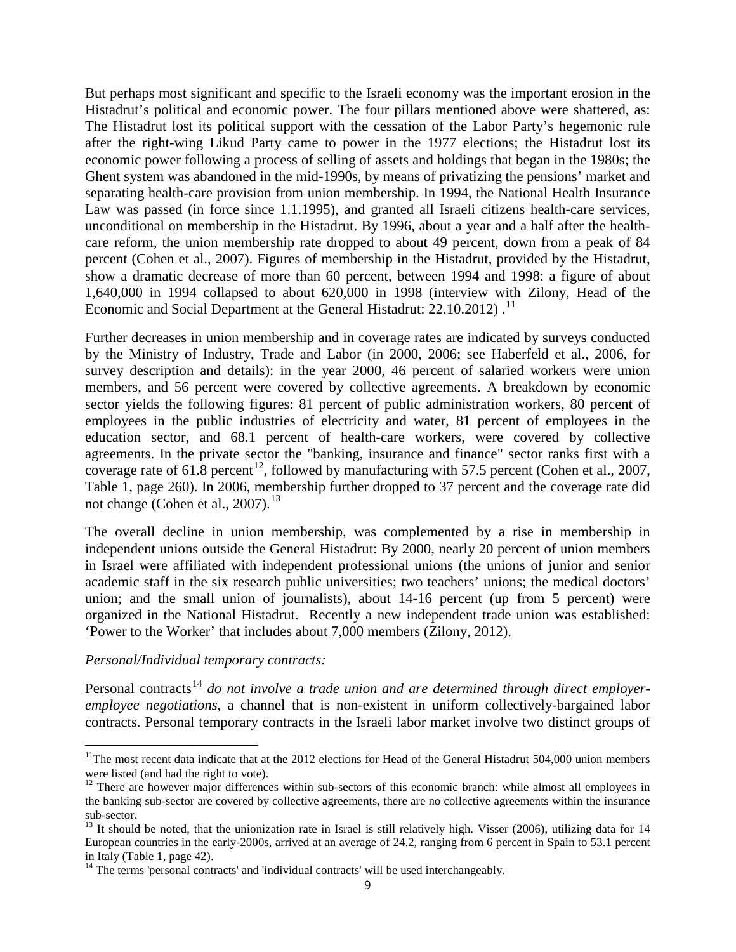But perhaps most significant and specific to the Israeli economy was the important erosion in the Histadrut's political and economic power. The four pillars mentioned above were shattered, as: The Histadrut lost its political support with the cessation of the Labor Party's hegemonic rule after the right-wing Likud Party came to power in the 1977 elections; the Histadrut lost its economic power following a process of selling of assets and holdings that began in the 1980s; the Ghent system was abandoned in the mid-1990s, by means of privatizing the pensions' market and separating health-care provision from union membership. In 1994, the National Health Insurance Law was passed (in force since 1.1.1995), and granted all Israeli citizens health-care services, unconditional on membership in the Histadrut. By 1996, about a year and a half after the healthcare reform, the union membership rate dropped to about 49 percent, down from a peak of 84 percent (Cohen et al., 2007). Figures of membership in the Histadrut, provided by the Histadrut, show a dramatic decrease of more than 60 percent, between 1994 and 1998: a figure of about 1,640,000 in 1994 collapsed to about 620,000 in 1998 (interview with Zilony, Head of the Economic and Social Department at the General Histadrut: 22.10.2012).<sup>[11](#page-9-1)</sup>

Further decreases in union membership and in coverage rates are indicated by surveys conducted by the Ministry of Industry, Trade and Labor (in 2000, 2006; see Haberfeld et al., 2006, for survey description and details): in the year 2000, 46 percent of salaried workers were union members, and 56 percent were covered by collective agreements. A breakdown by economic sector yields the following figures: 81 percent of public administration workers, 80 percent of employees in the public industries of electricity and water, 81 percent of employees in the education sector, and 68.1 percent of health-care workers, were covered by collective agreements. In the private sector the "banking, insurance and finance" sector ranks first with a coverage rate of 61.8 percent<sup>[12](#page-10-0)</sup>, followed by manufacturing with 57.5 percent (Cohen et al., 2007, Table 1, page 260). In 2006, membership further dropped to 37 percent and the coverage rate did not change (Cohen et al., 2007).<sup>[13](#page-10-1)</sup>

The overall decline in union membership, was complemented by a rise in membership in independent unions outside the General Histadrut: By 2000, nearly 20 percent of union members in Israel were affiliated with independent professional unions (the unions of junior and senior academic staff in the six research public universities; two teachers' unions; the medical doctors' union; and the small union of journalists), about 14-16 percent (up from 5 percent) were organized in the National Histadrut. Recently a new independent trade union was established: 'Power to the Worker' that includes about 7,000 members (Zilony, 2012).

#### *Personal/Individual temporary contracts:*

<span id="page-10-3"></span>Personal contracts<sup>[14](#page-10-2)</sup> do not involve a trade union and are determined through direct employer*employee negotiations*, a channel that is non-existent in uniform collectively-bargained labor contracts. Personal temporary contracts in the Israeli labor market involve two distinct groups of

 $11$ The most recent data indicate that at the 2012 elections for Head of the General Histadrut 504,000 union members were listed (and had the right to vote).

<span id="page-10-0"></span><sup>&</sup>lt;sup>12</sup> There are however major differences within sub-sectors of this economic branch: while almost all employees in the banking sub-sector are covered by collective agreements, there are no collective agreements within the insurance

<span id="page-10-1"></span> $13$  It should be noted, that the unionization rate in Israel is still relatively high. Visser (2006), utilizing data for 14 European countries in the early-2000s, arrived at an average of 24.2, ranging from 6 percent in Spain to 53.1 percent in Italy (Table 1, page 42).

<span id="page-10-2"></span><sup>&</sup>lt;sup>14</sup> The terms 'personal contracts' and 'individual contracts' will be used interchangeably.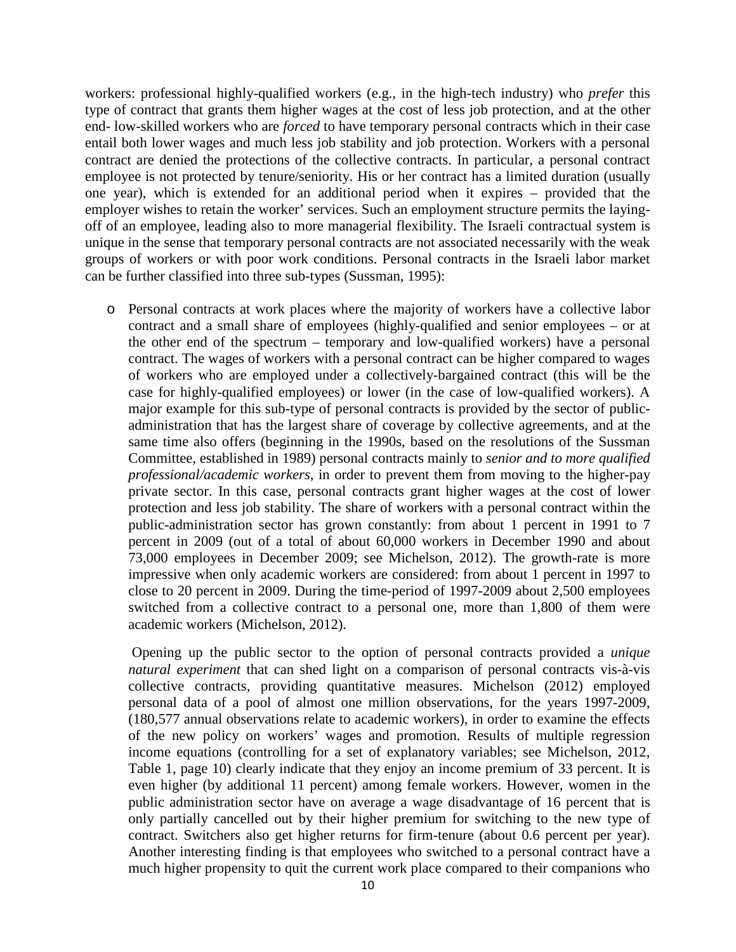workers: professional highly-qualified workers (e.g., in the high-tech industry) who *prefer* this type of contract that grants them higher wages at the cost of less job protection, and at the other end- low-skilled workers who are *forced* to have temporary personal contracts which in their case entail both lower wages and much less job stability and job protection. Workers with a personal contract are denied the protections of the collective contracts. In particular, a personal contract employee is not protected by tenure/seniority. His or her contract has a limited duration (usually one year), which is extended for an additional period when it expires – provided that the employer wishes to retain the worker' services. Such an employment structure permits the layingoff of an employee, leading also to more managerial flexibility. The Israeli contractual system is unique in the sense that temporary personal contracts are not associated necessarily with the weak groups of workers or with poor work conditions. Personal contracts in the Israeli labor market can be further classified into three sub-types (Sussman, 1995):

o Personal contracts at work places where the majority of workers have a collective labor contract and a small share of employees (highly-qualified and senior employees – or at the other end of the spectrum – temporary and low-qualified workers) have a personal contract. The wages of workers with a personal contract can be higher compared to wages of workers who are employed under a collectively-bargained contract (this will be the case for highly-qualified employees) or lower (in the case of low-qualified workers). A major example for this sub-type of personal contracts is provided by the sector of publicadministration that has the largest share of coverage by collective agreements, and at the same time also offers (beginning in the 1990s, based on the resolutions of the Sussman Committee, established in 1989) personal contracts mainly to *senior and to more qualified professional/academic workers*, in order to prevent them from moving to the higher-pay private sector. In this case, personal contracts grant higher wages at the cost of lower protection and less job stability. The share of workers with a personal contract within the public-administration sector has grown constantly: from about 1 percent in 1991 to 7 percent in 2009 (out of a total of about 60,000 workers in December 1990 and about 73,000 employees in December 2009; see Michelson, 2012). The growth-rate is more impressive when only academic workers are considered: from about 1 percent in 1997 to close to 20 percent in 2009. During the time-period of 1997-2009 about 2,500 employees switched from a collective contract to a personal one, more than 1,800 of them were academic workers (Michelson, 2012).

Opening up the public sector to the option of personal contracts provided a *unique natural experiment* that can shed light on a comparison of personal contracts vis-à-vis collective contracts, providing quantitative measures. Michelson (2012) employed personal data of a pool of almost one million observations, for the years 1997-2009, (180,577 annual observations relate to academic workers), in order to examine the effects of the new policy on workers' wages and promotion. Results of multiple regression income equations (controlling for a set of explanatory variables; see Michelson, 2012, Table 1, page 10) clearly indicate that they enjoy an income premium of 33 percent. It is even higher (by additional 11 percent) among female workers. However, women in the public administration sector have on average a wage disadvantage of 16 percent that is only partially cancelled out by their higher premium for switching to the new type of contract. Switchers also get higher returns for firm-tenure (about 0.6 percent per year). Another interesting finding is that employees who switched to a personal contract have a much higher propensity to quit the current work place compared to their companions who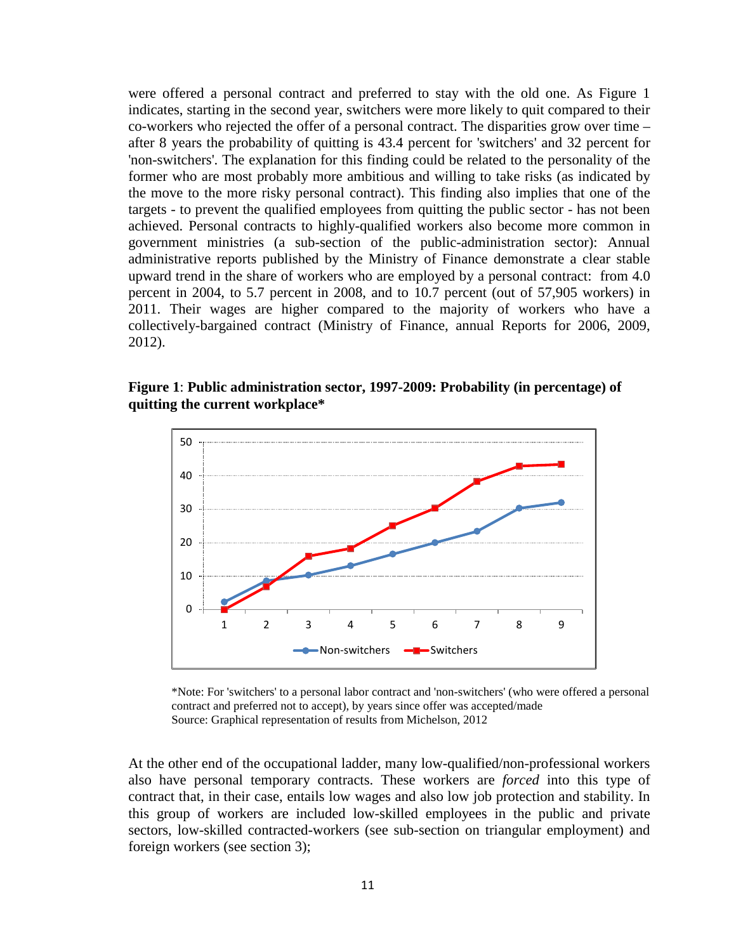were offered a personal contract and preferred to stay with the old one. As Figure 1 indicates, starting in the second year, switchers were more likely to quit compared to their co-workers who rejected the offer of a personal contract. The disparities grow over time – after 8 years the probability of quitting is 43.4 percent for 'switchers' and 32 percent for 'non-switchers'. The explanation for this finding could be related to the personality of the former who are most probably more ambitious and willing to take risks (as indicated by the move to the more risky personal contract). This finding also implies that one of the targets - to prevent the qualified employees from quitting the public sector - has not been achieved. Personal contracts to highly-qualified workers also become more common in government ministries (a sub-section of the public-administration sector): Annual administrative reports published by the Ministry of Finance demonstrate a clear stable upward trend in the share of workers who are employed by a personal contract: from 4.0 percent in 2004, to 5.7 percent in 2008, and to 10.7 percent (out of 57,905 workers) in 2011. Their wages are higher compared to the majority of workers who have a collectively-bargained contract (Ministry of Finance, annual Reports for 2006, 2009, 2012).

**Figure 1**: **Public administration sector, 1997-2009: Probability (in percentage) of quitting the current workplace\***



\*Note: For 'switchers' to a personal labor contract and 'non-switchers' (who were offered a personal contract and preferred not to accept), by years since offer was accepted/made Source: Graphical representation of results from Michelson, 2012

At the other end of the occupational ladder, many low-qualified/non-professional workers also have personal temporary contracts. These workers are *forced* into this type of contract that, in their case, entails low wages and also low job protection and stability. In this group of workers are included low-skilled employees in the public and private sectors, low-skilled contracted-workers (see sub-section on triangular employment) and foreign workers (see section 3);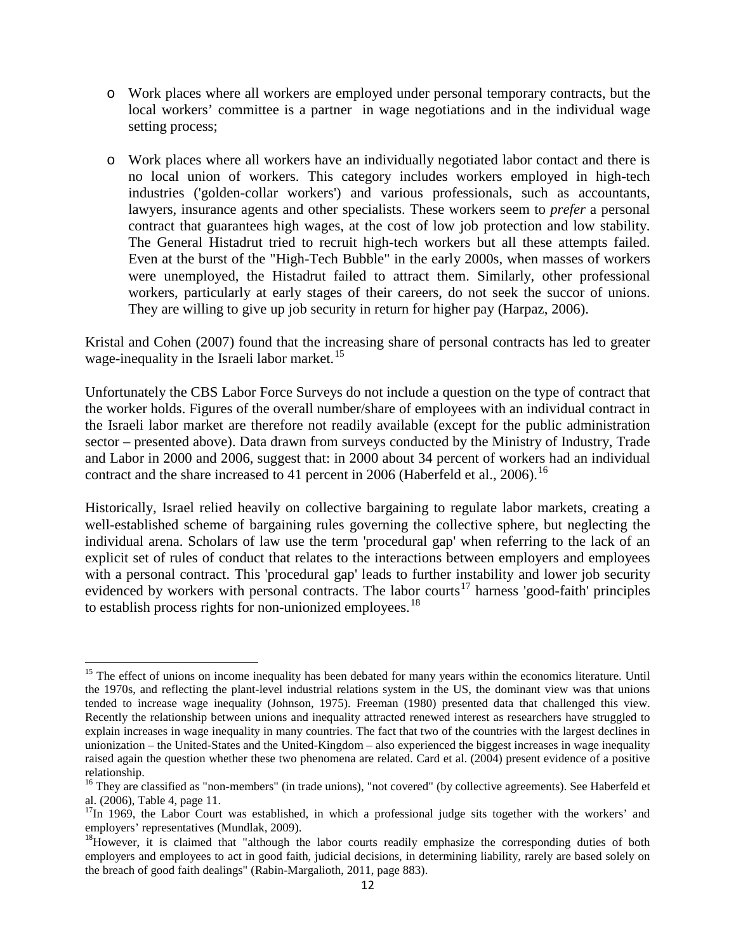- o Work places where all workers are employed under personal temporary contracts, but the local workers' committee is a partner in wage negotiations and in the individual wage setting process;
- o Work places where all workers have an individually negotiated labor contact and there is no local union of workers. This category includes workers employed in high-tech industries ('golden-collar workers') and various professionals, such as accountants, lawyers, insurance agents and other specialists. These workers seem to *prefer* a personal contract that guarantees high wages, at the cost of low job protection and low stability. The General Histadrut tried to recruit high-tech workers but all these attempts failed. Even at the burst of the "High-Tech Bubble" in the early 2000s, when masses of workers were unemployed, the Histadrut failed to attract them. Similarly, other professional workers, particularly at early stages of their careers, do not seek the succor of unions. They are willing to give up job security in return for higher pay (Harpaz, 2006).

Kristal and Cohen (2007) found that the increasing share of personal contracts has led to greater wage-inequality in the Israeli labor market.<sup>[15](#page-10-3)</sup>

Unfortunately the CBS Labor Force Surveys do not include a question on the type of contract that the worker holds. Figures of the overall number/share of employees with an individual contract in the Israeli labor market are therefore not readily available (except for the public administration sector – presented above). Data drawn from surveys conducted by the Ministry of Industry, Trade and Labor in 2000 and 2006, suggest that: in 2000 about 34 percent of workers had an individual contract and the share increased to 41 percent in 2006 (Haberfeld et al., 2006).<sup>[16](#page-13-0)</sup>

Historically, Israel relied heavily on collective bargaining to regulate labor markets, creating a well-established scheme of bargaining rules governing the collective sphere, but neglecting the individual arena. Scholars of law use the term 'procedural gap' when referring to the lack of an explicit set of rules of conduct that relates to the interactions between employers and employees with a personal contract. This 'procedural gap' leads to further instability and lower job security evidenced by workers with personal contracts. The labor courts<sup>[17](#page-13-1)</sup> harness 'good-faith' principles to establish process rights for non-unionized employees.<sup>[18](#page-13-2)</sup>

<span id="page-13-3"></span><sup>&</sup>lt;sup>15</sup> The effect of unions on income inequality has been debated for many years within the economics literature. Until the 1970s, and reflecting the plant-level industrial relations system in the US, the dominant view was that unions tended to increase wage inequality (Johnson, 1975). Freeman (1980) presented data that challenged this view. Recently the relationship between unions and inequality attracted renewed interest as researchers have struggled to explain increases in wage inequality in many countries. The fact that two of the countries with the largest declines in unionization – the United-States and the United-Kingdom – also experienced the biggest increases in wage inequality raised again the question whether these two phenomena are related. Card et al. (2004) present evidence of a positive relationship.

<span id="page-13-0"></span><sup>&</sup>lt;sup>16</sup> They are classified as "non-members" (in trade unions), "not covered" (by collective agreements). See Haberfeld et al. (2006), Table 4, page 11.

<span id="page-13-1"></span> $^{17}$ In 1969, the Labor Court was established, in which a professional judge sits together with the workers' and employers' representatives (Mundlak, 2009).

<span id="page-13-2"></span> $^{18}$ However, it is claimed that "although the labor courts readily emphasize the corresponding duties of both employers and employees to act in good faith, judicial decisions, in determining liability, rarely are based solely on the breach of good faith dealings" (Rabin-Margalioth, 2011, page 883).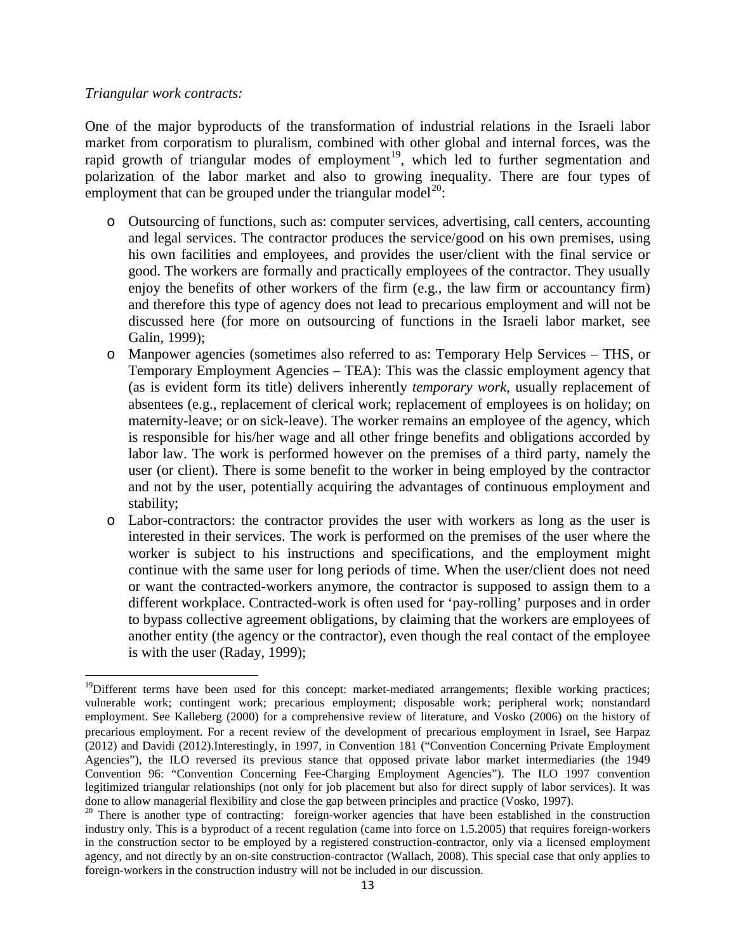#### *Triangular work contracts:*

One of the major byproducts of the transformation of industrial relations in the Israeli labor market from corporatism to pluralism, combined with other global and internal forces, was the rapid growth of triangular modes of employment<sup>[19](#page-13-3)</sup>, which led to further segmentation and polarization of the labor market and also to growing inequality. There are four types of employment that can be grouped under the triangular model<sup>[20](#page-14-0)</sup>:

- o Outsourcing of functions, such as: computer services, advertising, call centers, accounting and legal services. The contractor produces the service/good on his own premises, using his own facilities and employees, and provides the user/client with the final service or good. The workers are formally and practically employees of the contractor. They usually enjoy the benefits of other workers of the firm (e.g., the law firm or accountancy firm) and therefore this type of agency does not lead to precarious employment and will not be discussed here (for more on outsourcing of functions in the Israeli labor market, see Galin, 1999);
- o Manpower agencies (sometimes also referred to as: Temporary Help Services THS, or Temporary Employment Agencies – TEA): This was the classic employment agency that (as is evident form its title) delivers inherently *temporary work*, usually replacement of absentees (e.g., replacement of clerical work; replacement of employees is on holiday; on maternity-leave; or on sick-leave). The worker remains an employee of the agency, which is responsible for his/her wage and all other fringe benefits and obligations accorded by labor law. The work is performed however on the premises of a third party, namely the user (or client). There is some benefit to the worker in being employed by the contractor and not by the user, potentially acquiring the advantages of continuous employment and stability;
- o Labor-contractors: the contractor provides the user with workers as long as the user is interested in their services. The work is performed on the premises of the user where the worker is subject to his instructions and specifications, and the employment might continue with the same user for long periods of time. When the user/client does not need or want the contracted-workers anymore, the contractor is supposed to assign them to a different workplace. Contracted-work is often used for 'pay-rolling' purposes and in order to bypass collective agreement obligations, by claiming that the workers are employees of another entity (the agency or the contractor), even though the real contact of the employee is with the user (Raday, 1999);

<sup>&</sup>lt;sup>19</sup>Different terms have been used for this concept: market-mediated arrangements; flexible working practices; vulnerable work; contingent work; precarious employment; disposable work; peripheral work; nonstandard employment. See Kalleberg (2000) for a comprehensive review of literature, and Vosko (2006) on the history of precarious employment. For a recent review of the development of precarious employment in Israel, see Harpaz (2012) and Davidi (2012).Interestingly, in 1997, in Convention 181 ("Convention Concerning Private Employment Agencies"), the ILO reversed its previous stance that opposed private labor market intermediaries (the 1949 Convention 96: "Convention Concerning Fee-Charging Employment Agencies"). The ILO 1997 convention legitimized triangular relationships (not only for job placement but also for direct supply of labor services). It was done to allow managerial flexibility and close the gap between principles and practice (Vosko, 1997).<br><sup>20</sup> There is another type of contracting: foreign-worker agencies that have been established in the construction

<span id="page-14-1"></span><span id="page-14-0"></span>industry only. This is a byproduct of a recent regulation (came into force on 1.5.2005) that requires foreign-workers in the construction sector to be employed by a registered construction-contractor, only via a licensed employment agency, and not directly by an on-site construction-contractor (Wallach, 2008). This special case that only applies to foreign-workers in the construction industry will not be included in our discussion.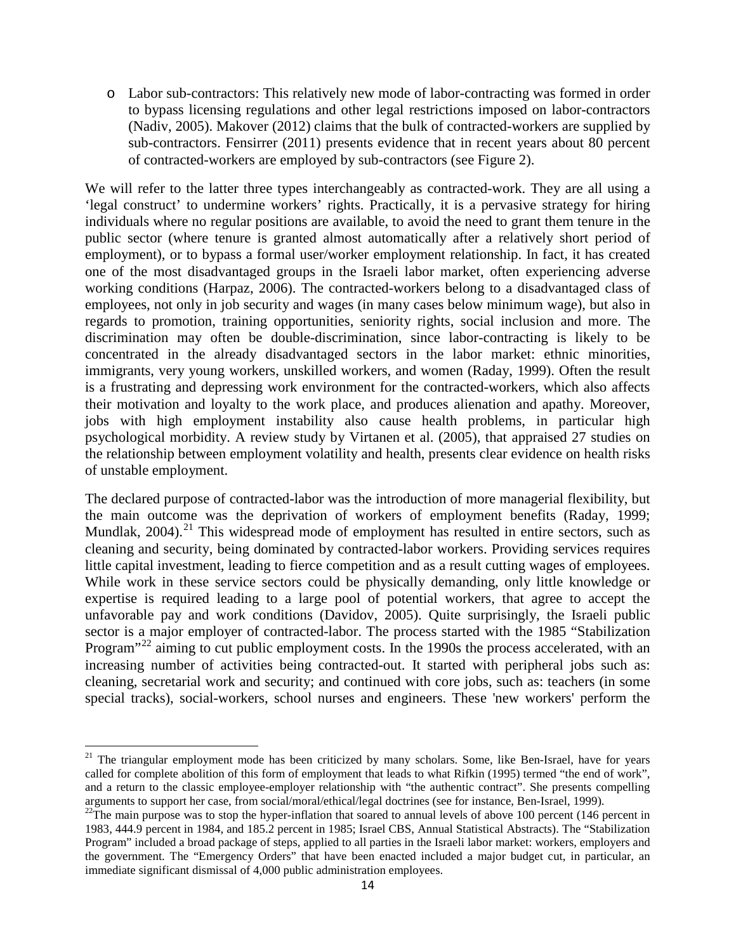o Labor sub-contractors: This relatively new mode of labor-contracting was formed in order to bypass licensing regulations and other legal restrictions imposed on labor-contractors (Nadiv, 2005). Makover (2012) claims that the bulk of contracted-workers are supplied by sub-contractors. Fensirrer (2011) presents evidence that in recent years about 80 percent of contracted-workers are employed by sub-contractors (see Figure 2).

We will refer to the latter three types interchangeably as contracted-work. They are all using a 'legal construct' to undermine workers' rights. Practically, it is a pervasive strategy for hiring individuals where no regular positions are available, to avoid the need to grant them tenure in the public sector (where tenure is granted almost automatically after a relatively short period of employment), or to bypass a formal user/worker employment relationship. In fact, it has created one of the most disadvantaged groups in the Israeli labor market, often experiencing adverse working conditions (Harpaz, 2006). The contracted-workers belong to a disadvantaged class of employees, not only in job security and wages (in many cases below minimum wage), but also in regards to promotion, training opportunities, seniority rights, social inclusion and more. The discrimination may often be double-discrimination, since labor-contracting is likely to be concentrated in the already disadvantaged sectors in the labor market: ethnic minorities, immigrants, very young workers, unskilled workers, and women (Raday, 1999). Often the result is a frustrating and depressing work environment for the contracted-workers, which also affects their motivation and loyalty to the work place, and produces alienation and apathy. Moreover, jobs with high employment instability also cause health problems, in particular high psychological morbidity. A review study by Virtanen et al. (2005), that appraised 27 studies on the relationship between employment volatility and health, presents clear evidence on health risks of unstable employment.

The declared purpose of contracted-labor was the introduction of more managerial flexibility, but the main outcome was the deprivation of workers of employment benefits (Raday, 1999; Mundlak,  $2004$ ).<sup>[21](#page-14-1)</sup> This widespread mode of employment has resulted in entire sectors, such as cleaning and security, being dominated by contracted-labor workers. Providing services requires little capital investment, leading to fierce competition and as a result cutting wages of employees. While work in these service sectors could be physically demanding, only little knowledge or expertise is required leading to a large pool of potential workers, that agree to accept the unfavorable pay and work conditions (Davidov, 2005). Quite surprisingly, the Israeli public sector is a major employer of contracted-labor. The process started with the 1985 "Stabilization Program<sup>"[22](#page-15-0)</sup> aiming to cut public employment costs. In the 1990s the process accelerated, with an increasing number of activities being contracted-out. It started with peripheral jobs such as: cleaning, secretarial work and security; and continued with core jobs, such as: teachers (in some special tracks), social-workers, school nurses and engineers. These 'new workers' perform the

<sup>&</sup>lt;sup>21</sup> The triangular employment mode has been criticized by many scholars. Some, like Ben-Israel, have for years called for complete abolition of this form of employment that leads to what Rifkin (1995) termed "the end of work", and a return to the classic employee-employer relationship with "the authentic contract". She presents compelling arguments to support her case, from social/moral/ethical/legal doctrines (see for instance, Ben-Israel, 1999

<span id="page-15-1"></span><span id="page-15-0"></span> $^{22}$ The main purpose was to stop the hyper-inflation that soared to annual levels of above 100 percent (146 percent in 1983, 444.9 percent in 1984, and 185.2 percent in 1985; Israel CBS, Annual Statistical Abstracts). The "Stabilization Program" included a broad package of steps, applied to all parties in the Israeli labor market: workers, employers and the government. The "Emergency Orders" that have been enacted included a major budget cut, in particular, an immediate significant dismissal of 4,000 public administration employees.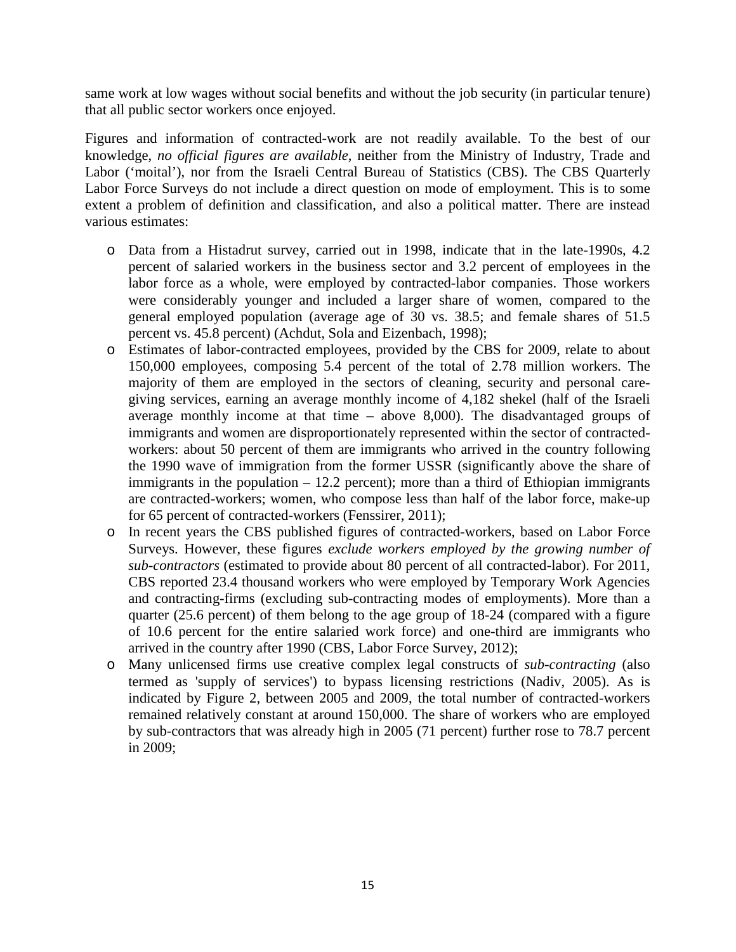same work at low wages without social benefits and without the job security (in particular tenure) that all public sector workers once enjoyed.

Figures and information of contracted-work are not readily available. To the best of our knowledge, *no official figures are available*, neither from the Ministry of Industry, Trade and Labor ('moital'), nor from the Israeli Central Bureau of Statistics (CBS). The CBS Quarterly Labor Force Surveys do not include a direct question on mode of employment. This is to some extent a problem of definition and classification, and also a political matter. There are instead various estimates:

- o Data from a Histadrut survey, carried out in 1998, indicate that in the late-1990s, 4.2 percent of salaried workers in the business sector and 3.2 percent of employees in the labor force as a whole, were employed by contracted-labor companies. Those workers were considerably younger and included a larger share of women, compared to the general employed population (average age of 30 vs. 38.5; and female shares of 51.5 percent vs. 45.8 percent) (Achdut, Sola and Eizenbach, 1998);
- o Estimates of labor-contracted employees, provided by the CBS for 2009, relate to about 150,000 employees, composing 5.4 percent of the total of 2.78 million workers. The majority of them are employed in the sectors of cleaning, security and personal caregiving services, earning an average monthly income of 4,182 shekel (half of the Israeli average monthly income at that time – above 8,000). The disadvantaged groups of immigrants and women are disproportionately represented within the sector of contractedworkers: about 50 percent of them are immigrants who arrived in the country following the 1990 wave of immigration from the former USSR (significantly above the share of immigrants in the population  $-12.2$  percent); more than a third of Ethiopian immigrants are contracted-workers; women, who compose less than half of the labor force, make-up for 65 percent of contracted-workers (Fenssirer, 2011);
- o In recent years the CBS published figures of contracted-workers, based on Labor Force Surveys. However, these figures *exclude workers employed by the growing number of sub-contractors* (estimated to provide about 80 percent of all contracted-labor). For 2011, CBS reported 23.4 thousand workers who were employed by Temporary Work Agencies and contracting-firms (excluding sub-contracting modes of employments). More than a quarter (25.6 percent) of them belong to the age group of 18-24 (compared with a figure of 10.6 percent for the entire salaried work force) and one-third are immigrants who arrived in the country after 1990 (CBS, Labor Force Survey, 2012);
- o Many unlicensed firms use creative complex legal constructs of *sub-contracting* (also termed as 'supply of services') to bypass licensing restrictions (Nadiv, 2005). As is indicated by Figure 2, between 2005 and 2009, the total number of contracted-workers remained relatively constant at around 150,000. The share of workers who are employed by sub-contractors that was already high in 2005 (71 percent) further rose to 78.7 percent in 2009;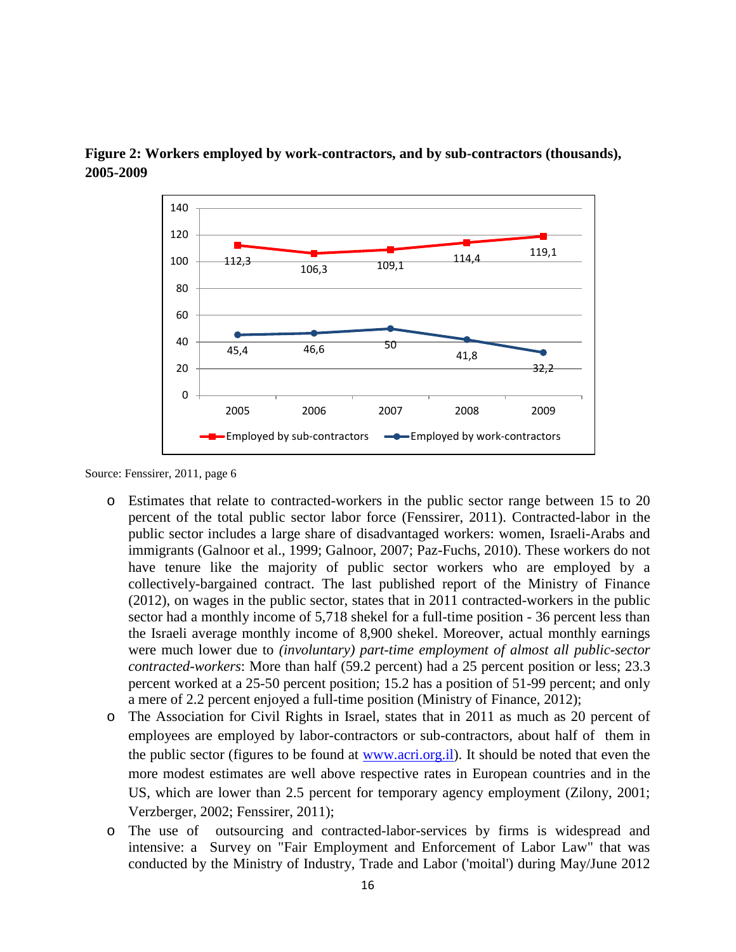



Source: Fenssirer, 2011, page 6

- o Estimates that relate to contracted-workers in the public sector range between 15 to 20 percent of the total public sector labor force (Fenssirer, 2011). Contracted-labor in the public sector includes a large share of disadvantaged workers: women, Israeli-Arabs and immigrants (Galnoor et al., 1999; Galnoor, 2007; Paz-Fuchs, 2010). These workers do not have tenure like the majority of public sector workers who are employed by a collectively-bargained contract. The last published report of the Ministry of Finance (2012), on wages in the public sector, states that in 2011 contracted-workers in the public sector had a monthly income of 5,718 shekel for a full-time position - 36 percent less than the Israeli average monthly income of 8,900 shekel. Moreover, actual monthly earnings were much lower due to *(involuntary) part-time employment of almost all public-sector contracted-workers*: More than half (59.2 percent) had a 25 percent position or less; 23.3 percent worked at a 25-50 percent position; 15.2 has a position of 51-99 percent; and only a mere of 2.2 percent enjoyed a full-time position (Ministry of Finance, 2012);
- o The Association for Civil Rights in Israel, states that in 2011 as much as 20 percent of employees are employed by labor-contractors or sub-contractors, about half of them in the public sector (figures to be found at [www.acri.org.il\)](http://www.acri.org.il/). It should be noted that even the more modest estimates are well above respective rates in European countries and in the US, which are lower than 2.5 percent for temporary agency employment (Zilony, 2001; Verzberger, 2002; Fenssirer, 2011);
- o The use of outsourcing and contracted-labor-services by firms is widespread and intensive: a Survey on "Fair Employment and Enforcement of Labor Law" that was conducted by the Ministry of Industry, Trade and Labor ('moital') during May/June 2012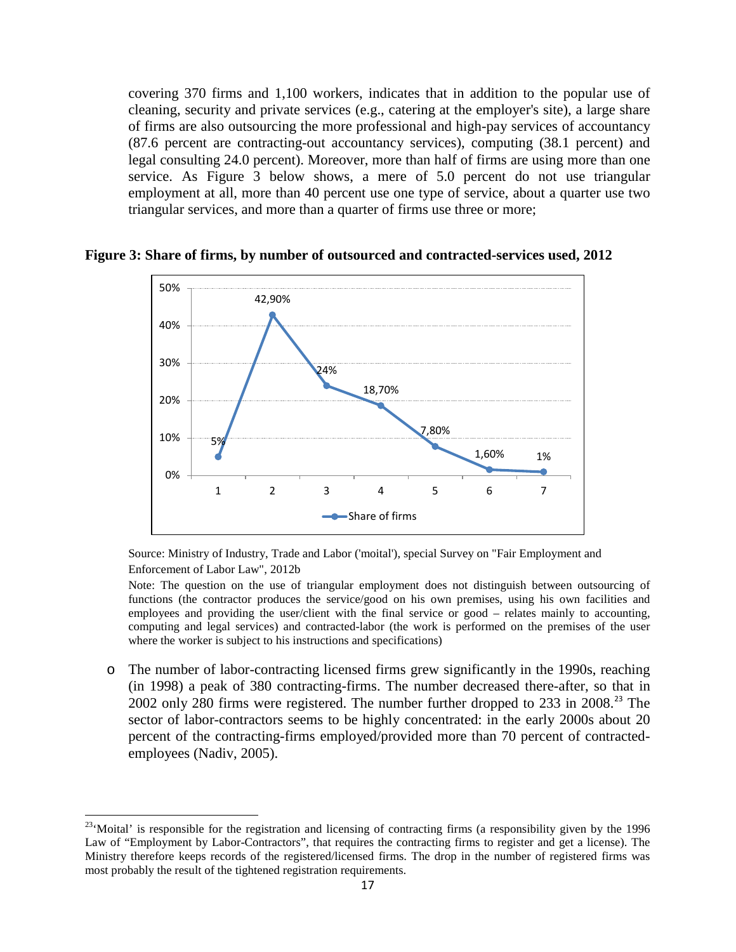covering 370 firms and 1,100 workers, indicates that in addition to the popular use of cleaning, security and private services (e.g., catering at the employer's site), a large share of firms are also outsourcing the more professional and high-pay services of accountancy (87.6 percent are contracting-out accountancy services), computing (38.1 percent) and legal consulting 24.0 percent). Moreover, more than half of firms are using more than one service. As Figure 3 below shows, a mere of 5.0 percent do not use triangular employment at all, more than 40 percent use one type of service, about a quarter use two triangular services, and more than a quarter of firms use three or more;



**Figure 3: Share of firms, by number of outsourced and contracted-services used, 2012**

Source: Ministry of Industry, Trade and Labor ('moital'), special Survey on "Fair Employment and Enforcement of Labor Law", 2012b

Note: The question on the use of triangular employment does not distinguish between outsourcing of functions (the contractor produces the service/good on his own premises, using his own facilities and employees and providing the user/client with the final service or good – relates mainly to accounting, computing and legal services) and contracted-labor (the work is performed on the premises of the user where the worker is subject to his instructions and specifications)

o The number of labor-contracting licensed firms grew significantly in the 1990s, reaching (in 1998) a peak of 380 contracting-firms. The number decreased there-after, so that in 2002 only 280 firms were registered. The number further dropped to [23](#page-15-1)3 in 2008<sup>23</sup>. sector of labor-contractors seems to be highly concentrated: in the early 2000s about 20 percent of the contracting-firms employed/provided more than 70 percent of contractedemployees (Nadiv, 2005).

<span id="page-18-0"></span><sup>&</sup>lt;sup>23</sup>'Moital' is responsible for the registration and licensing of contracting firms (a responsibility given by the 1996 Law of "Employment by Labor-Contractors", that requires the contracting firms to register and get a license). The Ministry therefore keeps records of the registered/licensed firms. The drop in the number of registered firms was most probably the result of the tightened registration requirements.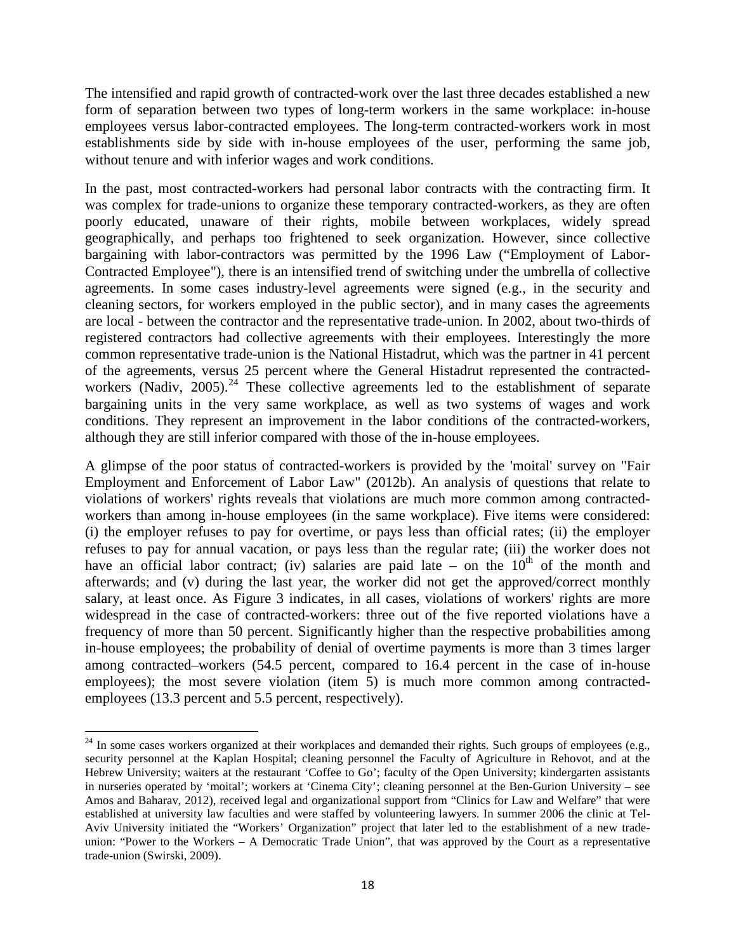The intensified and rapid growth of contracted-work over the last three decades established a new form of separation between two types of long-term workers in the same workplace: in-house employees versus labor-contracted employees. The long-term contracted-workers work in most establishments side by side with in-house employees of the user, performing the same job, without tenure and with inferior wages and work conditions.

In the past, most contracted-workers had personal labor contracts with the contracting firm. It was complex for trade-unions to organize these temporary contracted-workers, as they are often poorly educated, unaware of their rights, mobile between workplaces, widely spread geographically, and perhaps too frightened to seek organization. However, since collective bargaining with labor-contractors was permitted by the 1996 Law ("Employment of Labor-Contracted Employee"), there is an intensified trend of switching under the umbrella of collective agreements. In some cases industry-level agreements were signed (e.g., in the security and cleaning sectors, for workers employed in the public sector), and in many cases the agreements are local - between the contractor and the representative trade-union. In 2002, about two-thirds of registered contractors had collective agreements with their employees. Interestingly the more common representative trade-union is the National Histadrut, which was the partner in 41 percent of the agreements, versus 25 percent where the General Histadrut represented the contracted-workers (Nadiv, 2005).<sup>[24](#page-18-0)</sup> These collective agreements led to the establishment of separate bargaining units in the very same workplace, as well as two systems of wages and work conditions. They represent an improvement in the labor conditions of the contracted-workers, although they are still inferior compared with those of the in-house employees.

A glimpse of the poor status of contracted-workers is provided by the 'moital' survey on "Fair Employment and Enforcement of Labor Law" (2012b). An analysis of questions that relate to violations of workers' rights reveals that violations are much more common among contractedworkers than among in-house employees (in the same workplace). Five items were considered: (i) the employer refuses to pay for overtime, or pays less than official rates; (ii) the employer refuses to pay for annual vacation, or pays less than the regular rate; (iii) the worker does not have an official labor contract; (iv) salaries are paid late – on the  $10<sup>th</sup>$  of the month and afterwards; and (v) during the last year, the worker did not get the approved/correct monthly salary, at least once. As Figure 3 indicates, in all cases, violations of workers' rights are more widespread in the case of contracted-workers: three out of the five reported violations have a frequency of more than 50 percent. Significantly higher than the respective probabilities among in-house employees; the probability of denial of overtime payments is more than 3 times larger among contracted–workers (54.5 percent, compared to 16.4 percent in the case of in-house employees); the most severe violation (item 5) is much more common among contractedemployees (13.3 percent and 5.5 percent, respectively).

<span id="page-19-0"></span><sup>&</sup>lt;sup>24</sup> In some cases workers organized at their workplaces and demanded their rights. Such groups of employees (e.g., security personnel at the Kaplan Hospital; cleaning personnel the Faculty of Agriculture in Rehovot, and at the Hebrew University; waiters at the restaurant 'Coffee to Go'; faculty of the Open University; kindergarten assistants in nurseries operated by 'moital'; workers at 'Cinema City'; cleaning personnel at the Ben-Gurion University – see Amos and Baharav, 2012), received legal and organizational support from "Clinics for Law and Welfare" that were established at university law faculties and were staffed by volunteering lawyers. In summer 2006 the clinic at Tel-Aviv University initiated the "Workers' Organization" project that later led to the establishment of a new tradeunion: "Power to the Workers – A Democratic Trade Union", that was approved by the Court as a representative trade-union (Swirski, 2009).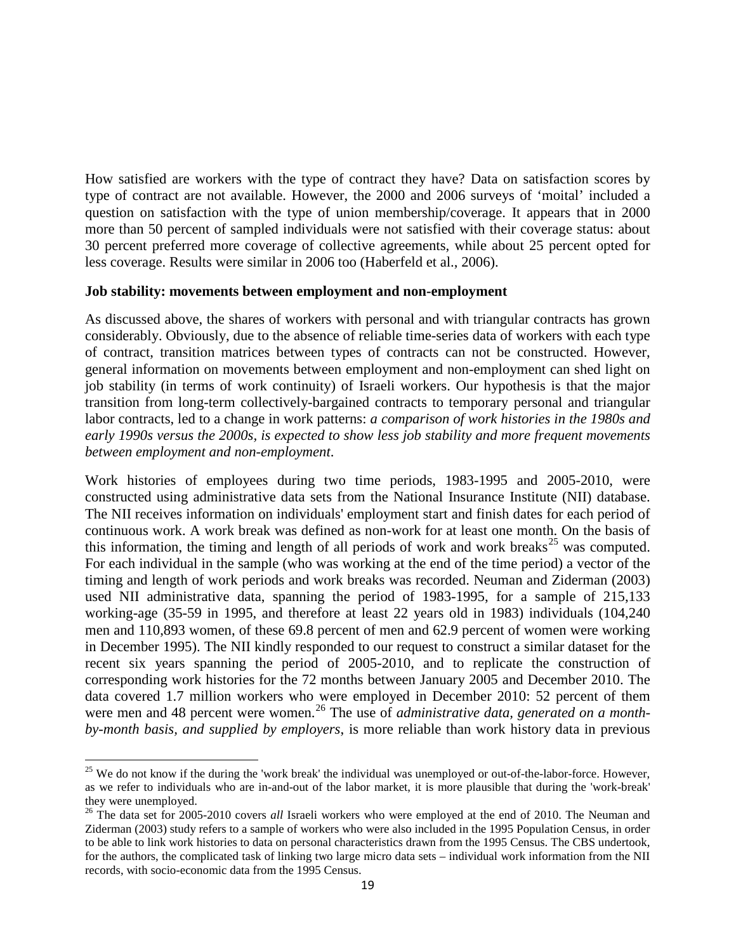How satisfied are workers with the type of contract they have? Data on satisfaction scores by type of contract are not available. However, the 2000 and 2006 surveys of 'moital' included a question on satisfaction with the type of union membership/coverage. It appears that in 2000 more than 50 percent of sampled individuals were not satisfied with their coverage status: about 30 percent preferred more coverage of collective agreements, while about 25 percent opted for less coverage. Results were similar in 2006 too (Haberfeld et al., 2006).

#### **Job stability: movements between employment and non-employment**

As discussed above, the shares of workers with personal and with triangular contracts has grown considerably. Obviously, due to the absence of reliable time-series data of workers with each type of contract, transition matrices between types of contracts can not be constructed. However, general information on movements between employment and non-employment can shed light on job stability (in terms of work continuity) of Israeli workers. Our hypothesis is that the major transition from long-term collectively-bargained contracts to temporary personal and triangular labor contracts, led to a change in work patterns: *a comparison of work histories in the 1980s and early 1990s versus the 2000s, is expected to show less job stability and more frequent movements between employment and non-employment*.

Work histories of employees during two time periods, 1983-1995 and 2005-2010, were constructed using administrative data sets from the National Insurance Institute (NII) database. The NII receives information on individuals' employment start and finish dates for each period of continuous work. A work break was defined as non-work for at least one month. On the basis of this information, the timing and length of all periods of work and work breaks<sup>[25](#page-19-0)</sup> was computed. For each individual in the sample (who was working at the end of the time period) a vector of the timing and length of work periods and work breaks was recorded. Neuman and Ziderman (2003) used NII administrative data, spanning the period of 1983-1995, for a sample of 215,133 working-age (35-59 in 1995, and therefore at least 22 years old in 1983) individuals (104,240 men and 110,893 women, of these 69.8 percent of men and 62.9 percent of women were working in December 1995). The NII kindly responded to our request to construct a similar dataset for the recent six years spanning the period of 2005-2010, and to replicate the construction of corresponding work histories for the 72 months between January 2005 and December 2010. The data covered 1.7 million workers who were employed in December 2010: 52 percent of them were men and 48 percent were women.<sup>[26](#page-20-0)</sup> The use of *administrative data, generated on a monthby-month basis, and supplied by employers*, is more reliable than work history data in previous

 $25$  We do not know if the during the 'work break' the individual was unemployed or out-of-the-labor-force. However, as we refer to individuals who are in-and-out of the labor market, it is more plausible that during the 'work-break' they were unemployed. <sup>26</sup> The data set for 2005-2010 covers *all* Israeli workers who were employed at the end of 2010. The Neuman and

<span id="page-20-1"></span><span id="page-20-0"></span>Ziderman (2003) study refers to a sample of workers who were also included in the 1995 Population Census, in order to be able to link work histories to data on personal characteristics drawn from the 1995 Census. The CBS undertook, for the authors, the complicated task of linking two large micro data sets – individual work information from the NII records, with socio-economic data from the 1995 Census.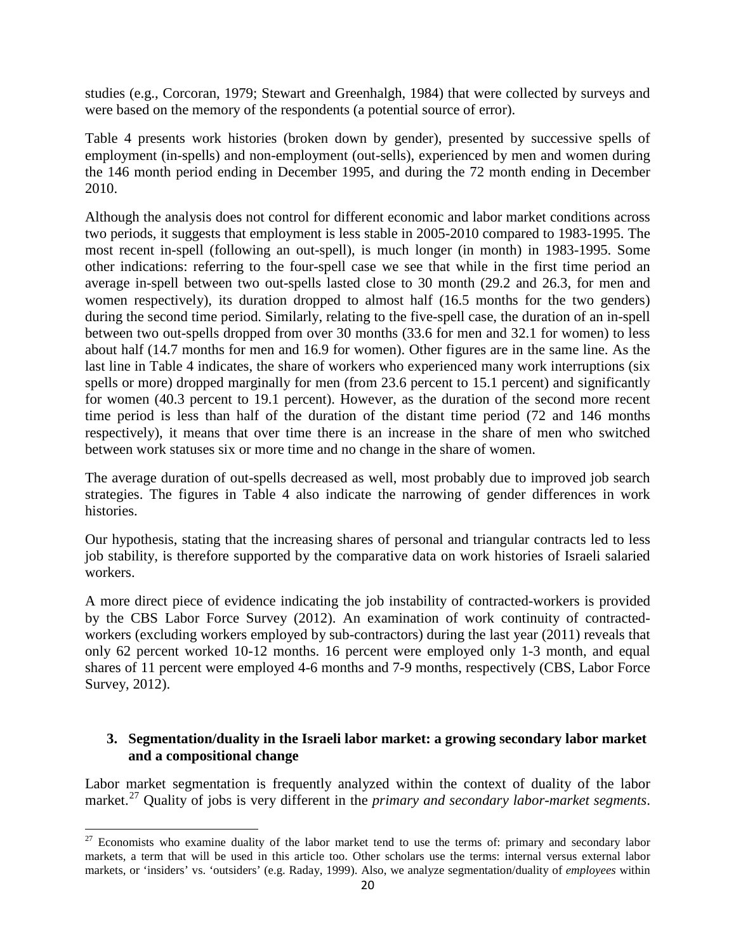studies (e.g., Corcoran, 1979; Stewart and Greenhalgh, 1984) that were collected by surveys and were based on the memory of the respondents (a potential source of error).

Table 4 presents work histories (broken down by gender), presented by successive spells of employment (in-spells) and non-employment (out-sells), experienced by men and women during the 146 month period ending in December 1995, and during the 72 month ending in December 2010.

Although the analysis does not control for different economic and labor market conditions across two periods, it suggests that employment is less stable in 2005-2010 compared to 1983-1995. The most recent in-spell (following an out-spell), is much longer (in month) in 1983-1995. Some other indications: referring to the four-spell case we see that while in the first time period an average in-spell between two out-spells lasted close to 30 month (29.2 and 26.3, for men and women respectively), its duration dropped to almost half (16.5 months for the two genders) during the second time period. Similarly, relating to the five-spell case, the duration of an in-spell between two out-spells dropped from over 30 months (33.6 for men and 32.1 for women) to less about half (14.7 months for men and 16.9 for women). Other figures are in the same line. As the last line in Table 4 indicates, the share of workers who experienced many work interruptions (six spells or more) dropped marginally for men (from 23.6 percent to 15.1 percent) and significantly for women (40.3 percent to 19.1 percent). However, as the duration of the second more recent time period is less than half of the duration of the distant time period (72 and 146 months respectively), it means that over time there is an increase in the share of men who switched between work statuses six or more time and no change in the share of women.

The average duration of out-spells decreased as well, most probably due to improved job search strategies. The figures in Table 4 also indicate the narrowing of gender differences in work histories.

Our hypothesis, stating that the increasing shares of personal and triangular contracts led to less job stability, is therefore supported by the comparative data on work histories of Israeli salaried workers.

A more direct piece of evidence indicating the job instability of contracted-workers is provided by the CBS Labor Force Survey (2012). An examination of work continuity of contractedworkers (excluding workers employed by sub-contractors) during the last year (2011) reveals that only 62 percent worked 10-12 months. 16 percent were employed only 1-3 month, and equal shares of 11 percent were employed 4-6 months and 7-9 months, respectively (CBS, Labor Force Survey, 2012).

#### **3. Segmentation/duality in the Israeli labor market: a growing secondary labor market and a compositional change**

<span id="page-21-0"></span>Labor market segmentation is frequently analyzed within the context of duality of the labor market.[27](#page-20-1) Quality of jobs is very different in the *primary and secondary labor-market segments*.

 $27$  Economists who examine duality of the labor market tend to use the terms of: primary and secondary labor markets, a term that will be used in this article too. Other scholars use the terms: internal versus external labor markets, or 'insiders' vs. 'outsiders' (e.g. Raday, 1999). Also, we analyze segmentation/duality of *employees* within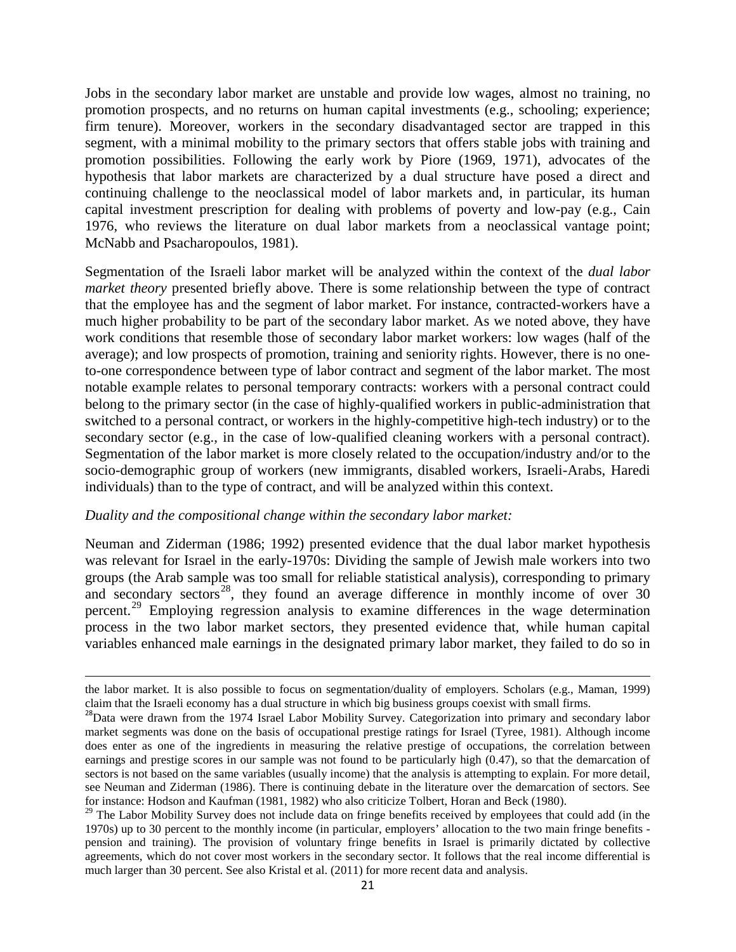Jobs in the secondary labor market are unstable and provide low wages, almost no training, no promotion prospects, and no returns on human capital investments (e.g., schooling; experience; firm tenure). Moreover, workers in the secondary disadvantaged sector are trapped in this segment, with a minimal mobility to the primary sectors that offers stable jobs with training and promotion possibilities. Following the early work by Piore (1969, 1971), advocates of the hypothesis that labor markets are characterized by a dual structure have posed a direct and continuing challenge to the neoclassical model of labor markets and, in particular, its human capital investment prescription for dealing with problems of poverty and low-pay (e.g., Cain 1976, who reviews the literature on dual labor markets from a neoclassical vantage point; McNabb and Psacharopoulos, 1981).

Segmentation of the Israeli labor market will be analyzed within the context of the *dual labor market theory* presented briefly above. There is some relationship between the type of contract that the employee has and the segment of labor market. For instance, contracted-workers have a much higher probability to be part of the secondary labor market. As we noted above, they have work conditions that resemble those of secondary labor market workers: low wages (half of the average); and low prospects of promotion, training and seniority rights. However, there is no oneto-one correspondence between type of labor contract and segment of the labor market. The most notable example relates to personal temporary contracts: workers with a personal contract could belong to the primary sector (in the case of highly-qualified workers in public-administration that switched to a personal contract, or workers in the highly-competitive high-tech industry) or to the secondary sector (e.g., in the case of low-qualified cleaning workers with a personal contract). Segmentation of the labor market is more closely related to the occupation/industry and/or to the socio-demographic group of workers (new immigrants, disabled workers, Israeli-Arabs, Haredi individuals) than to the type of contract, and will be analyzed within this context.

#### *Duality and the compositional change within the secondary labor market:*

 $\overline{a}$ 

Neuman and Ziderman (1986; 1992) presented evidence that the dual labor market hypothesis was relevant for Israel in the early-1970s: Dividing the sample of Jewish male workers into two groups (the Arab sample was too small for reliable statistical analysis), corresponding to primary and secondary sectors<sup>[28](#page-21-0)</sup>, they found an average difference in monthly income of over  $30$ percent.[29](#page-22-0) Employing regression analysis to examine differences in the wage determination process in the two labor market sectors, they presented evidence that, while human capital variables enhanced male earnings in the designated primary labor market, they failed to do so in

the labor market. It is also possible to focus on segmentation/duality of employers. Scholars (e.g., Maman, 1999) claim that the Israeli economy has a dual structure in which big business groups coexist with small firms.

<sup>&</sup>lt;sup>28</sup>Data were drawn from the 1974 Israel Labor Mobility Survey. Categorization into primary and secondary labor market segments was done on the basis of occupational prestige ratings for Israel (Tyree, 1981). Although income does enter as one of the ingredients in measuring the relative prestige of occupations, the correlation between earnings and prestige scores in our sample was not found to be particularly high (0.47), so that the demarcation of sectors is not based on the same variables (usually income) that the analysis is attempting to explain. For more detail, see Neuman and Ziderman (1986). There is continuing debate in the literature over the demarcation of sectors. See for instance: Hodson and Kaufman (1981, 1982) who also criticize Tolbert, Horan and Beck (1980).

<span id="page-22-1"></span><span id="page-22-0"></span> $29$  The Labor Mobility Survey does not include data on fringe benefits received by employees that could add (in the 1970s) up to 30 percent to the monthly income (in particular, employers' allocation to the two main fringe benefits pension and training). The provision of voluntary fringe benefits in Israel is primarily dictated by collective agreements, which do not cover most workers in the secondary sector. It follows that the real income differential is much larger than 30 percent. See also Kristal et al. (2011) for more recent data and analysis.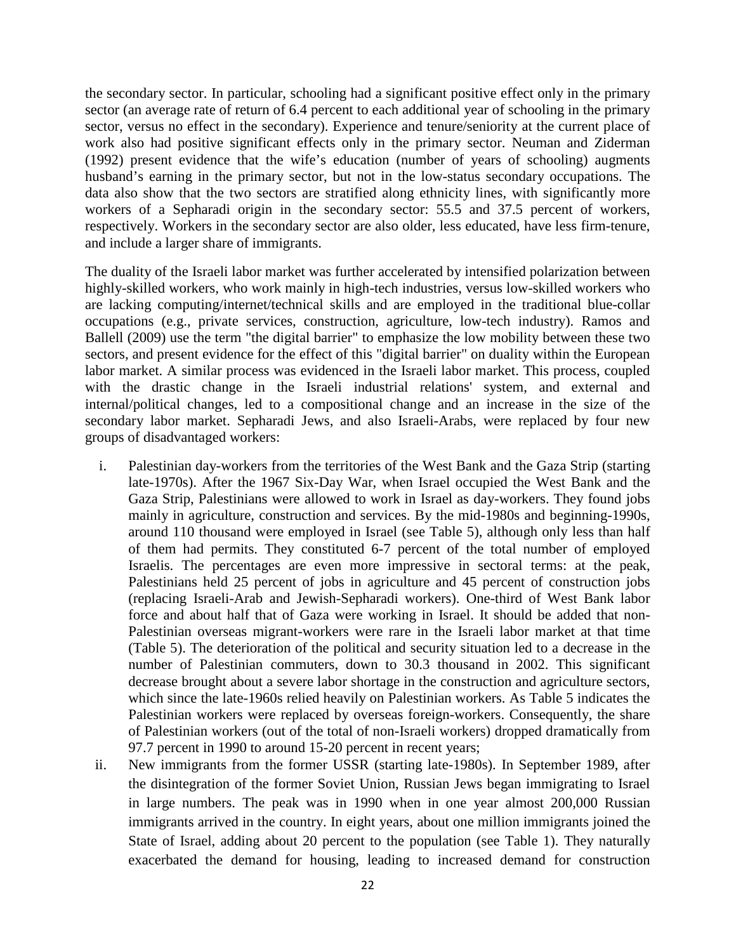the secondary sector. In particular, schooling had a significant positive effect only in the primary sector (an average rate of return of 6.4 percent to each additional year of schooling in the primary sector, versus no effect in the secondary). Experience and tenure/seniority at the current place of work also had positive significant effects only in the primary sector. Neuman and Ziderman (1992) present evidence that the wife's education (number of years of schooling) augments husband's earning in the primary sector, but not in the low-status secondary occupations. The data also show that the two sectors are stratified along ethnicity lines, with significantly more workers of a Sepharadi origin in the secondary sector: 55.5 and 37.5 percent of workers, respectively. Workers in the secondary sector are also older, less educated, have less firm-tenure, and include a larger share of immigrants.

The duality of the Israeli labor market was further accelerated by intensified polarization between highly-skilled workers, who work mainly in high-tech industries, versus low-skilled workers who are lacking computing/internet/technical skills and are employed in the traditional blue-collar occupations (e.g., private services, construction, agriculture, low-tech industry). Ramos and Ballell (2009) use the term "the digital barrier" to emphasize the low mobility between these two sectors, and present evidence for the effect of this "digital barrier" on duality within the European labor market. A similar process was evidenced in the Israeli labor market. This process, coupled with the drastic change in the Israeli industrial relations' system, and external and internal/political changes, led to a compositional change and an increase in the size of the secondary labor market. Sepharadi Jews, and also Israeli-Arabs, were replaced by four new groups of disadvantaged workers:

- i. Palestinian day-workers from the territories of the West Bank and the Gaza Strip (starting late-1970s). After the 1967 Six-Day War, when Israel occupied the West Bank and the Gaza Strip, Palestinians were allowed to work in Israel as day-workers. They found jobs mainly in agriculture, construction and services. By the mid-1980s and beginning-1990s, around 110 thousand were employed in Israel (see Table 5), although only less than half of them had permits. They constituted 6-7 percent of the total number of employed Israelis. The percentages are even more impressive in sectoral terms: at the peak, Palestinians held 25 percent of jobs in agriculture and 45 percent of construction jobs (replacing Israeli-Arab and Jewish-Sepharadi workers). One-third of West Bank labor force and about half that of Gaza were working in Israel. It should be added that non-Palestinian overseas migrant-workers were rare in the Israeli labor market at that time (Table 5). The deterioration of the political and security situation led to a decrease in the number of Palestinian commuters, down to 30.3 thousand in 2002. This significant decrease brought about a severe labor shortage in the construction and agriculture sectors, which since the late-1960s relied heavily on Palestinian workers. As Table 5 indicates the Palestinian workers were replaced by overseas foreign-workers. Consequently, the share of Palestinian workers (out of the total of non-Israeli workers) dropped dramatically from 97.7 percent in 1990 to around 15-20 percent in recent years;
- ii. New immigrants from the former USSR (starting late-1980s). In September 1989, after the disintegration of the former Soviet Union, Russian Jews began immigrating to Israel in large numbers. The peak was in 1990 when in one year almost 200,000 Russian immigrants arrived in the country. In eight years, about one million immigrants joined the State of Israel, adding about 20 percent to the population (see Table 1). They naturally exacerbated the demand for housing, leading to increased demand for construction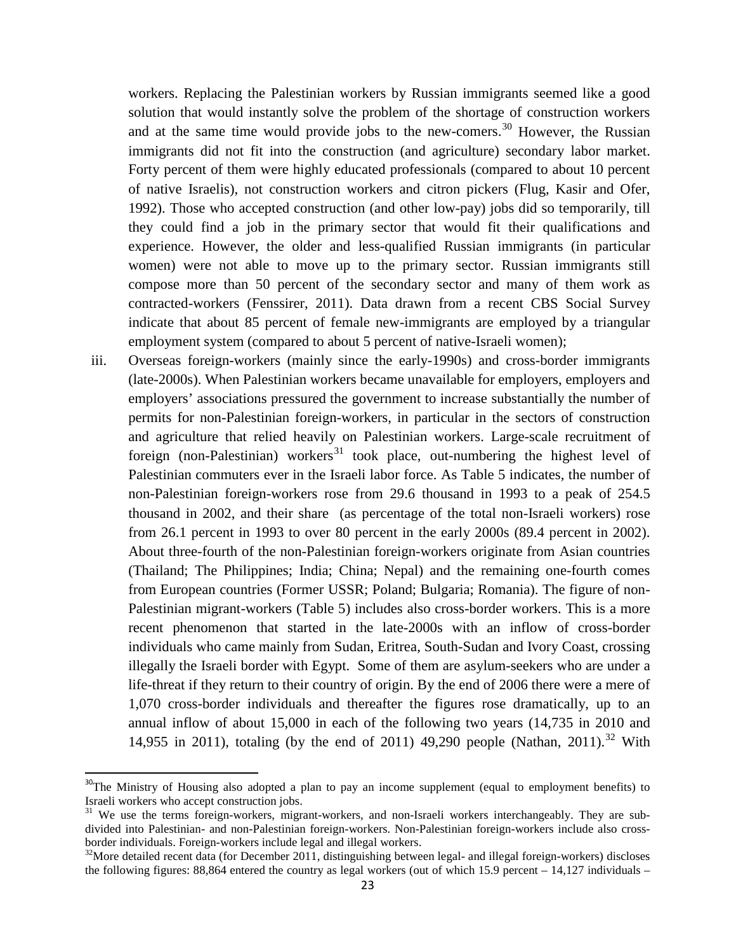workers. Replacing the Palestinian workers by Russian immigrants seemed like a good solution that would instantly solve the problem of the shortage of construction workers and at the same time would provide jobs to the new-comers.<sup>[30](#page-22-1)</sup> However, the Russian immigrants did not fit into the construction (and agriculture) secondary labor market. Forty percent of them were highly educated professionals (compared to about 10 percent of native Israelis), not construction workers and citron pickers (Flug, Kasir and Ofer, 1992). Those who accepted construction (and other low-pay) jobs did so temporarily, till they could find a job in the primary sector that would fit their qualifications and experience. However, the older and less-qualified Russian immigrants (in particular women) were not able to move up to the primary sector. Russian immigrants still compose more than 50 percent of the secondary sector and many of them work as contracted-workers (Fenssirer, 2011). Data drawn from a recent CBS Social Survey indicate that about 85 percent of female new-immigrants are employed by a triangular employment system (compared to about 5 percent of native-Israeli women);

iii. Overseas foreign-workers (mainly since the early-1990s) and cross-border immigrants (late-2000s). When Palestinian workers became unavailable for employers, employers and employers' associations pressured the government to increase substantially the number of permits for non-Palestinian foreign-workers, in particular in the sectors of construction and agriculture that relied heavily on Palestinian workers. Large-scale recruitment of foreign (non-Palestinian) workers<sup>[31](#page-24-0)</sup> took place, out-numbering the highest level of Palestinian commuters ever in the Israeli labor force. As Table 5 indicates, the number of non-Palestinian foreign-workers rose from 29.6 thousand in 1993 to a peak of 254.5 thousand in 2002, and their share (as percentage of the total non-Israeli workers) rose from 26.1 percent in 1993 to over 80 percent in the early 2000s (89.4 percent in 2002). About three-fourth of the non-Palestinian foreign-workers originate from Asian countries (Thailand; The Philippines; India; China; Nepal) and the remaining one-fourth comes from European countries (Former USSR; Poland; Bulgaria; Romania). The figure of non-Palestinian migrant-workers (Table 5) includes also cross-border workers. This is a more recent phenomenon that started in the late-2000s with an inflow of cross-border individuals who came mainly from Sudan, Eritrea, South-Sudan and Ivory Coast, crossing illegally the Israeli border with Egypt. Some of them are asylum-seekers who are under a life-threat if they return to their country of origin. By the end of 2006 there were a mere of 1,070 cross-border individuals and thereafter the figures rose dramatically, up to an annual inflow of about 15,000 in each of the following two years (14,735 in 2010 and 14,955 in 2011), totaling (by the end of 2011) 49,290 people (Nathan, 2011).<sup>[32](#page-24-1)</sup> With

<span id="page-24-2"></span><sup>&</sup>lt;sup>30</sup>The Ministry of Housing also adopted a plan to pay an income supplement (equal to employment benefits) to Israeli workers who accept construction jobs.

<span id="page-24-0"></span><sup>&</sup>lt;sup>31</sup> We use the terms foreign-workers, migrant-workers, and non-Israeli workers interchangeably. They are subdivided into Palestinian- and non-Palestinian foreign-workers. Non-Palestinian foreign-workers include also crossborder individuals. Foreign-workers include legal and illegal workers.<br><sup>32</sup>More detailed recent data (for December 2011, distinguishing between legal- and illegal foreign-workers) discloses

<span id="page-24-1"></span>the following figures: 88,864 entered the country as legal workers (out of which 15.9 percent – 14,127 individuals –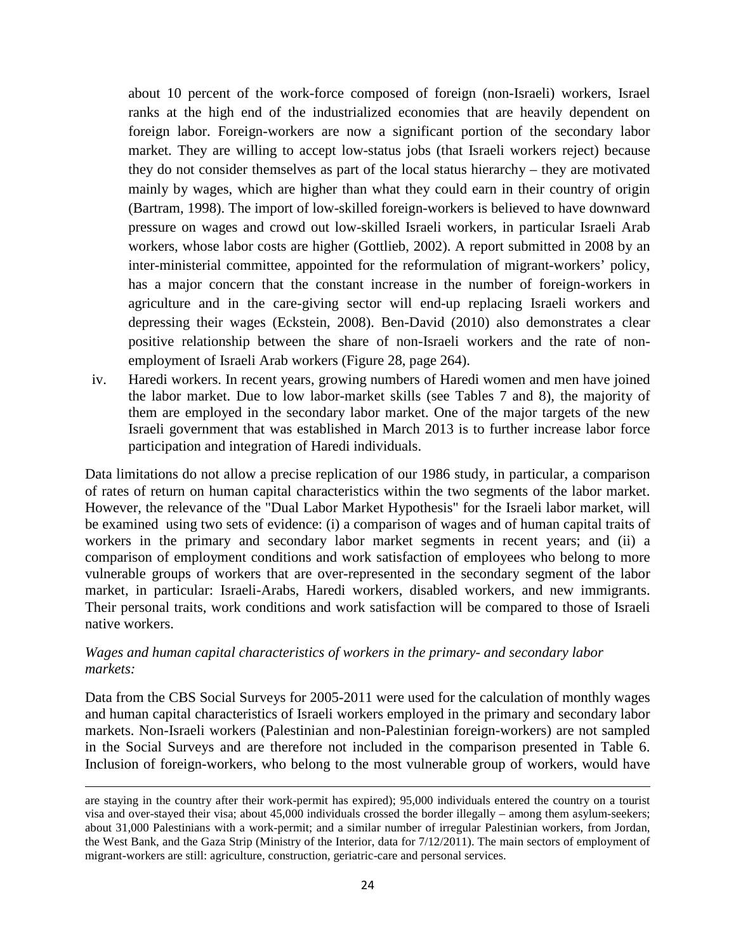about 10 percent of the work-force composed of foreign (non-Israeli) workers, Israel ranks at the high end of the industrialized economies that are heavily dependent on foreign labor. Foreign-workers are now a significant portion of the secondary labor market. They are willing to accept low-status jobs (that Israeli workers reject) because they do not consider themselves as part of the local status hierarchy – they are motivated mainly by wages, which are higher than what they could earn in their country of origin (Bartram, 1998). The import of low-skilled foreign-workers is believed to have downward pressure on wages and crowd out low-skilled Israeli workers, in particular Israeli Arab workers, whose labor costs are higher (Gottlieb, 2002). A report submitted in 2008 by an inter-ministerial committee, appointed for the reformulation of migrant-workers' policy, has a major concern that the constant increase in the number of foreign-workers in agriculture and in the care-giving sector will end-up replacing Israeli workers and depressing their wages (Eckstein, 2008). Ben-David (2010) also demonstrates a clear positive relationship between the share of non-Israeli workers and the rate of nonemployment of Israeli Arab workers (Figure 28, page 264).

iv. Haredi workers. In recent years, growing numbers of Haredi women and men have joined the labor market. Due to low labor-market skills (see Tables 7 and 8), the majority of them are employed in the secondary labor market. One of the major targets of the new Israeli government that was established in March 2013 is to further increase labor force participation and integration of Haredi individuals.

Data limitations do not allow a precise replication of our 1986 study, in particular, a comparison of rates of return on human capital characteristics within the two segments of the labor market. However, the relevance of the "Dual Labor Market Hypothesis" for the Israeli labor market, will be examined using two sets of evidence: (i) a comparison of wages and of human capital traits of workers in the primary and secondary labor market segments in recent years; and (ii) a comparison of employment conditions and work satisfaction of employees who belong to more vulnerable groups of workers that are over-represented in the secondary segment of the labor market, in particular: Israeli-Arabs, Haredi workers, disabled workers, and new immigrants. Their personal traits, work conditions and work satisfaction will be compared to those of Israeli native workers.

#### *Wages and human capital characteristics of workers in the primary- and secondary labor markets:*

 $\overline{a}$ 

Data from the CBS Social Surveys for 2005-2011 were used for the calculation of monthly wages and human capital characteristics of Israeli workers employed in the primary and secondary labor markets. Non-Israeli workers (Palestinian and non-Palestinian foreign-workers) are not sampled in the Social Surveys and are therefore not included in the comparison presented in Table 6. Inclusion of foreign-workers, who belong to the most vulnerable group of workers, would have

are staying in the country after their work-permit has expired); 95,000 individuals entered the country on a tourist visa and over-stayed their visa; about 45,000 individuals crossed the border illegally – among them asylum-seekers; about 31,000 Palestinians with a work-permit; and a similar number of irregular Palestinian workers, from Jordan, the West Bank, and the Gaza Strip (Ministry of the Interior, data for 7/12/2011). The main sectors of employment of migrant-workers are still: agriculture, construction, geriatric-care and personal services.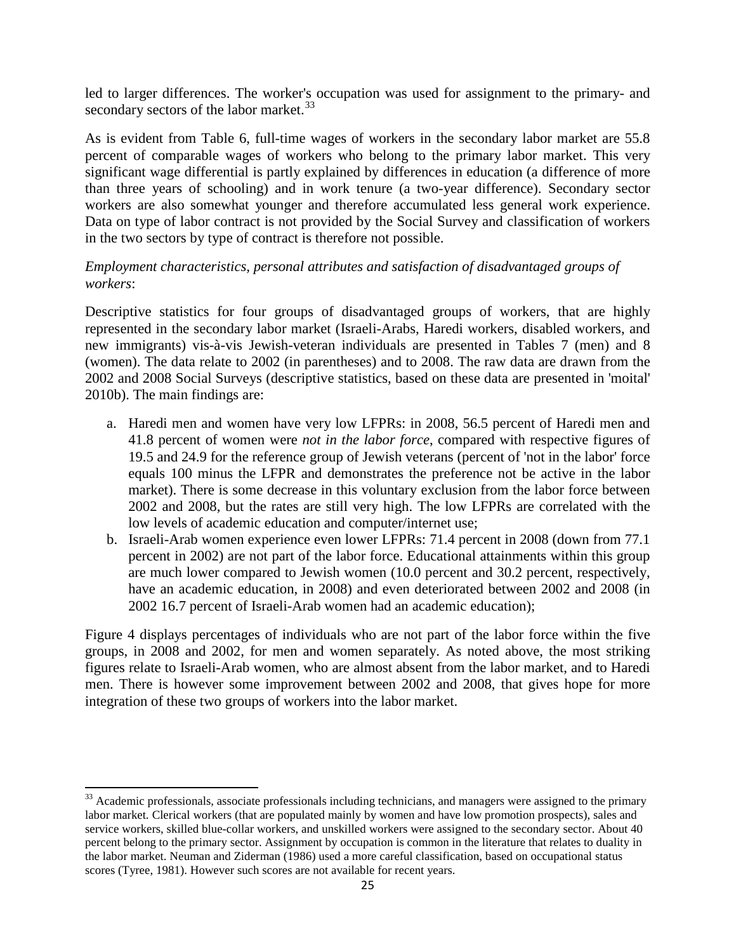led to larger differences. The worker's occupation was used for assignment to the primary- and secondary sectors of the labor market.<sup>[33](#page-24-2)</sup>

As is evident from Table 6, full-time wages of workers in the secondary labor market are 55.8 percent of comparable wages of workers who belong to the primary labor market. This very significant wage differential is partly explained by differences in education (a difference of more than three years of schooling) and in work tenure (a two-year difference). Secondary sector workers are also somewhat younger and therefore accumulated less general work experience. Data on type of labor contract is not provided by the Social Survey and classification of workers in the two sectors by type of contract is therefore not possible.

#### *Employment characteristics, personal attributes and satisfaction of disadvantaged groups of workers*:

Descriptive statistics for four groups of disadvantaged groups of workers, that are highly represented in the secondary labor market (Israeli-Arabs, Haredi workers, disabled workers, and new immigrants) vis-à-vis Jewish-veteran individuals are presented in Tables 7 (men) and 8 (women). The data relate to 2002 (in parentheses) and to 2008. The raw data are drawn from the 2002 and 2008 Social Surveys (descriptive statistics, based on these data are presented in 'moital' 2010b). The main findings are:

- a. Haredi men and women have very low LFPRs: in 2008, 56.5 percent of Haredi men and 41.8 percent of women were *not in the labor force*, compared with respective figures of 19.5 and 24.9 for the reference group of Jewish veterans (percent of 'not in the labor' force equals 100 minus the LFPR and demonstrates the preference not be active in the labor market). There is some decrease in this voluntary exclusion from the labor force between 2002 and 2008, but the rates are still very high. The low LFPRs are correlated with the low levels of academic education and computer/internet use;
- b. Israeli-Arab women experience even lower LFPRs: 71.4 percent in 2008 (down from 77.1 percent in 2002) are not part of the labor force. Educational attainments within this group are much lower compared to Jewish women (10.0 percent and 30.2 percent, respectively, have an academic education, in 2008) and even deteriorated between 2002 and 2008 (in 2002 16.7 percent of Israeli-Arab women had an academic education);

Figure 4 displays percentages of individuals who are not part of the labor force within the five groups, in 2008 and 2002, for men and women separately. As noted above, the most striking figures relate to Israeli-Arab women, who are almost absent from the labor market, and to Haredi men. There is however some improvement between 2002 and 2008, that gives hope for more integration of these two groups of workers into the labor market.

<span id="page-26-0"></span><sup>&</sup>lt;sup>33</sup> Academic professionals, associate professionals including technicians, and managers were assigned to the primary labor market. Clerical workers (that are populated mainly by women and have low promotion prospects), sales and service workers, skilled blue-collar workers, and unskilled workers were assigned to the secondary sector. About 40 percent belong to the primary sector. Assignment by occupation is common in the literature that relates to duality in the labor market. Neuman and Ziderman (1986) used a more careful classification, based on occupational status scores (Tyree, 1981). However such scores are not available for recent years.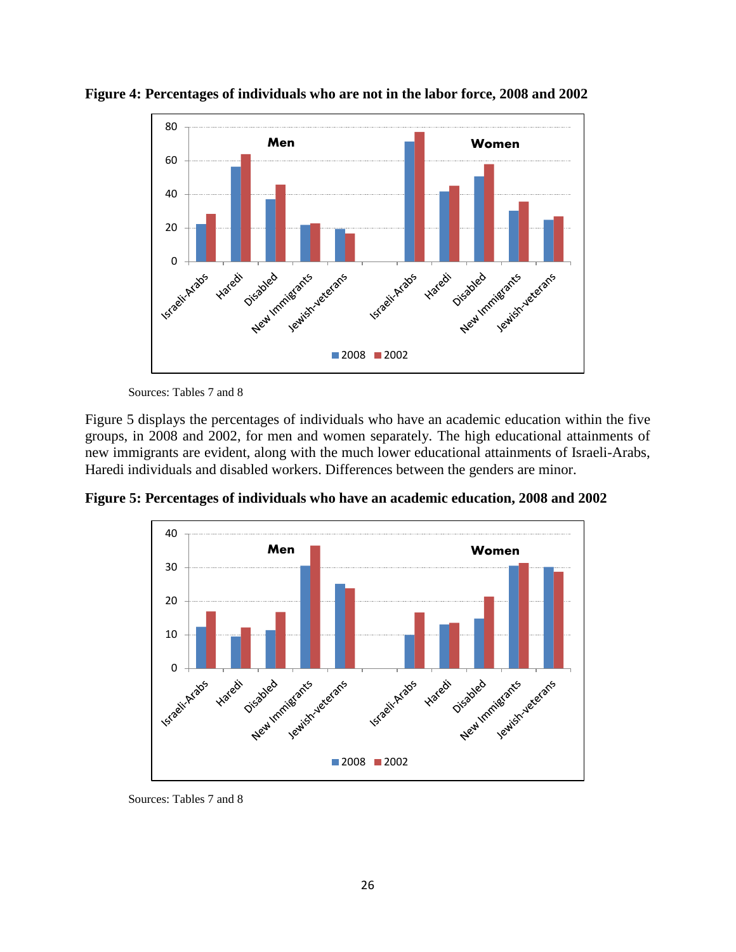

**Figure 4: Percentages of individuals who are not in the labor force, 2008 and 2002**

Sources: Tables 7 and 8

Figure 5 displays the percentages of individuals who have an academic education within the five groups, in 2008 and 2002, for men and women separately. The high educational attainments of new immigrants are evident, along with the much lower educational attainments of Israeli-Arabs, Haredi individuals and disabled workers. Differences between the genders are minor.

**Figure 5: Percentages of individuals who have an academic education, 2008 and 2002**



Sources: Tables 7 and 8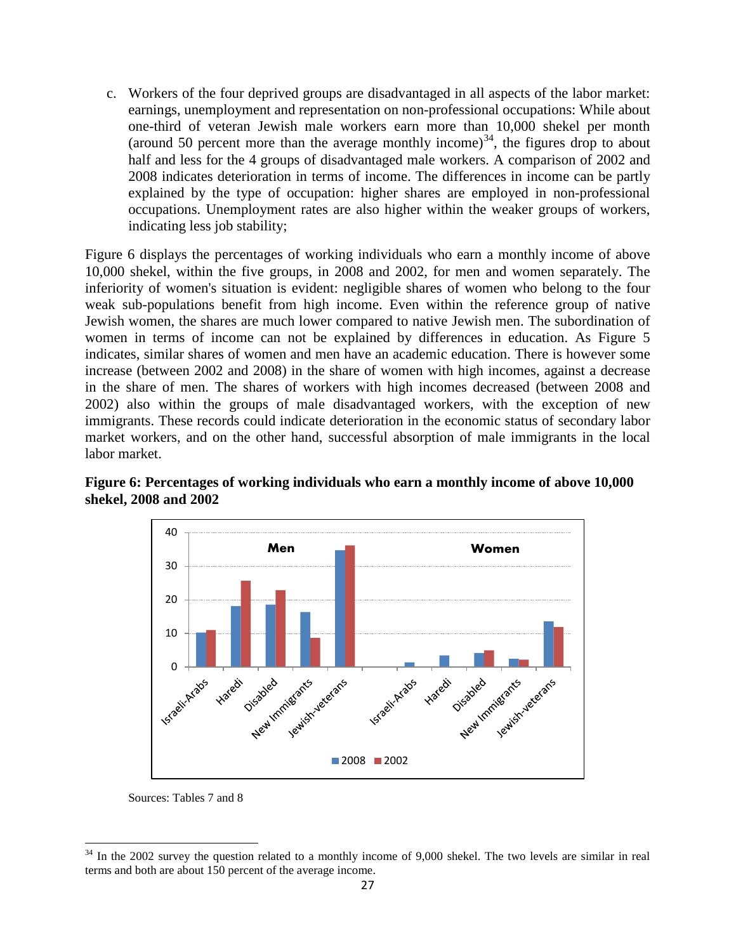c. Workers of the four deprived groups are disadvantaged in all aspects of the labor market: earnings, unemployment and representation on non-professional occupations: While about one-third of veteran Jewish male workers earn more than 10,000 shekel per month (around 50 percent more than the average monthly income)<sup>34</sup>, the figures drop to about half and less for the 4 groups of disadvantaged male workers. A comparison of 2002 and 2008 indicates deterioration in terms of income. The differences in income can be partly explained by the type of occupation: higher shares are employed in non-professional occupations. Unemployment rates are also higher within the weaker groups of workers, indicating less job stability;

Figure 6 displays the percentages of working individuals who earn a monthly income of above 10,000 shekel, within the five groups, in 2008 and 2002, for men and women separately. The inferiority of women's situation is evident: negligible shares of women who belong to the four weak sub-populations benefit from high income. Even within the reference group of native Jewish women, the shares are much lower compared to native Jewish men. The subordination of women in terms of income can not be explained by differences in education. As Figure 5 indicates, similar shares of women and men have an academic education. There is however some increase (between 2002 and 2008) in the share of women with high incomes, against a decrease in the share of men. The shares of workers with high incomes decreased (between 2008 and 2002) also within the groups of male disadvantaged workers, with the exception of new immigrants. These records could indicate deterioration in the economic status of secondary labor market workers, and on the other hand, successful absorption of male immigrants in the local labor market.



**Figure 6: Percentages of working individuals who earn a monthly income of above 10,000 shekel, 2008 and 2002**

Sources: Tables 7 and 8

<span id="page-28-0"></span> $34$  In the 2002 survey the question related to a monthly income of 9,000 shekel. The two levels are similar in real terms and both are about 150 percent of the average income.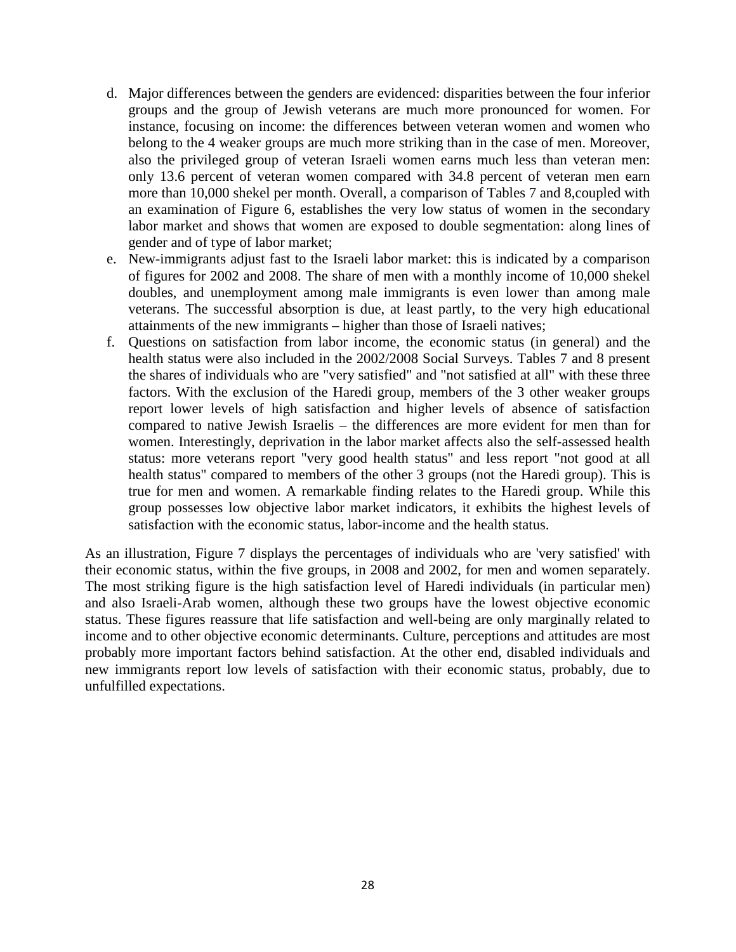- d. Major differences between the genders are evidenced: disparities between the four inferior groups and the group of Jewish veterans are much more pronounced for women. For instance, focusing on income: the differences between veteran women and women who belong to the 4 weaker groups are much more striking than in the case of men. Moreover, also the privileged group of veteran Israeli women earns much less than veteran men: only 13.6 percent of veteran women compared with 34.8 percent of veteran men earn more than 10,000 shekel per month. Overall, a comparison of Tables 7 and 8,coupled with an examination of Figure 6, establishes the very low status of women in the secondary labor market and shows that women are exposed to double segmentation: along lines of gender and of type of labor market;
- e. New-immigrants adjust fast to the Israeli labor market: this is indicated by a comparison of figures for 2002 and 2008. The share of men with a monthly income of 10,000 shekel doubles, and unemployment among male immigrants is even lower than among male veterans. The successful absorption is due, at least partly, to the very high educational attainments of the new immigrants – higher than those of Israeli natives;
- f. Questions on satisfaction from labor income, the economic status (in general) and the health status were also included in the 2002/2008 Social Surveys. Tables 7 and 8 present the shares of individuals who are "very satisfied" and "not satisfied at all" with these three factors. With the exclusion of the Haredi group, members of the 3 other weaker groups report lower levels of high satisfaction and higher levels of absence of satisfaction compared to native Jewish Israelis – the differences are more evident for men than for women. Interestingly, deprivation in the labor market affects also the self-assessed health status: more veterans report "very good health status" and less report "not good at all health status" compared to members of the other 3 groups (not the Haredi group). This is true for men and women. A remarkable finding relates to the Haredi group. While this group possesses low objective labor market indicators, it exhibits the highest levels of satisfaction with the economic status, labor-income and the health status.

As an illustration, Figure 7 displays the percentages of individuals who are 'very satisfied' with their economic status, within the five groups, in 2008 and 2002, for men and women separately. The most striking figure is the high satisfaction level of Haredi individuals (in particular men) and also Israeli-Arab women, although these two groups have the lowest objective economic status. These figures reassure that life satisfaction and well-being are only marginally related to income and to other objective economic determinants. Culture, perceptions and attitudes are most probably more important factors behind satisfaction. At the other end, disabled individuals and new immigrants report low levels of satisfaction with their economic status, probably, due to unfulfilled expectations.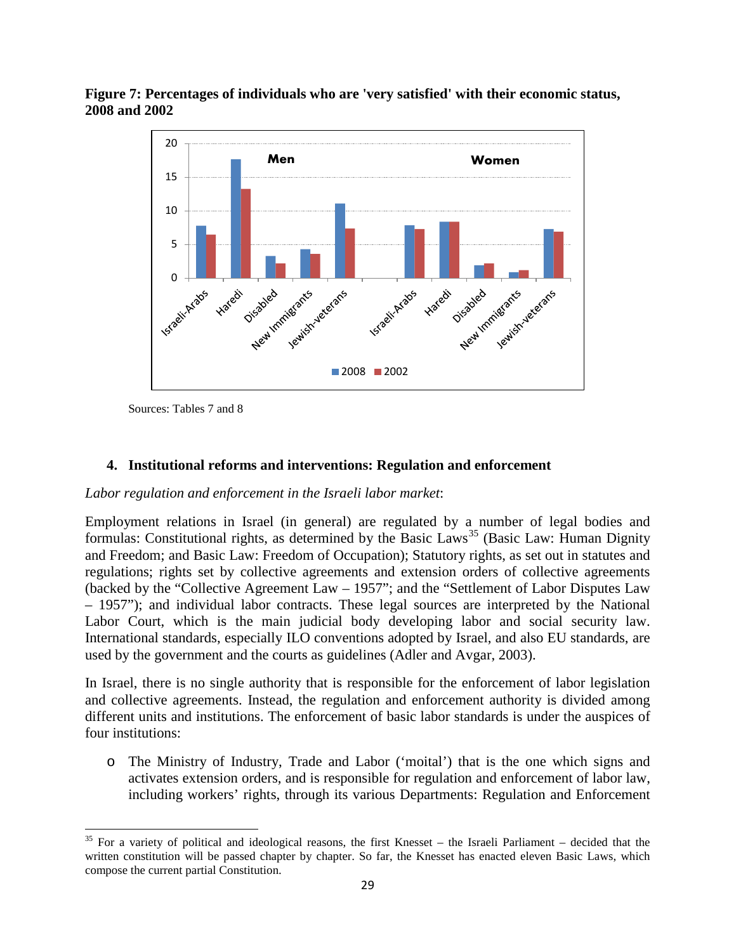**Figure 7: Percentages of individuals who are 'very satisfied' with their economic status, 2008 and 2002**



Sources: Tables 7 and 8

#### **4. Institutional reforms and interventions: Regulation and enforcement**

#### *Labor regulation and enforcement in the Israeli labor market*:

Employment relations in Israel (in general) are regulated by a number of legal bodies and formulas: Constitutional rights, as determined by the Basic Laws<sup>[35](#page-28-0)</sup> (Basic Law: Human Dignity and Freedom; and Basic Law: Freedom of Occupation); Statutory rights, as set out in statutes and regulations; rights set by collective agreements and extension orders of collective agreements (backed by the "Collective Agreement Law – 1957"; and the "Settlement of Labor Disputes Law – 1957"); and individual labor contracts. These legal sources are interpreted by the National Labor Court, which is the main judicial body developing labor and social security law. International standards, especially ILO conventions adopted by Israel, and also EU standards, are used by the government and the courts as guidelines (Adler and Avgar, 2003).

<span id="page-30-0"></span>In Israel, there is no single authority that is responsible for the enforcement of labor legislation and collective agreements. Instead, the regulation and enforcement authority is divided among different units and institutions. The enforcement of basic labor standards is under the auspices of four institutions:

o The Ministry of Industry, Trade and Labor ('moital') that is the one which signs and activates extension orders, and is responsible for regulation and enforcement of labor law, including workers' rights, through its various Departments: Regulation and Enforcement

 $35$  For a variety of political and ideological reasons, the first Knesset – the Israeli Parliament – decided that the written constitution will be passed chapter by chapter. So far, the Knesset has enacted eleven Basic Laws, which compose the current partial Constitution.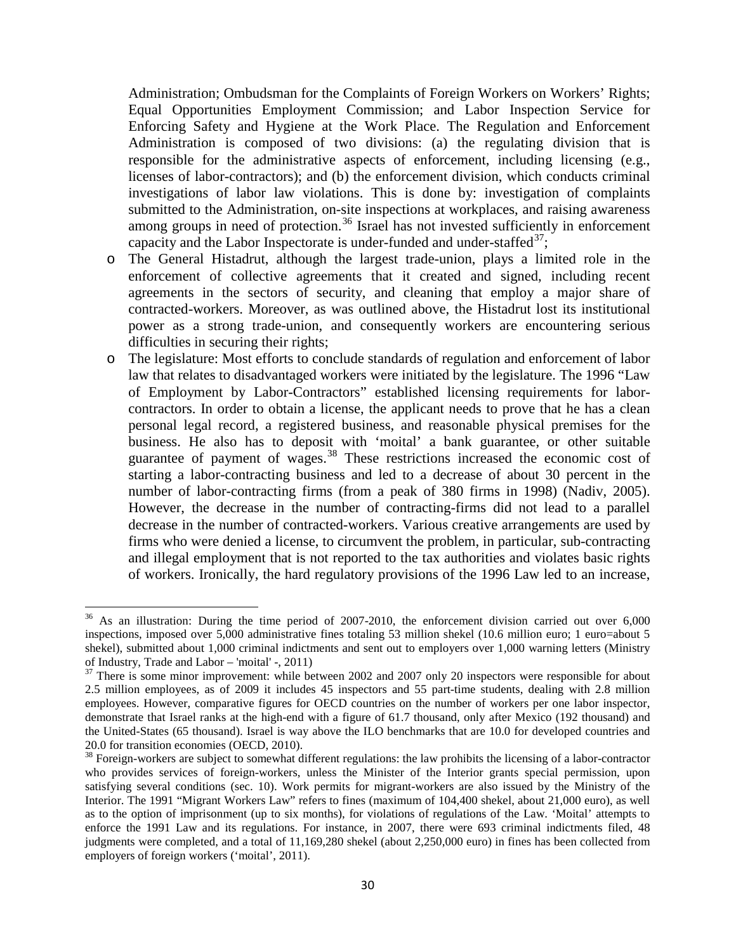Administration; Ombudsman for the Complaints of Foreign Workers on Workers' Rights; Equal Opportunities Employment Commission; and Labor Inspection Service for Enforcing Safety and Hygiene at the Work Place. The Regulation and Enforcement Administration is composed of two divisions: (a) the regulating division that is responsible for the administrative aspects of enforcement, including licensing (e.g., licenses of labor-contractors); and (b) the enforcement division, which conducts criminal investigations of labor law violations. This is done by: investigation of complaints submitted to the Administration, on-site inspections at workplaces, and raising awareness among groups in need of protection.<sup>[36](#page-30-0)</sup> Israel has not invested sufficiently in enforcement capacity and the Labor Inspectorate is under-funded and under-staffed $^{37}$ ;

- o The General Histadrut, although the largest trade-union, plays a limited role in the enforcement of collective agreements that it created and signed, including recent agreements in the sectors of security, and cleaning that employ a major share of contracted-workers. Moreover, as was outlined above, the Histadrut lost its institutional power as a strong trade-union, and consequently workers are encountering serious difficulties in securing their rights;
- o The legislature: Most efforts to conclude standards of regulation and enforcement of labor law that relates to disadvantaged workers were initiated by the legislature. The 1996 "Law of Employment by Labor-Contractors" established licensing requirements for laborcontractors. In order to obtain a license, the applicant needs to prove that he has a clean personal legal record, a registered business, and reasonable physical premises for the business. He also has to deposit with 'moital' a bank guarantee, or other suitable guarantee of payment of wages.<sup>[38](#page-31-1)</sup> These restrictions increased the economic cost of starting a labor-contracting business and led to a decrease of about 30 percent in the number of labor-contracting firms (from a peak of 380 firms in 1998) (Nadiv, 2005). However, the decrease in the number of contracting-firms did not lead to a parallel decrease in the number of contracted-workers. Various creative arrangements are used by firms who were denied a license, to circumvent the problem, in particular, sub-contracting and illegal employment that is not reported to the tax authorities and violates basic rights of workers. Ironically, the hard regulatory provisions of the 1996 Law led to an increase,

<span id="page-31-2"></span><sup>&</sup>lt;sup>36</sup> As an illustration: During the time period of 2007-2010, the enforcement division carried out over 6,000 inspections, imposed over 5,000 administrative fines totaling 53 million shekel (10.6 million euro; 1 euro=about 5 shekel), submitted about 1,000 criminal indictments and sent out to employers over 1,000 warning letters (Ministry of Industry, Trade and Labor – 'moital' -, 2011)

<span id="page-31-0"></span> $37$  There is some minor improvement: while between 2002 and 2007 only 20 inspectors were responsible for about 2.5 million employees, as of 2009 it includes 45 inspectors and 55 part-time students, dealing with 2.8 million employees. However, comparative figures for OECD countries on the number of workers per one labor inspector, demonstrate that Israel ranks at the high-end with a figure of 61.7 thousand, only after Mexico (192 thousand) and the United-States (65 thousand). Israel is way above the ILO benchmarks that are 10.0 for developed countries and 20.0 for transition economies (OECD, 2010).

<span id="page-31-1"></span><sup>&</sup>lt;sup>38</sup> Foreign-workers are subject to somewhat different regulations: the law prohibits the licensing of a labor-contractor who provides services of foreign-workers, unless the Minister of the Interior grants special permission, upon satisfying several conditions (sec. 10). Work permits for migrant-workers are also issued by the Ministry of the Interior. The 1991 "Migrant Workers Law" refers to fines (maximum of 104,400 shekel, about 21,000 euro), as well as to the option of imprisonment (up to six months), for violations of regulations of the Law. 'Moital' attempts to enforce the 1991 Law and its regulations. For instance, in 2007, there were 693 criminal indictments filed, 48 judgments were completed, and a total of 11,169,280 shekel (about 2,250,000 euro) in fines has been collected from employers of foreign workers ('moital', 2011).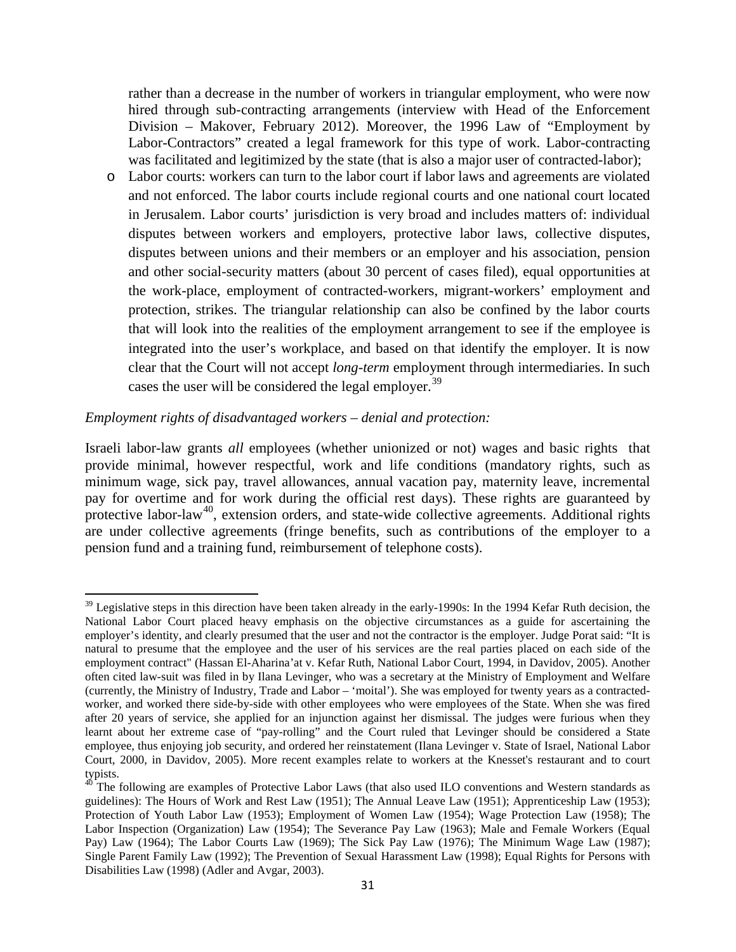rather than a decrease in the number of workers in triangular employment, who were now hired through sub-contracting arrangements (interview with Head of the Enforcement Division – Makover, February 2012). Moreover, the 1996 Law of "Employment by Labor-Contractors" created a legal framework for this type of work. Labor-contracting was facilitated and legitimized by the state (that is also a major user of contracted-labor);

o Labor courts: workers can turn to the labor court if labor laws and agreements are violated and not enforced. The labor courts include regional courts and one national court located in Jerusalem. Labor courts' jurisdiction is very broad and includes matters of: individual disputes between workers and employers, protective labor laws, collective disputes, disputes between unions and their members or an employer and his association, pension and other social-security matters (about 30 percent of cases filed), equal opportunities at the work-place, employment of contracted-workers, migrant-workers' employment and protection, strikes. The triangular relationship can also be confined by the labor courts that will look into the realities of the employment arrangement to see if the employee is integrated into the user's workplace, and based on that identify the employer. It is now clear that the Court will not accept *long-term* employment through intermediaries. In such cases the user will be considered the legal employer.<sup>[39](#page-31-2)</sup>

#### *Employment rights of disadvantaged workers – denial and protection:*

Israeli labor-law grants *all* employees (whether unionized or not) wages and basic rights that provide minimal, however respectful, work and life conditions (mandatory rights, such as minimum wage, sick pay, travel allowances, annual vacation pay, maternity leave, incremental pay for overtime and for work during the official rest days). These rights are guaranteed by protective labor-law<sup>[40](#page-32-0)</sup>, extension orders, and state-wide collective agreements. Additional rights are under collective agreements (fringe benefits, such as contributions of the employer to a pension fund and a training fund, reimbursement of telephone costs).

 $39$  Legislative steps in this direction have been taken already in the early-1990s: In the 1994 Kefar Ruth decision, the National Labor Court placed heavy emphasis on the objective circumstances as a guide for ascertaining the employer's identity, and clearly presumed that the user and not the contractor is the employer. Judge Porat said: "It is natural to presume that the employee and the user of his services are the real parties placed on each side of the employment contract" (Hassan El-Aharina'at v. Kefar Ruth, National Labor Court, 1994, in Davidov, 2005). Another often cited law-suit was filed in by Ilana Levinger, who was a secretary at the Ministry of Employment and Welfare (currently, the Ministry of Industry, Trade and Labor – 'moital'). She was employed for twenty years as a contractedworker, and worked there side-by-side with other employees who were employees of the State. When she was fired after 20 years of service, she applied for an injunction against her dismissal. The judges were furious when they learnt about her extreme case of "pay-rolling" and the Court ruled that Levinger should be considered a State employee, thus enjoying job security, and ordered her reinstatement (Ilana Levinger v. State of Israel, National Labor Court, 2000, in Davidov, 2005). More recent examples relate to workers at the Knesset's restaurant and to court typists.

<span id="page-32-1"></span><span id="page-32-0"></span><sup>&</sup>lt;sup>40</sup> The following are examples of Protective Labor Laws (that also used ILO conventions and Western standards as guidelines): The Hours of Work and Rest Law (1951); The Annual Leave Law (1951); Apprenticeship Law (1953); Protection of Youth Labor Law (1953); Employment of Women Law (1954); Wage Protection Law (1958); The Labor Inspection (Organization) Law (1954); The Severance Pay Law (1963); Male and Female Workers (Equal Pay) Law (1964); The Labor Courts Law (1969); The Sick Pay Law (1976); The Minimum Wage Law (1987); Single Parent Family Law (1992); The Prevention of Sexual Harassment Law (1998); Equal Rights for Persons with Disabilities Law (1998) (Adler and Avgar, 2003).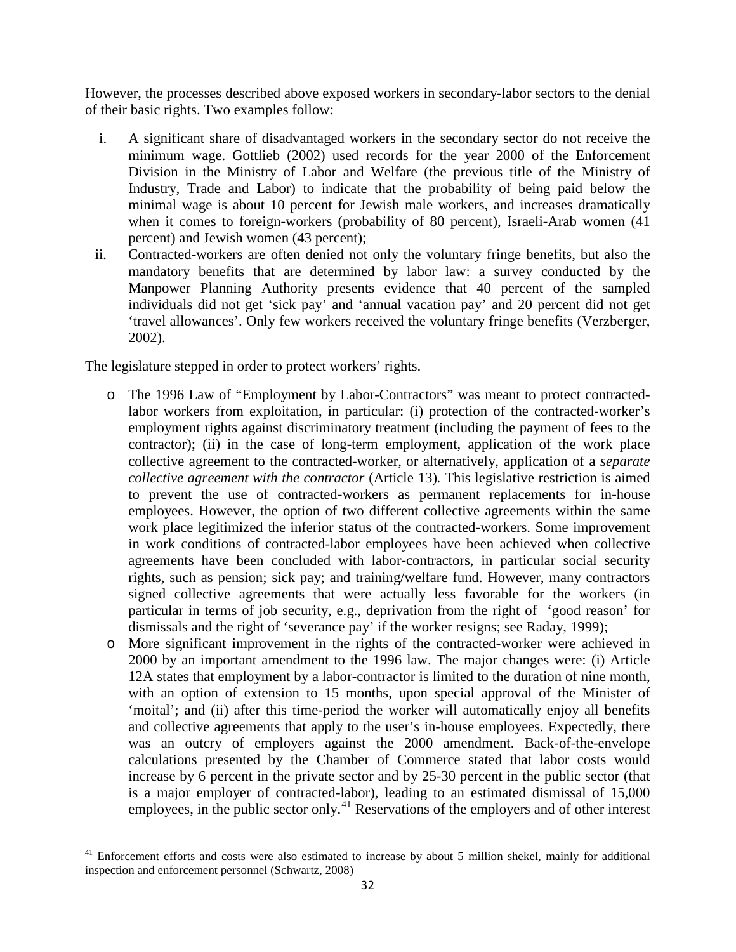However, the processes described above exposed workers in secondary-labor sectors to the denial of their basic rights. Two examples follow:

- i. A significant share of disadvantaged workers in the secondary sector do not receive the minimum wage. Gottlieb (2002) used records for the year 2000 of the Enforcement Division in the Ministry of Labor and Welfare (the previous title of the Ministry of Industry, Trade and Labor) to indicate that the probability of being paid below the minimal wage is about 10 percent for Jewish male workers, and increases dramatically when it comes to foreign-workers (probability of 80 percent), Israeli-Arab women (41 percent) and Jewish women (43 percent);
- ii. Contracted-workers are often denied not only the voluntary fringe benefits, but also the mandatory benefits that are determined by labor law: a survey conducted by the Manpower Planning Authority presents evidence that 40 percent of the sampled individuals did not get 'sick pay' and 'annual vacation pay' and 20 percent did not get 'travel allowances'. Only few workers received the voluntary fringe benefits (Verzberger, 2002).

The legislature stepped in order to protect workers' rights.

- o The 1996 Law of "Employment by Labor-Contractors" was meant to protect contractedlabor workers from exploitation, in particular: (i) protection of the contracted-worker's employment rights against discriminatory treatment (including the payment of fees to the contractor); (ii) in the case of long-term employment, application of the work place collective agreement to the contracted-worker, or alternatively, application of a *separate collective agreement with the contractor* (Article 13)*.* This legislative restriction is aimed to prevent the use of contracted-workers as permanent replacements for in-house employees. However, the option of two different collective agreements within the same work place legitimized the inferior status of the contracted-workers. Some improvement in work conditions of contracted-labor employees have been achieved when collective agreements have been concluded with labor-contractors, in particular social security rights, such as pension; sick pay; and training/welfare fund. However, many contractors signed collective agreements that were actually less favorable for the workers (in particular in terms of job security, e.g., deprivation from the right of 'good reason' for dismissals and the right of 'severance pay' if the worker resigns; see Raday, 1999);
- <span id="page-33-0"></span>o More significant improvement in the rights of the contracted-worker were achieved in 2000 by an important amendment to the 1996 law. The major changes were: (i) Article 12A states that employment by a labor-contractor is limited to the duration of nine month, with an option of extension to 15 months, upon special approval of the Minister of 'moital'; and (ii) after this time-period the worker will automatically enjoy all benefits and collective agreements that apply to the user's in-house employees. Expectedly, there was an outcry of employers against the 2000 amendment. Back-of-the-envelope calculations presented by the Chamber of Commerce stated that labor costs would increase by 6 percent in the private sector and by 25-30 percent in the public sector (that is a major employer of contracted-labor), leading to an estimated dismissal of 15,000 employees, in the public sector only.<sup>[41](#page-32-1)</sup> Reservations of the employers and of other interest

<sup>&</sup>lt;sup>41</sup> Enforcement efforts and costs were also estimated to increase by about 5 million shekel, mainly for additional inspection and enforcement personnel (Schwartz, 2008)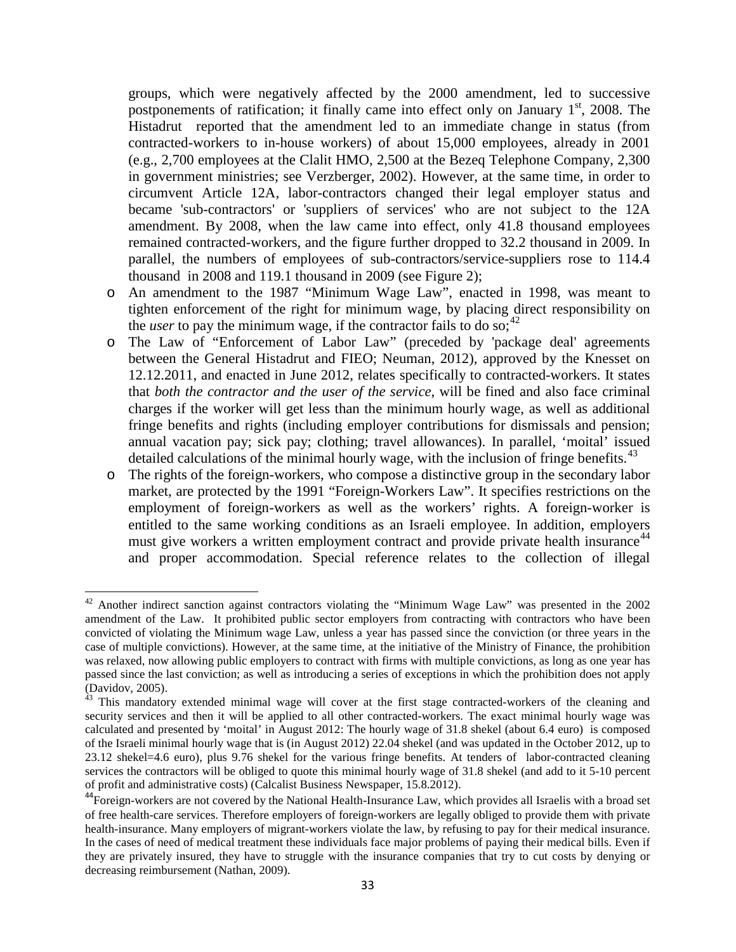groups, which were negatively affected by the 2000 amendment, led to successive postponements of ratification; it finally came into effect only on January  $1<sup>st</sup>$ , 2008. The Histadrut reported that the amendment led to an immediate change in status (from contracted-workers to in-house workers) of about 15,000 employees, already in 2001 (e.g., 2,700 employees at the Clalit HMO, 2,500 at the Bezeq Telephone Company, 2,300 in government ministries; see Verzberger, 2002). However, at the same time, in order to circumvent Article 12A, labor-contractors changed their legal employer status and became 'sub-contractors' or 'suppliers of services' who are not subject to the 12A amendment. By 2008, when the law came into effect, only 41.8 thousand employees remained contracted-workers, and the figure further dropped to 32.2 thousand in 2009. In parallel, the numbers of employees of sub-contractors/service-suppliers rose to 114.4 thousand in 2008 and 119.1 thousand in 2009 (see Figure 2);

- o An amendment to the 1987 "Minimum Wage Law", enacted in 1998, was meant to tighten enforcement of the right for minimum wage, by placing direct responsibility on the *user* to pay the minimum wage, if the contractor fails to do so;<sup>[42](#page-33-0)</sup>
- o The Law of "Enforcement of Labor Law" (preceded by 'package deal' agreements between the General Histadrut and FIEO; Neuman, 2012), approved by the Knesset on 12.12.2011, and enacted in June 2012, relates specifically to contracted-workers. It states that *both the contractor and the user of the service*, will be fined and also face criminal charges if the worker will get less than the minimum hourly wage, as well as additional fringe benefits and rights (including employer contributions for dismissals and pension; annual vacation pay; sick pay; clothing; travel allowances). In parallel, 'moital' issued detailed calculations of the minimal hourly wage, with the inclusion of fringe benefits.<sup>[43](#page-34-0)</sup>
- o The rights of the foreign-workers, who compose a distinctive group in the secondary labor market, are protected by the 1991 "Foreign-Workers Law". It specifies restrictions on the employment of foreign-workers as well as the workers' rights. A foreign-worker is entitled to the same working conditions as an Israeli employee. In addition, employers must give workers a written employment contract and provide private health insurance<sup>[44](#page-34-1)</sup> and proper accommodation. Special reference relates to the collection of illegal

<span id="page-34-2"></span><sup>&</sup>lt;sup>42</sup> Another indirect sanction against contractors violating the "Minimum Wage Law" was presented in the 2002 amendment of the Law. It prohibited public sector employers from contracting with contractors who have been convicted of violating the Minimum wage Law, unless a year has passed since the conviction (or three years in the case of multiple convictions). However, at the same time, at the initiative of the Ministry of Finance, the prohibition was relaxed, now allowing public employers to contract with firms with multiple convictions, as long as one year has passed since the last conviction; as well as introducing a series of exceptions in which the prohibition does not apply (Davidov, 2005).

<span id="page-34-0"></span> $43$  This mandatory extended minimal wage will cover at the first stage contracted-workers of the cleaning and security services and then it will be applied to all other contracted-workers. The exact minimal hourly wage was calculated and presented by 'moital' in August 2012: The hourly wage of 31.8 shekel (about 6.4 euro) is composed of the Israeli minimal hourly wage that is (in August 2012) 22.04 shekel (and was updated in the October 2012, up to 23.12 shekel=4.6 euro), plus 9.76 shekel for the various fringe benefits. At tenders of labor-contracted cleaning services the contractors will be obliged to quote this minimal hourly wage of 31.8 shekel (and add to it 5-10 percent of profit and administrative costs) (Calcalist Business Newspaper, 15.8.2012).

<span id="page-34-1"></span><sup>&</sup>lt;sup>44</sup>Foreign-workers are not covered by the National Health-Insurance Law, which provides all Israelis with a broad set of free health-care services. Therefore employers of foreign-workers are legally obliged to provide them with private health-insurance. Many employers of migrant-workers violate the law, by refusing to pay for their medical insurance. In the cases of need of medical treatment these individuals face major problems of paying their medical bills. Even if they are privately insured, they have to struggle with the insurance companies that try to cut costs by denying or decreasing reimbursement (Nathan, 2009).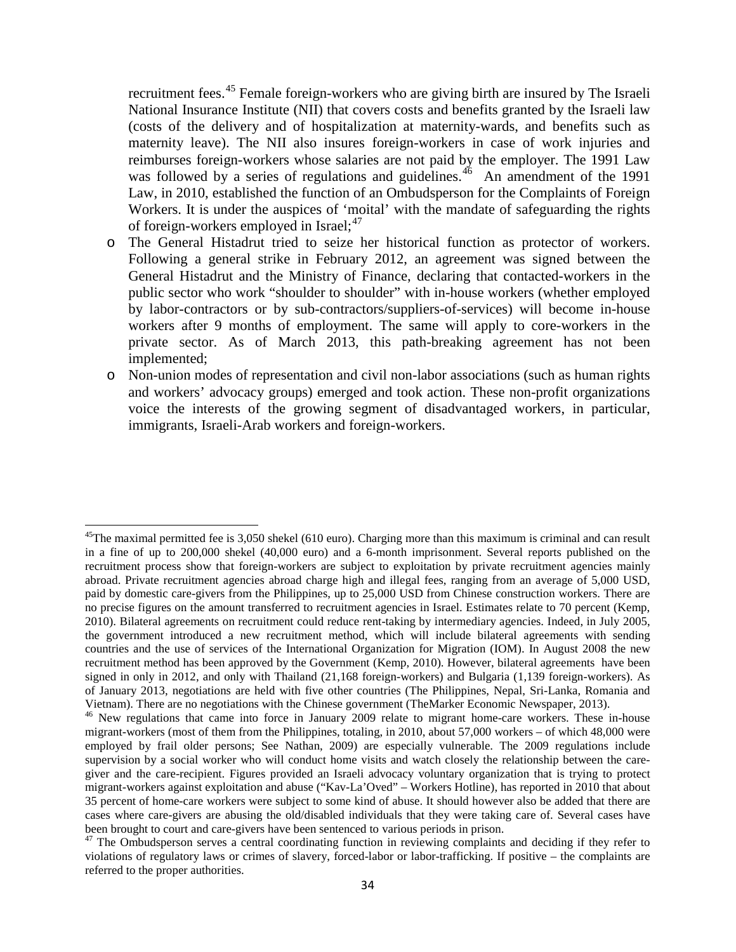recruitment fees.<sup>[45](#page-34-2)</sup> Female foreign-workers who are giving birth are insured by The Israeli National Insurance Institute (NII) that covers costs and benefits granted by the Israeli law (costs of the delivery and of hospitalization at maternity-wards, and benefits such as maternity leave). The NII also insures foreign-workers in case of work injuries and reimburses foreign-workers whose salaries are not paid by the employer. The 1991 Law was followed by a series of regulations and guidelines.<sup>[46](#page-35-0)</sup> An amendment of the 1991 Law, in 2010, established the function of an Ombudsperson for the Complaints of Foreign Workers. It is under the auspices of 'moital' with the mandate of safeguarding the rights of foreign-workers employed in Israel;<sup>[47](#page-35-1)</sup>

- o The General Histadrut tried to seize her historical function as protector of workers. Following a general strike in February 2012, an agreement was signed between the General Histadrut and the Ministry of Finance, declaring that contacted-workers in the public sector who work "shoulder to shoulder" with in-house workers (whether employed by labor-contractors or by sub-contractors/suppliers-of-services) will become in-house workers after 9 months of employment. The same will apply to core-workers in the private sector. As of March 2013, this path-breaking agreement has not been implemented;
- o Non-union modes of representation and civil non-labor associations (such as human rights and workers' advocacy groups) emerged and took action. These non-profit organizations voice the interests of the growing segment of disadvantaged workers, in particular, immigrants, Israeli-Arab workers and foreign-workers.

 $45$ The maximal permitted fee is 3,050 shekel (610 euro). Charging more than this maximum is criminal and can result in a fine of up to 200,000 shekel (40,000 euro) and a 6-month imprisonment. Several reports published on the recruitment process show that foreign-workers are subject to exploitation by private recruitment agencies mainly abroad. Private recruitment agencies abroad charge high and illegal fees, ranging from an average of 5,000 USD, paid by domestic care-givers from the Philippines, up to 25,000 USD from Chinese construction workers. There are no precise figures on the amount transferred to recruitment agencies in Israel. Estimates relate to 70 percent (Kemp, 2010). Bilateral agreements on recruitment could reduce rent-taking by intermediary agencies. Indeed, in July 2005, the government introduced a new recruitment method, which will include bilateral agreements with sending countries and the use of services of the International Organization for Migration (IOM). In August 2008 the new recruitment method has been approved by the Government (Kemp, 2010). However, bilateral agreements have been signed in only in 2012, and only with Thailand (21,168 foreign-workers) and Bulgaria (1,139 foreign-workers). As of January 2013, negotiations are held with five other countries (The Philippines, Nepal, Sri-Lanka, Romania and Vietnam). There are no negotiations with the Chinese government (TheMarker Economic Newspaper, 2013).

<span id="page-35-0"></span><sup>&</sup>lt;sup>46</sup> New regulations that came into force in January 2009 relate to migrant home-care workers. These in-house migrant-workers (most of them from the Philippines, totaling, in 2010, about 57,000 workers – of which 48,000 were employed by frail older persons; See Nathan, 2009) are especially vulnerable. The 2009 regulations include supervision by a social worker who will conduct home visits and watch closely the relationship between the caregiver and the care-recipient. Figures provided an Israeli advocacy voluntary organization that is trying to protect migrant-workers against exploitation and abuse ("Kav-La'Oved" – Workers Hotline), has reported in 2010 that about 35 percent of home-care workers were subject to some kind of abuse. It should however also be added that there are cases where care-givers are abusing the old/disabled individuals that they were taking care of. Several cases have been brought to court and care-givers have been sentenced to various periods in prison.<br><sup>47</sup> The Ombudsperson serves a central coordinating function in reviewing complaints and deciding if they refer to

<span id="page-35-1"></span>violations of regulatory laws or crimes of slavery, forced-labor or labor-trafficking. If positive – the complaints are referred to the proper authorities.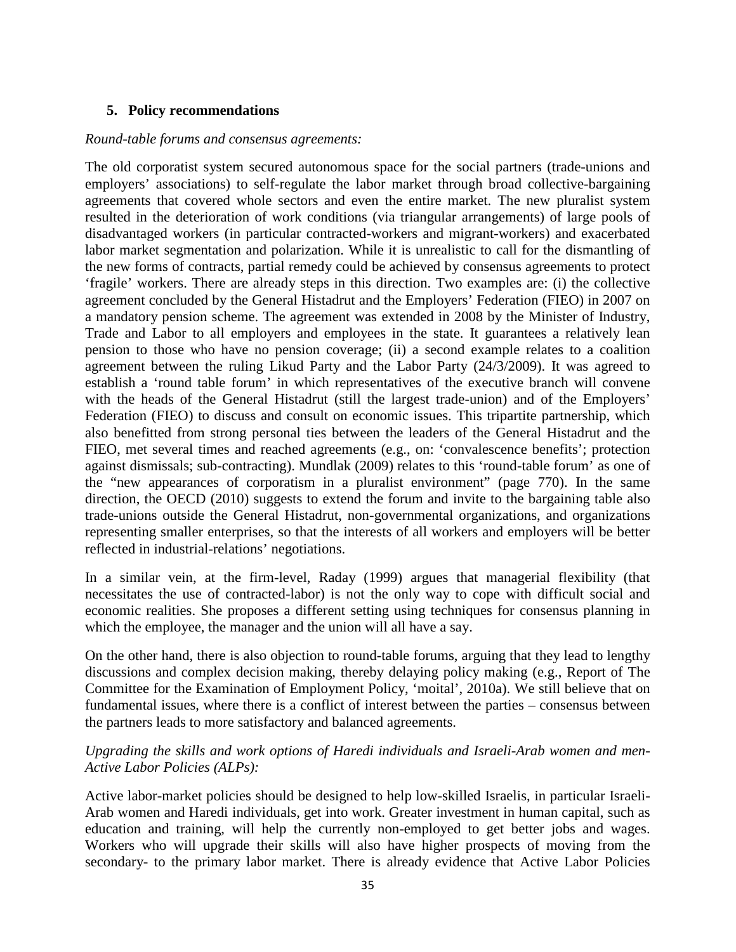#### **5. Policy recommendations**

#### *Round-table forums and consensus agreements:*

The old corporatist system secured autonomous space for the social partners (trade-unions and employers' associations) to self-regulate the labor market through broad collective-bargaining agreements that covered whole sectors and even the entire market. The new pluralist system resulted in the deterioration of work conditions (via triangular arrangements) of large pools of disadvantaged workers (in particular contracted-workers and migrant-workers) and exacerbated labor market segmentation and polarization. While it is unrealistic to call for the dismantling of the new forms of contracts, partial remedy could be achieved by consensus agreements to protect 'fragile' workers. There are already steps in this direction. Two examples are: (i) the collective agreement concluded by the General Histadrut and the Employers' Federation (FIEO) in 2007 on a mandatory pension scheme. The agreement was extended in 2008 by the Minister of Industry, Trade and Labor to all employers and employees in the state. It guarantees a relatively lean pension to those who have no pension coverage; (ii) a second example relates to a coalition agreement between the ruling Likud Party and the Labor Party (24/3/2009). It was agreed to establish a 'round table forum' in which representatives of the executive branch will convene with the heads of the General Histadrut (still the largest trade-union) and of the Employers' Federation (FIEO) to discuss and consult on economic issues. This tripartite partnership, which also benefitted from strong personal ties between the leaders of the General Histadrut and the FIEO, met several times and reached agreements (e.g., on: 'convalescence benefits'; protection against dismissals; sub-contracting). Mundlak (2009) relates to this 'round-table forum' as one of the "new appearances of corporatism in a pluralist environment" (page 770). In the same direction, the OECD (2010) suggests to extend the forum and invite to the bargaining table also trade-unions outside the General Histadrut, non-governmental organizations, and organizations representing smaller enterprises, so that the interests of all workers and employers will be better reflected in industrial-relations' negotiations.

In a similar vein, at the firm-level, Raday (1999) argues that managerial flexibility (that necessitates the use of contracted-labor) is not the only way to cope with difficult social and economic realities. She proposes a different setting using techniques for consensus planning in which the employee, the manager and the union will all have a say.

On the other hand, there is also objection to round-table forums, arguing that they lead to lengthy discussions and complex decision making, thereby delaying policy making (e.g., Report of The Committee for the Examination of Employment Policy, 'moital', 2010a). We still believe that on fundamental issues, where there is a conflict of interest between the parties – consensus between the partners leads to more satisfactory and balanced agreements.

#### *Upgrading the skills and work options of Haredi individuals and Israeli-Arab women and men-Active Labor Policies (ALPs):*

Active labor-market policies should be designed to help low-skilled Israelis, in particular Israeli-Arab women and Haredi individuals, get into work. Greater investment in human capital, such as education and training, will help the currently non-employed to get better jobs and wages. Workers who will upgrade their skills will also have higher prospects of moving from the secondary- to the primary labor market. There is already evidence that Active Labor Policies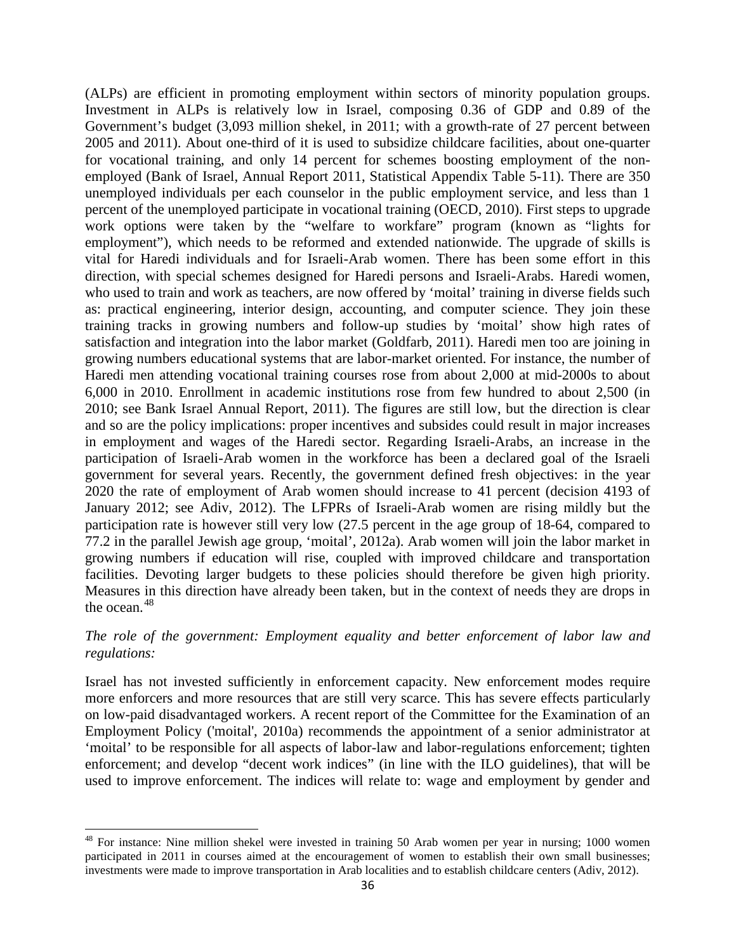(ALPs) are efficient in promoting employment within sectors of minority population groups. Investment in ALPs is relatively low in Israel, composing 0.36 of GDP and 0.89 of the Government's budget (3,093 million shekel, in 2011; with a growth-rate of 27 percent between 2005 and 2011). About one-third of it is used to subsidize childcare facilities, about one-quarter for vocational training, and only 14 percent for schemes boosting employment of the nonemployed (Bank of Israel, Annual Report 2011, Statistical Appendix Table 5-11). There are 350 unemployed individuals per each counselor in the public employment service, and less than 1 percent of the unemployed participate in vocational training (OECD, 2010). First steps to upgrade work options were taken by the "welfare to workfare" program (known as "lights for employment"), which needs to be reformed and extended nationwide. The upgrade of skills is vital for Haredi individuals and for Israeli-Arab women. There has been some effort in this direction, with special schemes designed for Haredi persons and Israeli-Arabs. Haredi women, who used to train and work as teachers, are now offered by 'moital' training in diverse fields such as: practical engineering, interior design, accounting, and computer science. They join these training tracks in growing numbers and follow-up studies by 'moital' show high rates of satisfaction and integration into the labor market (Goldfarb, 2011). Haredi men too are joining in growing numbers educational systems that are labor-market oriented. For instance, the number of Haredi men attending vocational training courses rose from about 2,000 at mid-2000s to about 6,000 in 2010. Enrollment in academic institutions rose from few hundred to about 2,500 (in 2010; see Bank Israel Annual Report, 2011). The figures are still low, but the direction is clear and so are the policy implications: proper incentives and subsides could result in major increases in employment and wages of the Haredi sector. Regarding Israeli-Arabs, an increase in the participation of Israeli-Arab women in the workforce has been a declared goal of the Israeli government for several years. Recently, the government defined fresh objectives: in the year 2020 the rate of employment of Arab women should increase to 41 percent (decision 4193 of January 2012; see Adiv, 2012). The LFPRs of Israeli-Arab women are rising mildly but the participation rate is however still very low (27.5 percent in the age group of 18-64, compared to 77.2 in the parallel Jewish age group, 'moital', 2012a). Arab women will join the labor market in growing numbers if education will rise, coupled with improved childcare and transportation facilities. Devoting larger budgets to these policies should therefore be given high priority. Measures in this direction have already been taken, but in the context of needs they are drops in the ocean. $48$ 

#### *The role of the government: Employment equality and better enforcement of labor law and regulations:*

Israel has not invested sufficiently in enforcement capacity. New enforcement modes require more enforcers and more resources that are still very scarce. This has severe effects particularly on low-paid disadvantaged workers. A recent report of the Committee for the Examination of an Employment Policy ('moital', 2010a) recommends the appointment of a senior administrator at 'moital' to be responsible for all aspects of labor-law and labor-regulations enforcement; tighten enforcement; and develop "decent work indices" (in line with the ILO guidelines), that will be used to improve enforcement. The indices will relate to: wage and employment by gender and

<sup>&</sup>lt;sup>48</sup> For instance: Nine million shekel were invested in training 50 Arab women per year in nursing; 1000 women participated in 2011 in courses aimed at the encouragement of women to establish their own small businesses; investments were made to improve transportation in Arab localities and to establish childcare centers (Adiv, 2012).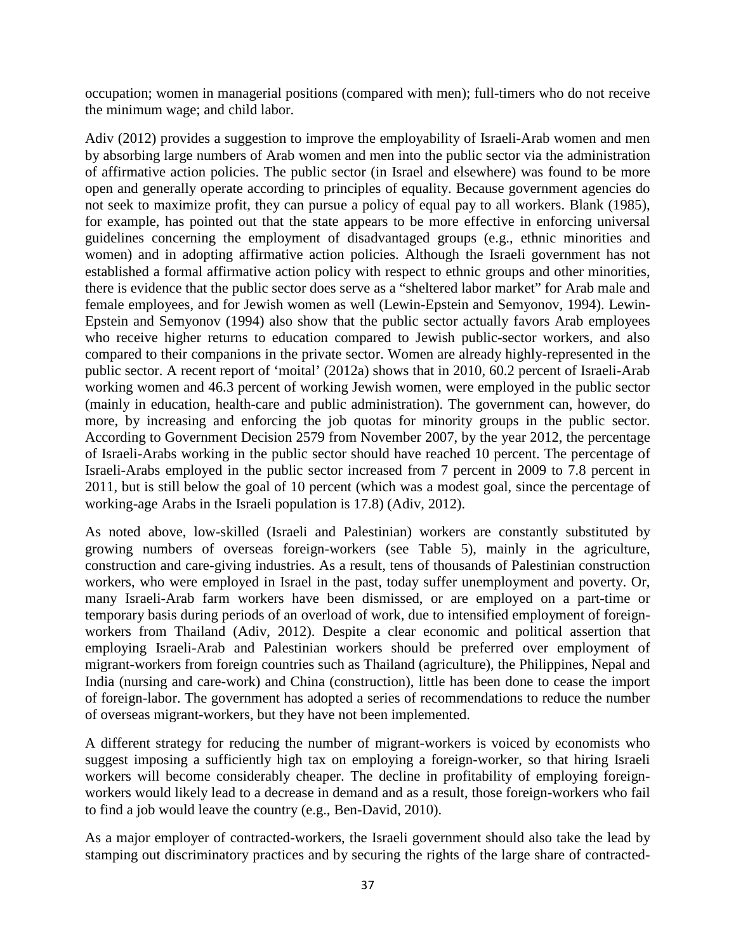occupation; women in managerial positions (compared with men); full-timers who do not receive the minimum wage; and child labor.

Adiv (2012) provides a suggestion to improve the employability of Israeli-Arab women and men by absorbing large numbers of Arab women and men into the public sector via the administration of affirmative action policies. The public sector (in Israel and elsewhere) was found to be more open and generally operate according to principles of equality. Because government agencies do not seek to maximize profit, they can pursue a policy of equal pay to all workers. Blank (1985), for example, has pointed out that the state appears to be more effective in enforcing universal guidelines concerning the employment of disadvantaged groups (e.g., ethnic minorities and women) and in adopting affirmative action policies. Although the Israeli government has not established a formal affirmative action policy with respect to ethnic groups and other minorities, there is evidence that the public sector does serve as a "sheltered labor market" for Arab male and female employees, and for Jewish women as well (Lewin-Epstein and Semyonov, 1994). Lewin-Epstein and Semyonov (1994) also show that the public sector actually favors Arab employees who receive higher returns to education compared to Jewish public-sector workers, and also compared to their companions in the private sector. Women are already highly-represented in the public sector. A recent report of 'moital' (2012a) shows that in 2010, 60.2 percent of Israeli-Arab working women and 46.3 percent of working Jewish women, were employed in the public sector (mainly in education, health-care and public administration). The government can, however, do more, by increasing and enforcing the job quotas for minority groups in the public sector. According to Government Decision 2579 from November 2007, by the year 2012, the percentage of Israeli-Arabs working in the public sector should have reached 10 percent. The percentage of Israeli-Arabs employed in the public sector increased from 7 percent in 2009 to 7.8 percent in 2011, but is still below the goal of 10 percent (which was a modest goal, since the percentage of working-age Arabs in the Israeli population is 17.8) (Adiv, 2012).

As noted above, low-skilled (Israeli and Palestinian) workers are constantly substituted by growing numbers of overseas foreign-workers (see Table 5), mainly in the agriculture, construction and care-giving industries. As a result, tens of thousands of Palestinian construction workers, who were employed in Israel in the past, today suffer unemployment and poverty. Or, many Israeli-Arab farm workers have been dismissed, or are employed on a part-time or temporary basis during periods of an overload of work, due to intensified employment of foreignworkers from Thailand (Adiv, 2012). Despite a clear economic and political assertion that employing Israeli-Arab and Palestinian workers should be preferred over employment of migrant-workers from foreign countries such as Thailand (agriculture), the Philippines, Nepal and India (nursing and care-work) and China (construction), little has been done to cease the import of foreign-labor. The government has adopted a series of recommendations to reduce the number of overseas migrant-workers, but they have not been implemented.

A different strategy for reducing the number of migrant-workers is voiced by economists who suggest imposing a sufficiently high tax on employing a foreign-worker, so that hiring Israeli workers will become considerably cheaper. The decline in profitability of employing foreignworkers would likely lead to a decrease in demand and as a result, those foreign-workers who fail to find a job would leave the country (e.g., Ben-David, 2010).

As a major employer of contracted-workers, the Israeli government should also take the lead by stamping out discriminatory practices and by securing the rights of the large share of contracted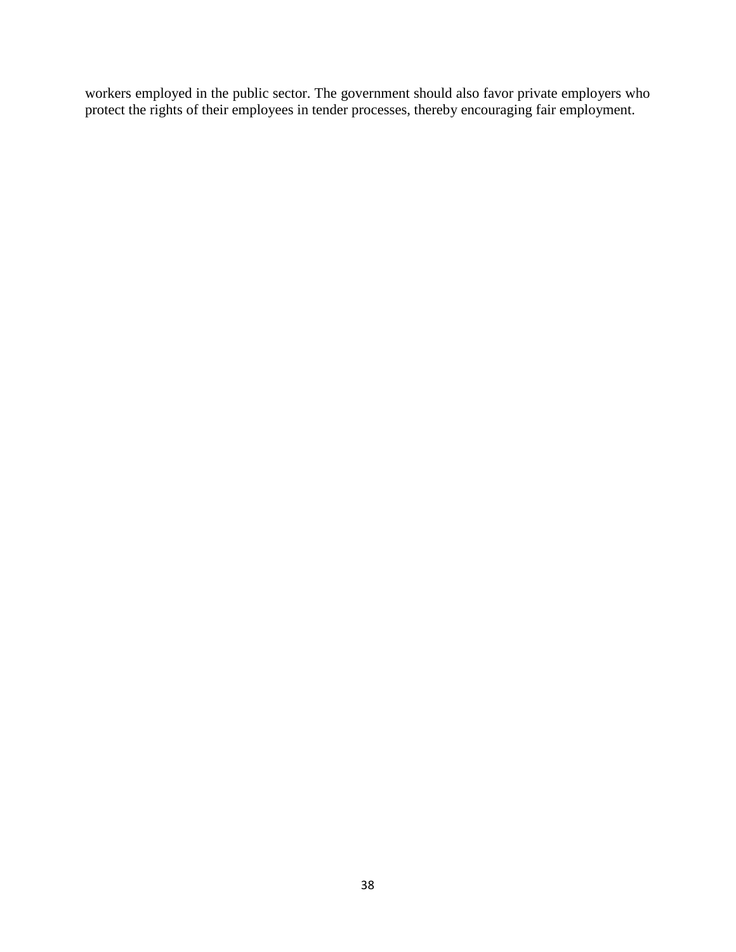workers employed in the public sector. The government should also favor private employers who protect the rights of their employees in tender processes, thereby encouraging fair employment.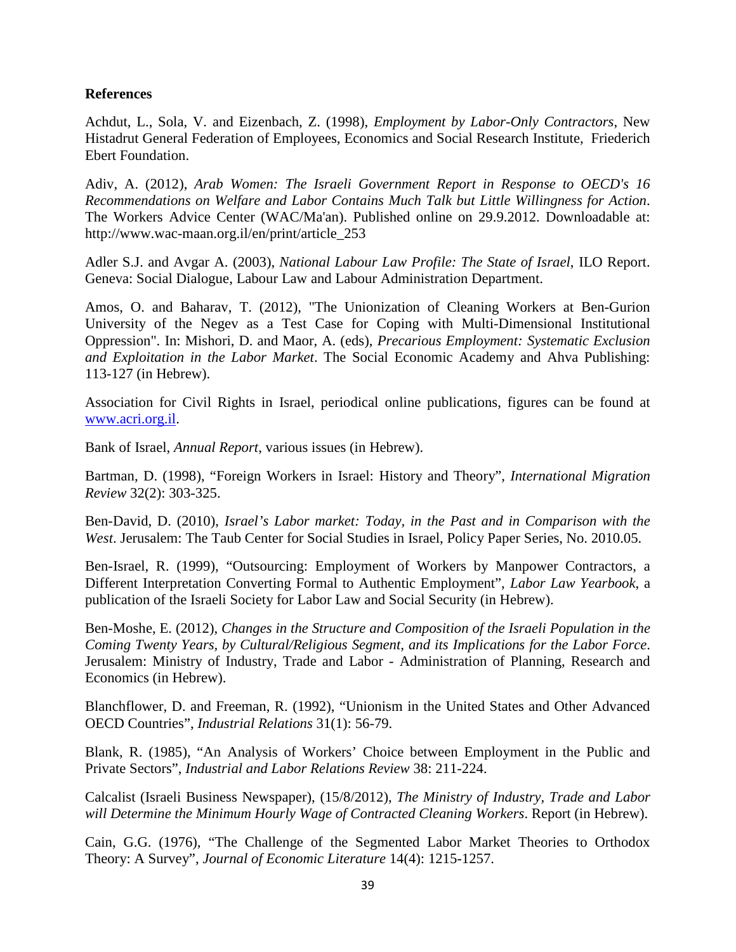#### **References**

Achdut, L., Sola, V. and Eizenbach, Z. (1998), *Employment by Labor-Only Contractors*, New Histadrut General Federation of Employees, Economics and Social Research Institute, Friederich Ebert Foundation.

Adiv, A. (2012), *Arab Women: The Israeli Government Report in Response to OECD's 16 Recommendations on Welfare and Labor Contains Much Talk but Little Willingness for Action*. The Workers Advice Center (WAC/Ma'an). Published online on 29.9.2012. Downloadable at: http://www.wac-maan.org.il/en/print/article\_253

Adler S.J. and Avgar A. (2003), *National Labour Law Profile: The State of Israel*, ILO Report. Geneva: Social Dialogue, Labour Law and Labour Administration Department.

Amos, O. and Baharav, T. (2012), "The Unionization of Cleaning Workers at Ben-Gurion University of the Negev as a Test Case for Coping with Multi-Dimensional Institutional Oppression". In: Mishori, D. and Maor, A. (eds), *Precarious Employment: Systematic Exclusion and Exploitation in the Labor Market*. The Social Economic Academy and Ahva Publishing: 113-127 (in Hebrew).

Association for Civil Rights in Israel, periodical online publications, figures can be found at [www.acri.org.il.](http://www.acri.org.il/)

Bank of Israel, *Annual Report*, various issues (in Hebrew).

Bartman, D. (1998), "Foreign Workers in Israel: History and Theory", *International Migration Review* 32(2): 303-325.

Ben-David, D. (2010), *Israel's Labor market: Today, in the Past and in Comparison with the West*. Jerusalem: The Taub Center for Social Studies in Israel, Policy Paper Series, No. 2010.05.

Ben-Israel, R. (1999), "Outsourcing: Employment of Workers by Manpower Contractors, a Different Interpretation Converting Formal to Authentic Employment", *Labor Law Yearbook*, a publication of the Israeli Society for Labor Law and Social Security (in Hebrew).

Ben-Moshe, E. (2012), *Changes in the Structure and Composition of the Israeli Population in the Coming Twenty Years, by Cultural/Religious Segment, and its Implications for the Labor Force*. Jerusalem: Ministry of Industry, Trade and Labor - Administration of Planning, Research and Economics (in Hebrew).

Blanchflower, D. and Freeman, R. (1992), "Unionism in the United States and Other Advanced OECD Countries", *Industrial Relations* 31(1): 56-79.

Blank, R. (1985), "An Analysis of Workers' Choice between Employment in the Public and Private Sectors", *Industrial and Labor Relations Review* 38: 211-224.

Calcalist (Israeli Business Newspaper), (15/8/2012), *The Ministry of Industry, Trade and Labor will Determine the Minimum Hourly Wage of Contracted Cleaning Workers*. Report (in Hebrew).

Cain, G.G. (1976), "The Challenge of the Segmented Labor Market Theories to Orthodox Theory: A Survey", *Journal of Economic Literature* 14(4): 1215-1257.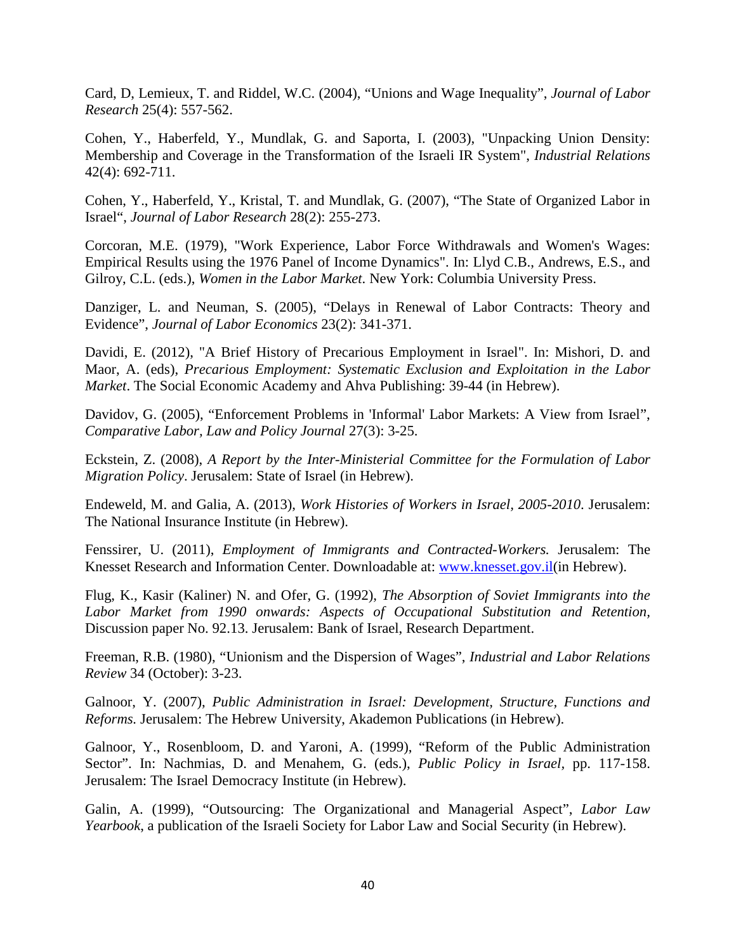Card, D, Lemieux, T. and Riddel, W.C. (2004), "Unions and Wage Inequality", *Journal of Labor Research* 25(4): 557-562.

Cohen, Y., Haberfeld, Y., Mundlak, G. and Saporta, I. (2003), "Unpacking Union Density: Membership and Coverage in the Transformation of the Israeli IR System", *Industrial Relations* 42(4): 692-711.

Cohen, Y., Haberfeld, Y., Kristal, T. and Mundlak, G. (2007), "The State of Organized Labor in Israel", *Journal of Labor Research* 28(2): 255-273.

Corcoran, M.E. (1979), "Work Experience, Labor Force Withdrawals and Women's Wages: Empirical Results using the 1976 Panel of Income Dynamics". In: Llyd C.B., Andrews, E.S., and Gilroy, C.L. (eds.), *Women in the Labor Market*. New York: Columbia University Press.

Danziger, L. and Neuman, S. (2005), "Delays in Renewal of Labor Contracts: Theory and Evidence", *Journal of Labor Economics* 23(2): 341-371.

Davidi, E. (2012), "A Brief History of Precarious Employment in Israel". In: Mishori, D. and Maor, A. (eds), *Precarious Employment: Systematic Exclusion and Exploitation in the Labor Market*. The Social Economic Academy and Ahva Publishing: 39-44 (in Hebrew).

Davidov, G. (2005), "Enforcement Problems in 'Informal' Labor Markets: A View from Israel", *Comparative Labor, Law and Policy Journal* 27(3): 3-25.

Eckstein, Z. (2008), *A Report by the Inter-Ministerial Committee for the Formulation of Labor Migration Policy*. Jerusalem: State of Israel (in Hebrew).

Endeweld, M. and Galia, A. (2013), *Work Histories of Workers in Israel, 2005-2010*. Jerusalem: The National Insurance Institute (in Hebrew).

Fenssirer, U. (2011), *Employment of Immigrants and Contracted-Workers.* Jerusalem: The Knesset Research and Information Center. Downloadable at: [www.knesset.gov.il\(](http://www.knesset.gov.il/)in Hebrew).

Flug, K., Kasir (Kaliner) N. and Ofer, G. (1992), *The Absorption of Soviet Immigrants into the Labor Market from 1990 onwards: Aspects of Occupational Substitution and Retention,* Discussion paper No. 92.13. Jerusalem: Bank of Israel, Research Department.

Freeman, R.B. (1980), "Unionism and the Dispersion of Wages", *Industrial and Labor Relations Review* 34 (October): 3-23.

Galnoor, Y. (2007), *Public Administration in Israel: Development, Structure, Functions and Reforms.* Jerusalem: The Hebrew University, Akademon Publications (in Hebrew).

Galnoor, Y., Rosenbloom, D. and Yaroni, A. (1999), "Reform of the Public Administration Sector". In: Nachmias, D. and Menahem, G. (eds.), *Public Policy in Israel,* pp. 117-158. Jerusalem: The Israel Democracy Institute (in Hebrew).

Galin, A. (1999), "Outsourcing: The Organizational and Managerial Aspect", *Labor Law Yearbook*, a publication of the Israeli Society for Labor Law and Social Security (in Hebrew).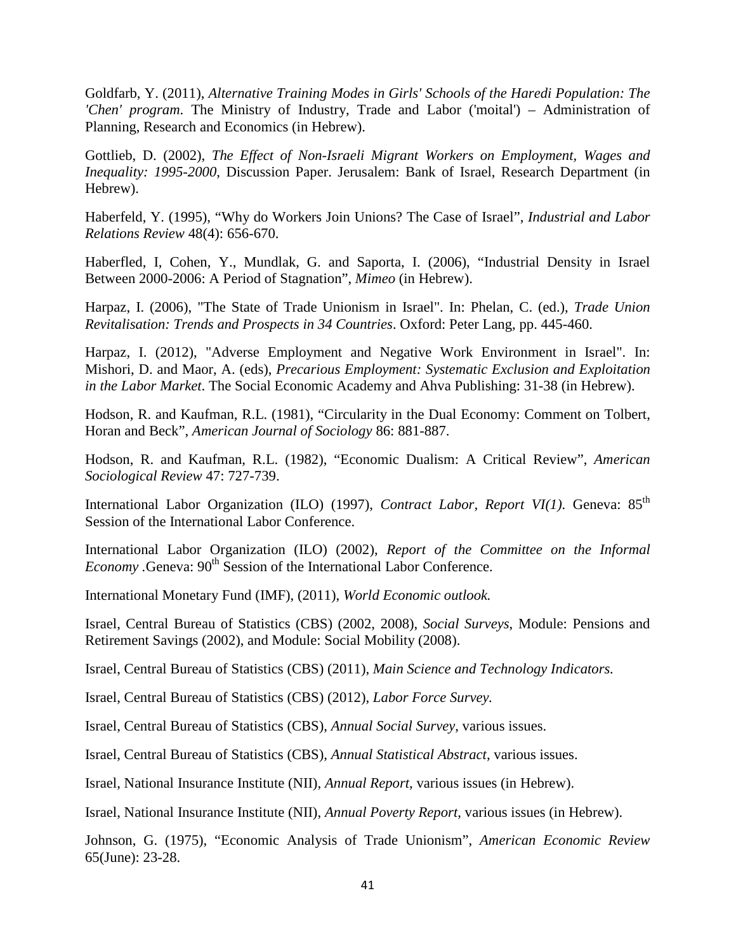Goldfarb, Y. (2011), *Alternative Training Modes in Girls' Schools of the Haredi Population: The 'Chen' program*. The Ministry of Industry, Trade and Labor ('moital') – Administration of Planning, Research and Economics (in Hebrew).

Gottlieb, D. (2002), *The Effect of Non-Israeli Migrant Workers on Employment, Wages and Inequality: 1995-2000*, Discussion Paper. Jerusalem: Bank of Israel, Research Department (in Hebrew).

Haberfeld, Y. (1995), "Why do Workers Join Unions? The Case of Israel", *Industrial and Labor Relations Review* 48(4): 656-670.

Haberfled, I, Cohen, Y., Mundlak, G. and Saporta, I. (2006), "Industrial Density in Israel Between 2000-2006: A Period of Stagnation", *Mimeo* (in Hebrew).

Harpaz, I. (2006), "The State of Trade Unionism in Israel". In: Phelan, C. (ed.), *Trade Union Revitalisation: Trends and Prospects in 34 Countries*. Oxford: Peter Lang, pp. 445-460.

Harpaz, I. (2012), "Adverse Employment and Negative Work Environment in Israel". In: Mishori, D. and Maor, A. (eds), *Precarious Employment: Systematic Exclusion and Exploitation in the Labor Market*. The Social Economic Academy and Ahva Publishing: 31-38 (in Hebrew).

Hodson, R. and Kaufman, R.L. (1981), "Circularity in the Dual Economy: Comment on Tolbert, Horan and Beck", *American Journal of Sociology* 86: 881-887.

Hodson, R. and Kaufman, R.L. (1982), "Economic Dualism: A Critical Review", *American Sociological Review* 47: 727-739.

International Labor Organization (ILO) (1997), *Contract Labor, Report VI(1)*. Geneva: 85<sup>th</sup> Session of the International Labor Conference.

International Labor Organization (ILO) (2002), *Report of the Committee on the Informal Economy .Geneva:*  $90<sup>th</sup>$  *Session of the International Labor Conference.* 

International Monetary Fund (IMF), (2011), *World Economic outlook.*

Israel, Central Bureau of Statistics (CBS) (2002, 2008), *Social Surveys*, Module: Pensions and Retirement Savings (2002), and Module: Social Mobility (2008).

Israel, Central Bureau of Statistics (CBS) (2011), *Main Science and Technology Indicators.*

Israel, Central Bureau of Statistics (CBS) (2012), *Labor Force Survey.*

Israel, Central Bureau of Statistics (CBS), *Annual Social Survey*, various issues.

Israel, Central Bureau of Statistics (CBS), *Annual Statistical Abstract*, various issues.

Israel, National Insurance Institute (NII), *Annual Report*, various issues (in Hebrew).

Israel, National Insurance Institute (NII), *Annual Poverty Report*, various issues (in Hebrew).

Johnson, G. (1975), "Economic Analysis of Trade Unionism", *American Economic Review* 65(June): 23-28.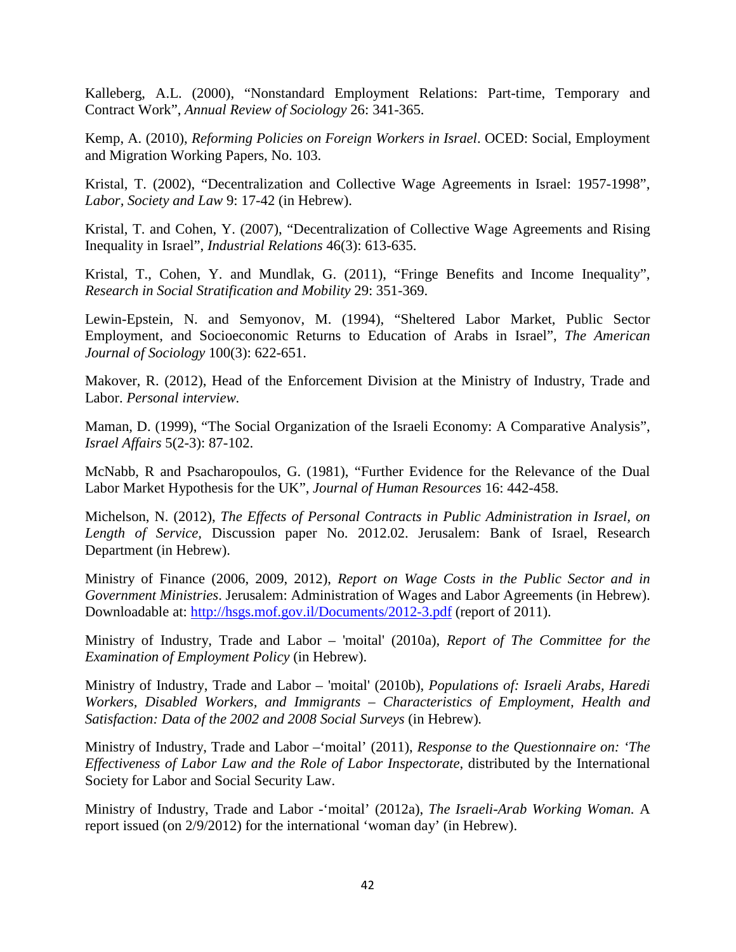Kalleberg, A.L. (2000), "Nonstandard Employment Relations: Part-time, Temporary and Contract Work", *Annual Review of Sociology* 26: 341-365.

Kemp, A. (2010), *Reforming Policies on Foreign Workers in Israel*. OCED: Social, Employment and Migration Working Papers, No. 103.

Kristal, T. (2002), "Decentralization and Collective Wage Agreements in Israel: 1957-1998", *Labor, Society and Law* 9: 17-42 (in Hebrew).

Kristal, T. and Cohen, Y. (2007), "Decentralization of Collective Wage Agreements and Rising Inequality in Israel", *Industrial Relations* 46(3): 613-635.

Kristal, T., Cohen, Y. and Mundlak, G. (2011), "Fringe Benefits and Income Inequality", *Research in Social Stratification and Mobility* 29: 351-369.

Lewin-Epstein, N. and Semyonov, M. (1994), "Sheltered Labor Market, Public Sector Employment, and Socioeconomic Returns to Education of Arabs in Israel", *The American Journal of Sociology* 100(3): 622-651.

Makover, R. (2012), Head of the Enforcement Division at the Ministry of Industry, Trade and Labor. *Personal interview.*

Maman, D. (1999), "The Social Organization of the Israeli Economy: A Comparative Analysis", *Israel Affairs* 5(2-3): 87-102.

McNabb, R and Psacharopoulos, G. (1981), "Further Evidence for the Relevance of the Dual Labor Market Hypothesis for the UK", *Journal of Human Resources* 16: 442-458.

Michelson, N. (2012), *The Effects of Personal Contracts in Public Administration in Israel, on Length of Service,* Discussion paper No. 2012.02. Jerusalem: Bank of Israel, Research Department (in Hebrew).

Ministry of Finance (2006, 2009, 2012), *Report on Wage Costs in the Public Sector and in Government Ministries*. Jerusalem: Administration of Wages and Labor Agreements (in Hebrew). Downloadable at:<http://hsgs.mof.gov.il/Documents/2012-3.pdf> (report of 2011).

Ministry of Industry, Trade and Labor – 'moital' (2010a)*, Report of The Committee for the Examination of Employment Policy* (in Hebrew).

Ministry of Industry, Trade and Labor – 'moital' (2010b), *Populations of: Israeli Arabs, Haredi Workers, Disabled Workers, and Immigrants – Characteristics of Employment, Health and Satisfaction: Data of the 2002 and 2008 Social Surveys* (in Hebrew)*.*

Ministry of Industry, Trade and Labor –'moital' (2011), *Response to the Questionnaire on: 'The Effectiveness of Labor Law and the Role of Labor Inspectorate*, distributed by the International Society for Labor and Social Security Law.

Ministry of Industry, Trade and Labor -'moital' (2012a), *The Israeli-Arab Working Woman.* A report issued (on 2/9/2012) for the international 'woman day' (in Hebrew).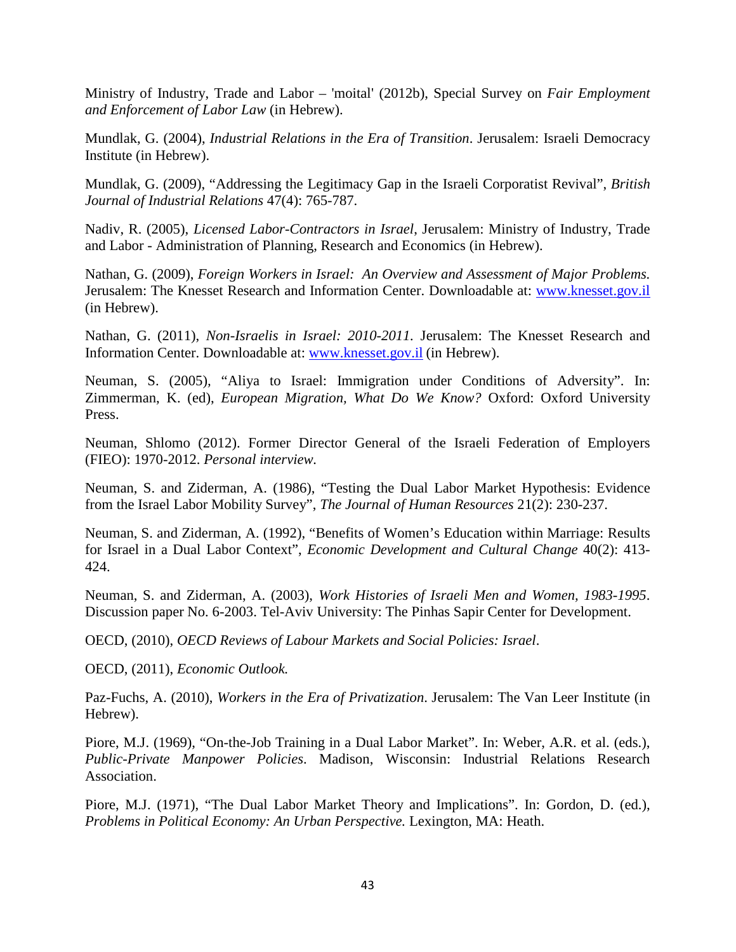Ministry of Industry, Trade and Labor – 'moital' (2012b), Special Survey on *Fair Employment and Enforcement of Labor Law* (in Hebrew).

Mundlak, G. (2004), *Industrial Relations in the Era of Transition*. Jerusalem: Israeli Democracy Institute (in Hebrew).

Mundlak, G. (2009), "Addressing the Legitimacy Gap in the Israeli Corporatist Revival", *British Journal of Industrial Relations* 47(4): 765-787.

Nadiv, R. (2005), *Licensed Labor-Contractors in Israel*, Jerusalem: Ministry of Industry, Trade and Labor - Administration of Planning, Research and Economics (in Hebrew).

Nathan, G. (2009), *Foreign Workers in Israel: An Overview and Assessment of Major Problems.* Jerusalem: The Knesset Research and Information Center. Downloadable at: [www.knesset.gov.il](http://www.knesset.gov.il/) (in Hebrew).

Nathan, G. (2011), *Non-Israelis in Israel: 2010-2011.* Jerusalem: The Knesset Research and Information Center. Downloadable at: [www.knesset.gov.il](http://www.knesset.gov.il/) (in Hebrew).

Neuman, S. (2005)*,* "Aliya to Israel: Immigration under Conditions of Adversity". In: Zimmerman, K. (ed), *European Migration, What Do We Know?* Oxford: Oxford University Press.

Neuman, Shlomo (2012). Former Director General of the Israeli Federation of Employers (FIEO): 1970-2012. *Personal interview.*

Neuman, S. and Ziderman, A. (1986), "Testing the Dual Labor Market Hypothesis: Evidence from the Israel Labor Mobility Survey", *The Journal of Human Resources* 21(2): 230-237.

Neuman, S. and Ziderman, A. (1992), "Benefits of Women's Education within Marriage: Results for Israel in a Dual Labor Context", *Economic Development and Cultural Change* 40(2): 413- 424.

Neuman, S. and Ziderman, A. (2003), *Work Histories of Israeli Men and Women, 1983-1995*. Discussion paper No. 6-2003. Tel-Aviv University: The Pinhas Sapir Center for Development.

OECD, (2010), *OECD Reviews of Labour Markets and Social Policies: Israel*.

OECD, (2011), *Economic Outlook.*

Paz-Fuchs, A. (2010), *Workers in the Era of Privatization*. Jerusalem: The Van Leer Institute (in Hebrew).

Piore, M.J. (1969), "On-the-Job Training in a Dual Labor Market". In: Weber, A.R. et al. (eds.), *Public-Private Manpower Policies*. Madison, Wisconsin: Industrial Relations Research Association.

Piore, M.J. (1971), "The Dual Labor Market Theory and Implications". In: Gordon, D. (ed.), *Problems in Political Economy: An Urban Perspective.* Lexington, MA: Heath.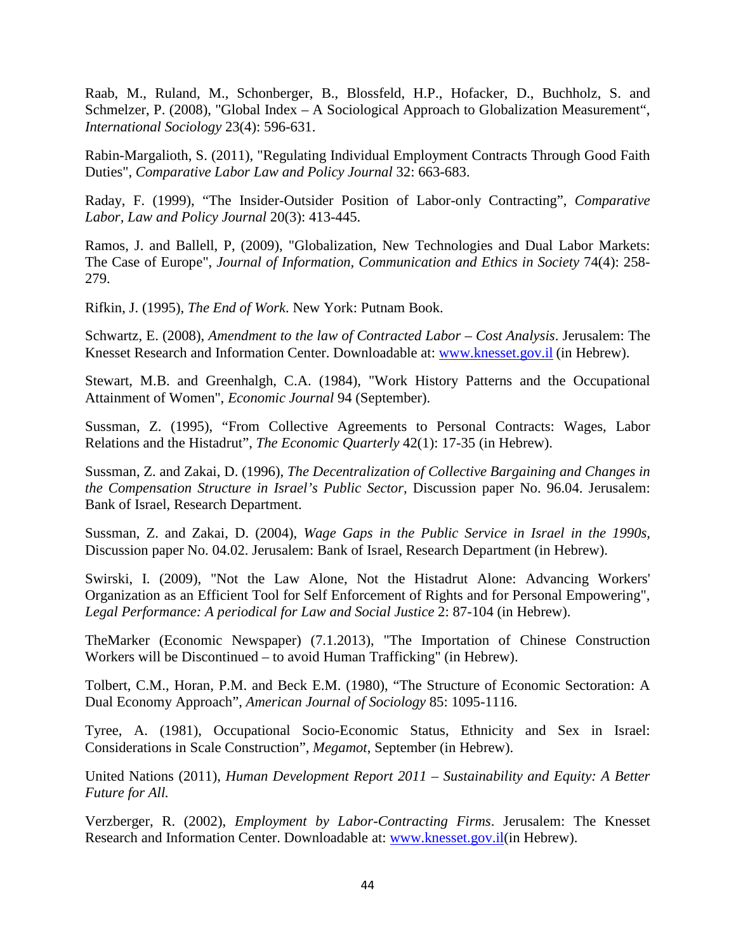Raab, M., Ruland, M., Schonberger, B., Blossfeld, H.P., Hofacker, D., Buchholz, S. and Schmelzer, P. (2008), "Global Index – A Sociological Approach to Globalization Measurement", *International Sociology* 23(4): 596-631.

Rabin-Margalioth, S. (2011), "Regulating Individual Employment Contracts Through Good Faith Duties", *Comparative Labor Law and Policy Journal* 32: 663-683.

Raday, F. (1999), "The Insider-Outsider Position of Labor-only Contracting", *Comparative Labor, Law and Policy Journal* 20(3): 413-445.

Ramos, J. and Ballell, P, (2009), "Globalization, New Technologies and Dual Labor Markets: The Case of Europe", *Journal of Information, Communication and Ethics in Society* 74(4): 258- 279.

Rifkin, J. (1995), *The End of Work*. New York: Putnam Book.

Schwartz, E. (2008), *Amendment to the law of Contracted Labor – Cost Analysis*. Jerusalem: The Knesset Research and Information Center. Downloadable at: [www.knesset.gov.il](http://www.knesset.gov.il/) (in Hebrew).

Stewart, M.B. and Greenhalgh, C.A. (1984), "Work History Patterns and the Occupational Attainment of Women", *Economic Journal* 94 (September).

Sussman, Z. (1995), "From Collective Agreements to Personal Contracts: Wages, Labor Relations and the Histadrut", *The Economic Quarterly* 42(1): 17-35 (in Hebrew).

Sussman, Z. and Zakai, D. (1996), *The Decentralization of Collective Bargaining and Changes in the Compensation Structure in Israel's Public Sector,* Discussion paper No. 96.04. Jerusalem: Bank of Israel, Research Department.

Sussman, Z. and Zakai, D. (2004), *Wage Gaps in the Public Service in Israel in the 1990s,* Discussion paper No. 04.02. Jerusalem: Bank of Israel, Research Department (in Hebrew).

Swirski, I. (2009), "Not the Law Alone, Not the Histadrut Alone: Advancing Workers' Organization as an Efficient Tool for Self Enforcement of Rights and for Personal Empowering", *Legal Performance: A periodical for Law and Social Justice* 2: 87-104 (in Hebrew).

TheMarker (Economic Newspaper) (7.1.2013), "The Importation of Chinese Construction Workers will be Discontinued – to avoid Human Trafficking" (in Hebrew).

Tolbert, C.M., Horan, P.M. and Beck E.M. (1980), "The Structure of Economic Sectoration: A Dual Economy Approach", *American Journal of Sociology* 85: 1095-1116.

Tyree, A. (1981), Occupational Socio-Economic Status, Ethnicity and Sex in Israel: Considerations in Scale Construction", *Megamot*, September (in Hebrew).

United Nations (2011), *Human Development Report 2011 – Sustainability and Equity: A Better Future for All.*

Verzberger, R. (2002), *Employment by Labor-Contracting Firms*. Jerusalem: The Knesset Research and Information Center. Downloadable at: [www.knesset.gov.il\(](http://www.knesset.gov.il/)in Hebrew).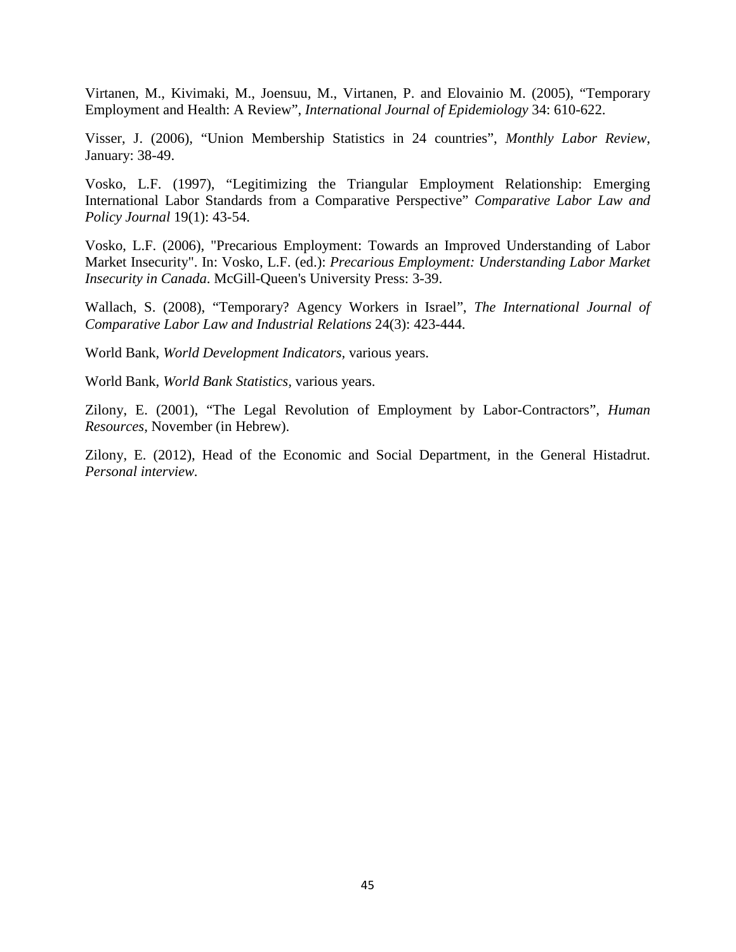Virtanen, M., Kivimaki, M., Joensuu, M., Virtanen, P. and Elovainio M. (2005), "Temporary Employment and Health: A Review", *International Journal of Epidemiology* 34: 610-622.

Visser, J. (2006), "Union Membership Statistics in 24 countries", *Monthly Labor Review*, January: 38-49.

Vosko, L.F. (1997), "Legitimizing the Triangular Employment Relationship: Emerging International Labor Standards from a Comparative Perspective" *Comparative Labor Law and Policy Journal* 19(1): 43-54.

Vosko, L.F. (2006), "Precarious Employment: Towards an Improved Understanding of Labor Market Insecurity". In: Vosko, L.F. (ed.): *Precarious Employment: Understanding Labor Market Insecurity in Canada*. McGill-Queen's University Press: 3-39.

Wallach, S. (2008), "Temporary? Agency Workers in Israel", *The International Journal of Comparative Labor Law and Industrial Relations* 24(3): 423-444.

World Bank, *World Development Indicators,* various years.

World Bank, *World Bank Statistics,* various years.

Zilony, E. (2001), "The Legal Revolution of Employment by Labor-Contractors", *Human Resources*, November (in Hebrew).

Zilony, E. (2012), Head of the Economic and Social Department, in the General Histadrut. *Personal interview.*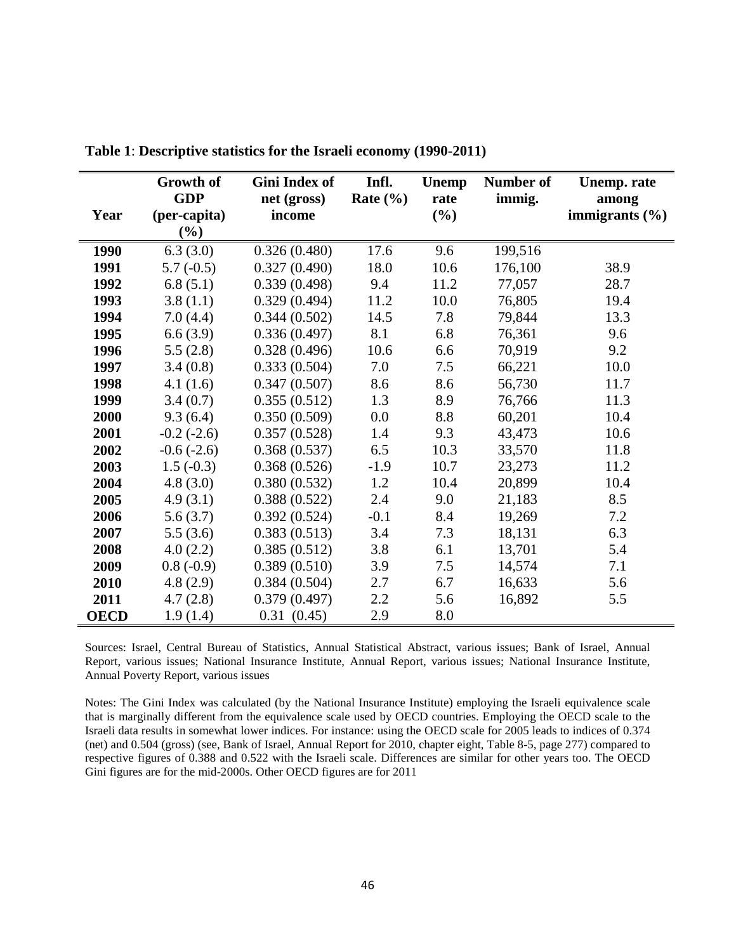|             | Growth of                  | Gini Index of         | Infl.        | <b>Unemp</b>   | <b>Number of</b> | <b>Unemp.</b> rate          |
|-------------|----------------------------|-----------------------|--------------|----------------|------------------|-----------------------------|
| Year        | <b>GDP</b><br>(per-capita) | net (gross)<br>income | Rate $(\% )$ | rate<br>$(\%)$ | immig.           | among<br>immigrants $(\% )$ |
|             | $(\%)$                     |                       |              |                |                  |                             |
| 1990        | 6.3(3.0)                   | 0.326(0.480)          | 17.6         | 9.6            | 199,516          |                             |
| 1991        | $5.7(-0.5)$                | 0.327(0.490)          | 18.0         | 10.6           | 176,100          | 38.9                        |
| 1992        | 6.8(5.1)                   | 0.339(0.498)          | 9.4          | 11.2           | 77,057           | 28.7                        |
| 1993        | 3.8(1.1)                   | 0.329(0.494)          | 11.2         | 10.0           | 76,805           | 19.4                        |
| 1994        | 7.0(4.4)                   | 0.344(0.502)          | 14.5         | 7.8            | 79,844           | 13.3                        |
| 1995        | 6.6(3.9)                   | 0.336(0.497)          | 8.1          | 6.8            | 76,361           | 9.6                         |
| 1996        | 5.5(2.8)                   | 0.328(0.496)          | 10.6         | 6.6            | 70,919           | 9.2                         |
| 1997        | 3.4(0.8)                   | 0.333(0.504)          | 7.0          | 7.5            | 66,221           | 10.0                        |
| 1998        | 4.1(1.6)                   | 0.347(0.507)          | 8.6          | 8.6            | 56,730           | 11.7                        |
| 1999        | 3.4(0.7)                   | 0.355(0.512)          | 1.3          | 8.9            | 76,766           | 11.3                        |
| 2000        | 9.3(6.4)                   | 0.350(0.509)          | 0.0          | 8.8            | 60,201           | 10.4                        |
| 2001        | $-0.2$ $(-2.6)$            | 0.357(0.528)          | 1.4          | 9.3            | 43,473           | 10.6                        |
| 2002        | $-0.6(-2.6)$               | 0.368(0.537)          | 6.5          | 10.3           | 33,570           | 11.8                        |
| 2003        | $1.5(-0.3)$                | 0.368(0.526)          | $-1.9$       | 10.7           | 23,273           | 11.2                        |
| 2004        | 4.8(3.0)                   | 0.380(0.532)          | 1.2          | 10.4           | 20,899           | 10.4                        |
| 2005        | 4.9(3.1)                   | 0.388(0.522)          | 2.4          | 9.0            | 21,183           | 8.5                         |
| 2006        | 5.6(3.7)                   | 0.392(0.524)          | $-0.1$       | 8.4            | 19,269           | 7.2                         |
| 2007        | 5.5(3.6)                   | 0.383(0.513)          | 3.4          | 7.3            | 18,131           | 6.3                         |
| 2008        | 4.0(2.2)                   | 0.385(0.512)          | 3.8          | 6.1            | 13,701           | 5.4                         |
| 2009        | $0.8(-0.9)$                | 0.389(0.510)          | 3.9          | 7.5            | 14,574           | 7.1                         |
| 2010        | 4.8(2.9)                   | 0.384(0.504)          | 2.7          | 6.7            | 16,633           | 5.6                         |
| 2011        | 4.7(2.8)                   | 0.379(0.497)          | 2.2          | 5.6            | 16,892           | 5.5                         |
| <b>OECD</b> | 1.9(1.4)                   | 0.31(0.45)            | 2.9          | 8.0            |                  |                             |

**Table 1**: **Descriptive statistics for the Israeli economy (1990-2011)**

Sources: Israel, Central Bureau of Statistics, Annual Statistical Abstract, various issues; Bank of Israel, Annual Report, various issues; National Insurance Institute, Annual Report, various issues; National Insurance Institute, Annual Poverty Report, various issues

Notes: The Gini Index was calculated (by the National Insurance Institute) employing the Israeli equivalence scale that is marginally different from the equivalence scale used by OECD countries. Employing the OECD scale to the Israeli data results in somewhat lower indices. For instance: using the OECD scale for 2005 leads to indices of 0.374 (net) and 0.504 (gross) (see, Bank of Israel, Annual Report for 2010, chapter eight, Table 8-5, page 277) compared to respective figures of 0.388 and 0.522 with the Israeli scale. Differences are similar for other years too. The OECD Gini figures are for the mid-2000s. Other OECD figures are for 2011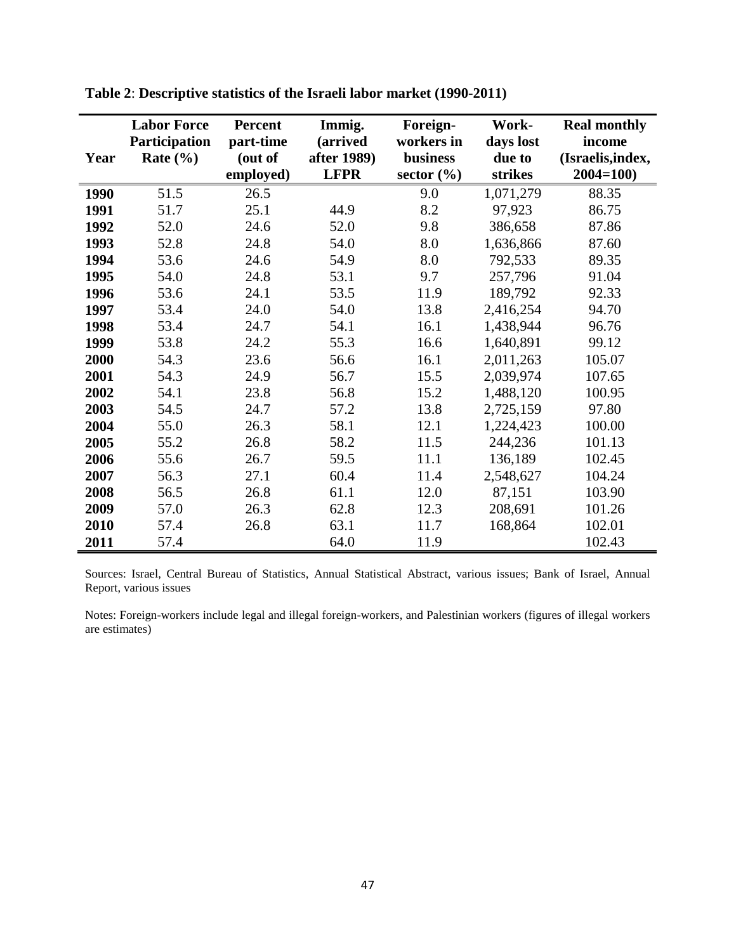|      | <b>Labor Force</b> | <b>Percent</b> | Immig.      | Foreign-       | Work-     | <b>Real monthly</b> |
|------|--------------------|----------------|-------------|----------------|-----------|---------------------|
|      | Participation      | part-time      | (arrived    | workers in     | days lost | income              |
| Year | Rate $(\% )$       | (out of        | after 1989) | business       | due to    | (Israelis, index,   |
|      |                    | employed)      | <b>LFPR</b> | sector $(\% )$ | strikes   | $2004 = 100$        |
| 1990 | 51.5               | 26.5           |             | 9.0            | 1,071,279 | 88.35               |
| 1991 | 51.7               | 25.1           | 44.9        | 8.2            | 97,923    | 86.75               |
| 1992 | 52.0               | 24.6           | 52.0        | 9.8            | 386,658   | 87.86               |
| 1993 | 52.8               | 24.8           | 54.0        | 8.0            | 1,636,866 | 87.60               |
| 1994 | 53.6               | 24.6           | 54.9        | 8.0            | 792,533   | 89.35               |
| 1995 | 54.0               | 24.8           | 53.1        | 9.7            | 257,796   | 91.04               |
| 1996 | 53.6               | 24.1           | 53.5        | 11.9           | 189,792   | 92.33               |
| 1997 | 53.4               | 24.0           | 54.0        | 13.8           | 2,416,254 | 94.70               |
| 1998 | 53.4               | 24.7           | 54.1        | 16.1           | 1,438,944 | 96.76               |
| 1999 | 53.8               | 24.2           | 55.3        | 16.6           | 1,640,891 | 99.12               |
| 2000 | 54.3               | 23.6           | 56.6        | 16.1           | 2,011,263 | 105.07              |
| 2001 | 54.3               | 24.9           | 56.7        | 15.5           | 2,039,974 | 107.65              |
| 2002 | 54.1               | 23.8           | 56.8        | 15.2           | 1,488,120 | 100.95              |
| 2003 | 54.5               | 24.7           | 57.2        | 13.8           | 2,725,159 | 97.80               |
| 2004 | 55.0               | 26.3           | 58.1        | 12.1           | 1,224,423 | 100.00              |
| 2005 | 55.2               | 26.8           | 58.2        | 11.5           | 244,236   | 101.13              |
| 2006 | 55.6               | 26.7           | 59.5        | 11.1           | 136,189   | 102.45              |
| 2007 | 56.3               | 27.1           | 60.4        | 11.4           | 2,548,627 | 104.24              |
| 2008 | 56.5               | 26.8           | 61.1        | 12.0           | 87,151    | 103.90              |
| 2009 | 57.0               | 26.3           | 62.8        | 12.3           | 208,691   | 101.26              |
| 2010 | 57.4               | 26.8           | 63.1        | 11.7           | 168,864   | 102.01              |
| 2011 | 57.4               |                | 64.0        | 11.9           |           | 102.43              |

**Table 2**: **Descriptive statistics of the Israeli labor market (1990-2011)**

Sources: Israel, Central Bureau of Statistics, Annual Statistical Abstract, various issues; Bank of Israel, Annual Report, various issues

Notes: Foreign-workers include legal and illegal foreign-workers, and Palestinian workers (figures of illegal workers are estimates)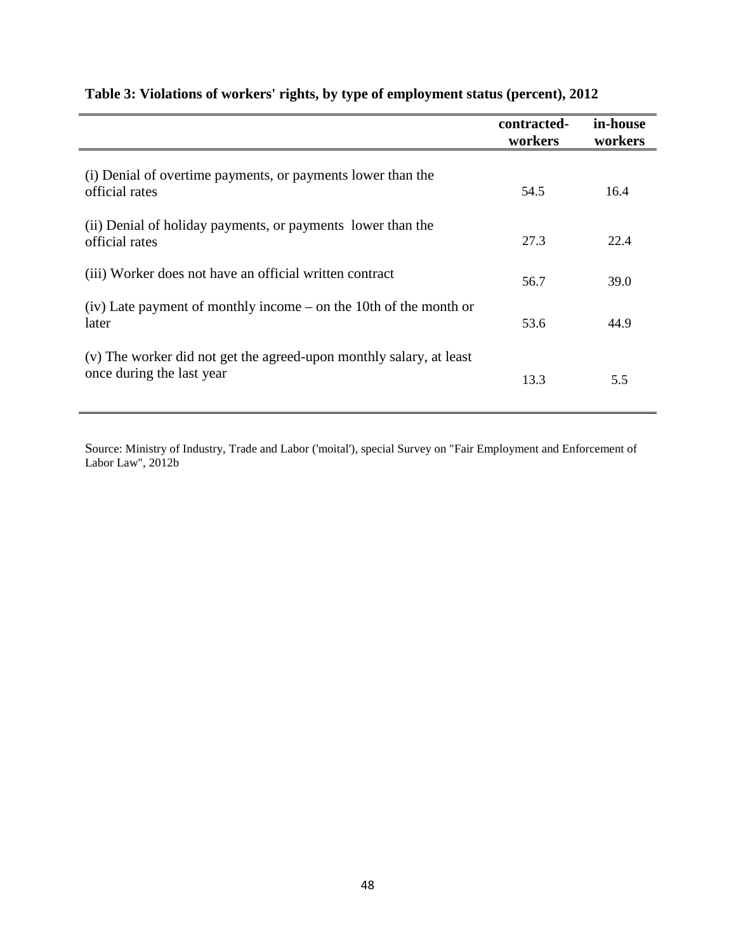|                                                                                                  | contracted-<br>workers | in-house<br>workers |
|--------------------------------------------------------------------------------------------------|------------------------|---------------------|
| (i) Denial of overtime payments, or payments lower than the<br>official rates                    | 54.5                   | 16.4                |
| (ii) Denial of holiday payments, or payments lower than the<br>official rates                    | 27.3                   | 22.4                |
| (iii) Worker does not have an official written contract                                          | 56.7                   | 39.0                |
| $(iv)$ Late payment of monthly income – on the 10th of the month or<br>later                     | 53.6                   | 44.9                |
| (v) The worker did not get the agreed-upon monthly salary, at least<br>once during the last year | 13.3                   | 5.5                 |

## **Table 3: Violations of workers' rights, by type of employment status (percent), 2012**

Source: Ministry of Industry, Trade and Labor ('moital'), special Survey on "Fair Employment and Enforcement of Labor Law", 2012b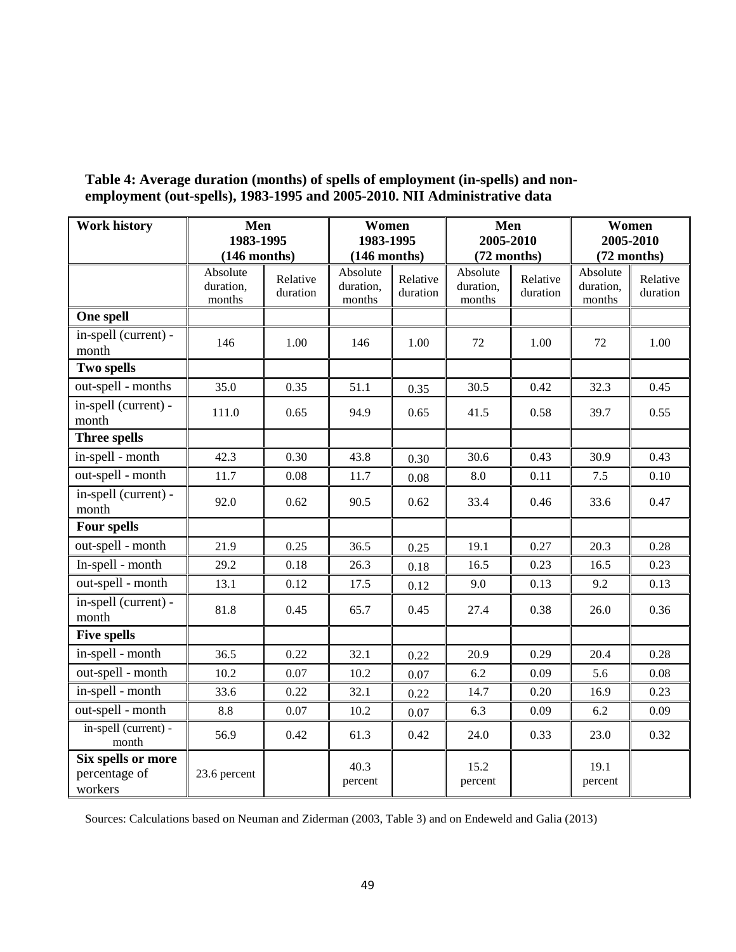| <b>Work history</b>                            | Men                             |                      | Women                           |                      | Men                             |                      | Women                           |                      |
|------------------------------------------------|---------------------------------|----------------------|---------------------------------|----------------------|---------------------------------|----------------------|---------------------------------|----------------------|
|                                                | 1983-1995<br>$(146$ months)     |                      | 1983-1995<br>$(146$ months)     |                      | 2005-2010<br>(72 months)        |                      | 2005-2010<br>(72 months)        |                      |
|                                                | Absolute<br>duration,<br>months | Relative<br>duration | Absolute<br>duration,<br>months | Relative<br>duration | Absolute<br>duration,<br>months | Relative<br>duration | Absolute<br>duration,<br>months | Relative<br>duration |
| One spell                                      |                                 |                      |                                 |                      |                                 |                      |                                 |                      |
| in-spell (current) -<br>month                  | 146                             | 1.00                 | 146                             | 1.00                 | 72                              | 1.00                 | 72                              | 1.00                 |
| Two spells                                     |                                 |                      |                                 |                      |                                 |                      |                                 |                      |
| out-spell - months                             | 35.0                            | 0.35                 | 51.1                            | 0.35                 | 30.5                            | 0.42                 | 32.3                            | 0.45                 |
| in-spell (current) -<br>month                  | 111.0                           | 0.65                 | 94.9                            | 0.65                 | 41.5                            | 0.58                 | 39.7                            | 0.55                 |
| <b>Three spells</b>                            |                                 |                      |                                 |                      |                                 |                      |                                 |                      |
| in-spell - month                               | 42.3                            | 0.30                 | 43.8                            | 0.30                 | 30.6                            | 0.43                 | 30.9                            | 0.43                 |
| out-spell - month                              | 11.7                            | 0.08                 | 11.7                            | 0.08                 | 8.0                             | 0.11                 | 7.5                             | 0.10                 |
| in-spell (current) -<br>month                  | 92.0                            | 0.62                 | 90.5                            | 0.62                 | 33.4                            | 0.46                 | 33.6                            | 0.47                 |
| Four spells                                    |                                 |                      |                                 |                      |                                 |                      |                                 |                      |
| out-spell - month                              | 21.9                            | 0.25                 | 36.5                            | 0.25                 | 19.1                            | 0.27                 | 20.3                            | 0.28                 |
| In-spell - month                               | 29.2                            | 0.18                 | 26.3                            | 0.18                 | 16.5                            | 0.23                 | 16.5                            | 0.23                 |
| out-spell - month                              | 13.1                            | 0.12                 | 17.5                            | 0.12                 | 9.0                             | 0.13                 | 9.2                             | 0.13                 |
| in-spell (current) -<br>month                  | 81.8                            | 0.45                 | 65.7                            | 0.45                 | 27.4                            | 0.38                 | 26.0                            | 0.36                 |
| Five spells                                    |                                 |                      |                                 |                      |                                 |                      |                                 |                      |
| in-spell - month                               | 36.5                            | 0.22                 | 32.1                            | 0.22                 | 20.9                            | 0.29                 | 20.4                            | 0.28                 |
| out-spell - month                              | 10.2                            | 0.07                 | 10.2                            | 0.07                 | 6.2                             | 0.09                 | 5.6                             | 0.08                 |
| in-spell - month                               | 33.6                            | 0.22                 | 32.1                            | 0.22                 | 14.7                            | 0.20                 | 16.9                            | 0.23                 |
| out-spell - month                              | $\!\!\!\!\!8.8$                 | 0.07                 | $10.2\,$                        | 0.07                 | 6.3                             | 0.09                 | 6.2                             | 0.09                 |
| in-spell (current) -<br>month                  | 56.9                            | 0.42                 | 61.3                            | 0.42                 | 24.0                            | 0.33                 | 23.0                            | 0.32                 |
| Six spells or more<br>percentage of<br>workers | 23.6 percent                    |                      | 40.3<br>percent                 |                      | 15.2<br>percent                 |                      | 19.1<br>percent                 |                      |

### **Table 4: Average duration (months) of spells of employment (in-spells) and nonemployment (out-spells), 1983-1995 and 2005-2010. NII Administrative data**

<span id="page-50-0"></span>Sources: Calculations based on Neuman and Ziderman (2003, Table 3) and on Endeweld and Galia (2013)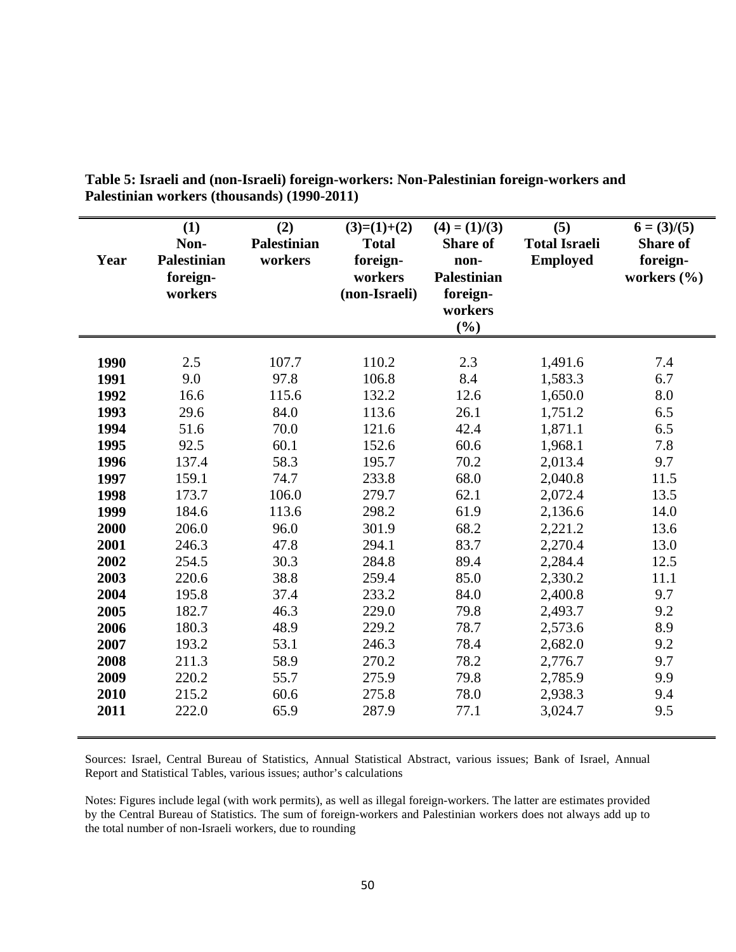| Year | (1)<br>Non-<br><b>Palestinian</b><br>foreign-<br>workers | (2)<br><b>Palestinian</b><br>workers | $(3)=(1)+(2)$<br><b>Total</b><br>foreign-<br>workers<br>(non-Israeli) | $(4) = (1)/(3)$<br><b>Share of</b><br>non-<br><b>Palestinian</b><br>foreign-<br>workers<br>(%) | (5)<br><b>Total Israeli</b><br><b>Employed</b> | $6 = (3)/(5)$<br><b>Share of</b><br>foreign-<br>workers $(\% )$ |
|------|----------------------------------------------------------|--------------------------------------|-----------------------------------------------------------------------|------------------------------------------------------------------------------------------------|------------------------------------------------|-----------------------------------------------------------------|
| 1990 | 2.5                                                      | 107.7                                | 110.2                                                                 | 2.3                                                                                            | 1,491.6                                        | 7.4                                                             |
| 1991 | 9.0                                                      | 97.8                                 | 106.8                                                                 | 8.4                                                                                            | 1,583.3                                        | 6.7                                                             |
| 1992 | 16.6                                                     | 115.6                                | 132.2                                                                 | 12.6                                                                                           | 1,650.0                                        | 8.0                                                             |
| 1993 | 29.6                                                     | 84.0                                 | 113.6                                                                 | 26.1                                                                                           | 1,751.2                                        | 6.5                                                             |
| 1994 | 51.6                                                     | 70.0                                 | 121.6                                                                 | 42.4                                                                                           | 1,871.1                                        | 6.5                                                             |
| 1995 | 92.5                                                     | 60.1                                 | 152.6                                                                 | 60.6                                                                                           | 1,968.1                                        | 7.8                                                             |
| 1996 | 137.4                                                    | 58.3                                 | 195.7                                                                 | 70.2                                                                                           | 2,013.4                                        | 9.7                                                             |
| 1997 | 159.1                                                    | 74.7                                 | 233.8                                                                 | 68.0                                                                                           | 2,040.8                                        | 11.5                                                            |
| 1998 | 173.7                                                    | 106.0                                | 279.7                                                                 | 62.1                                                                                           | 2,072.4                                        | 13.5                                                            |
| 1999 | 184.6                                                    | 113.6                                | 298.2                                                                 | 61.9                                                                                           | 2,136.6                                        | 14.0                                                            |
| 2000 | 206.0                                                    | 96.0                                 | 301.9                                                                 | 68.2                                                                                           | 2,221.2                                        | 13.6                                                            |
| 2001 | 246.3                                                    | 47.8                                 | 294.1                                                                 | 83.7                                                                                           | 2,270.4                                        | 13.0                                                            |
| 2002 | 254.5                                                    | 30.3                                 | 284.8                                                                 | 89.4                                                                                           | 2,284.4                                        | 12.5                                                            |
| 2003 | 220.6                                                    | 38.8                                 | 259.4                                                                 | 85.0                                                                                           | 2,330.2                                        | 11.1                                                            |
| 2004 | 195.8                                                    | 37.4                                 | 233.2                                                                 | 84.0                                                                                           | 2,400.8                                        | 9.7                                                             |
| 2005 | 182.7                                                    | 46.3                                 | 229.0                                                                 | 79.8                                                                                           | 2,493.7                                        | 9.2                                                             |
| 2006 | 180.3                                                    | 48.9                                 | 229.2                                                                 | 78.7                                                                                           | 2,573.6                                        | 8.9                                                             |
| 2007 | 193.2                                                    | 53.1                                 | 246.3                                                                 | 78.4                                                                                           | 2,682.0                                        | 9.2                                                             |
| 2008 | 211.3                                                    | 58.9                                 | 270.2                                                                 | 78.2                                                                                           | 2,776.7                                        | 9.7                                                             |
| 2009 | 220.2                                                    | 55.7                                 | 275.9                                                                 | 79.8                                                                                           | 2,785.9                                        | 9.9                                                             |
| 2010 | 215.2                                                    | 60.6                                 | 275.8                                                                 | 78.0                                                                                           | 2,938.3                                        | 9.4                                                             |
| 2011 | 222.0                                                    | 65.9                                 | 287.9                                                                 | 77.1                                                                                           | 3,024.7                                        | 9.5                                                             |

**Table 5: Israeli and (non-Israeli) foreign-workers: Non-Palestinian foreign-workers and Palestinian workers (thousands) (1990-2011)**

Sources: Israel, Central Bureau of Statistics, Annual Statistical Abstract, various issues; Bank of Israel, Annual Report and Statistical Tables, various issues; author's calculations

Notes: Figures include legal (with work permits), as well as illegal foreign-workers. The latter are estimates provided by the Central Bureau of Statistics. The sum of foreign-workers and Palestinian workers does not always add up to the total number of non-Israeli workers, due to rounding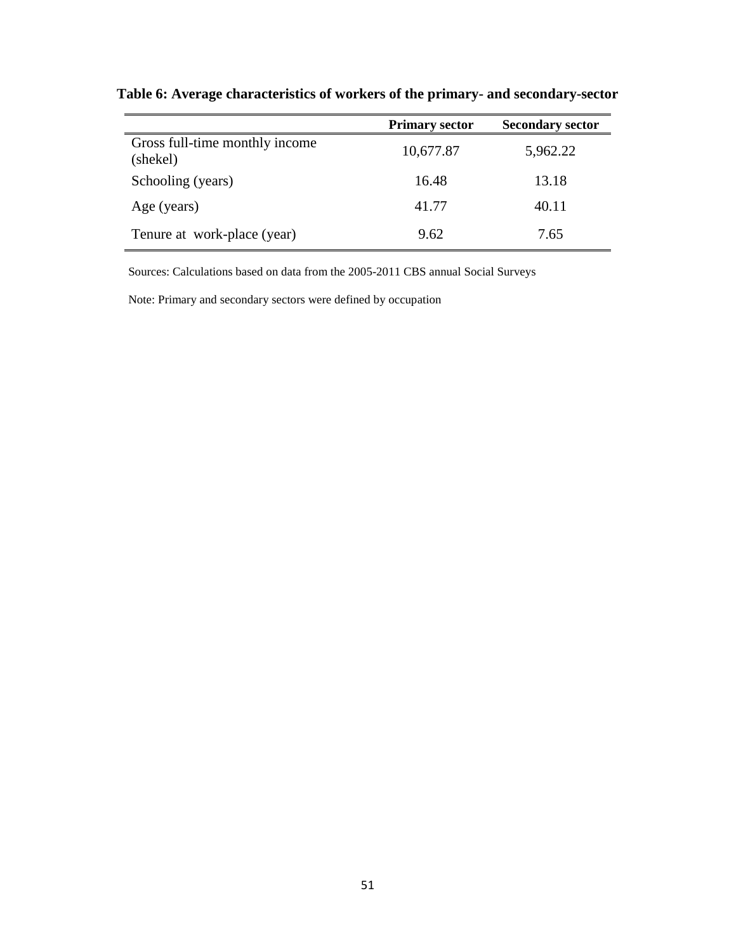|                                            | <b>Primary sector</b> | <b>Secondary sector</b> |
|--------------------------------------------|-----------------------|-------------------------|
| Gross full-time monthly income<br>(shekel) | 10,677.87             | 5,962.22                |
| Schooling (years)                          | 16.48                 | 13.18                   |
| Age (years)                                | 41.77                 | 40.11                   |
| Tenure at work-place (year)                | 9.62                  | 7.65                    |

**Table 6: Average characteristics of workers of the primary- and secondary-sector**

Sources: Calculations based on data from the 2005-2011 CBS annual Social Surveys

Note: Primary and secondary sectors were defined by occupation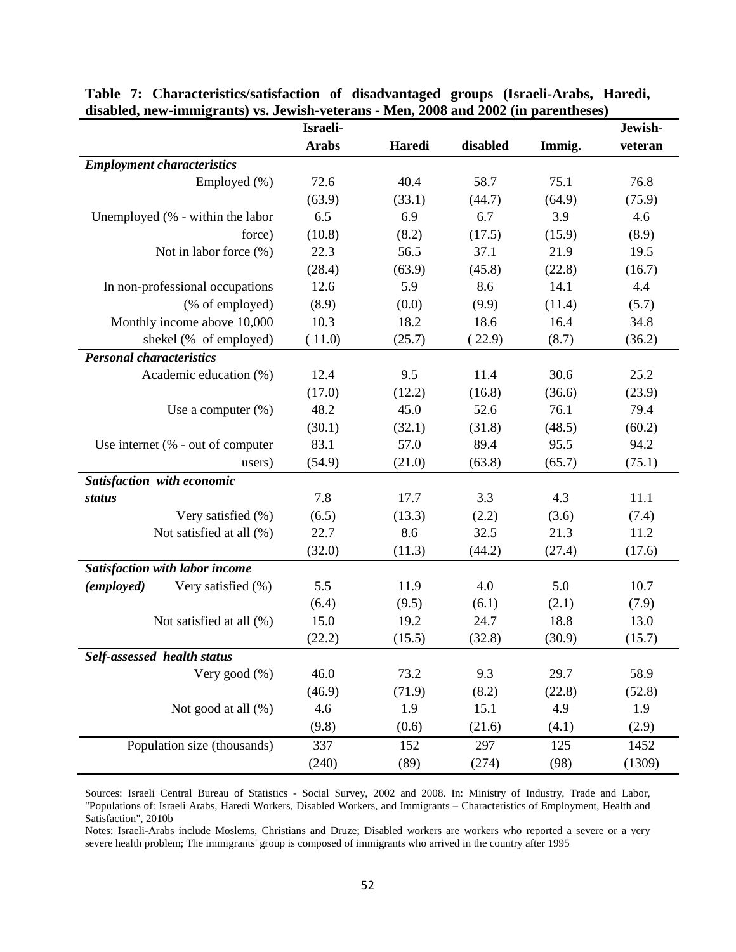| $\alpha$ and $\alpha$ in the contract and $\alpha$ is the contract of the contract of the contract of $\alpha$ in the contract of | Israeli-     |        |          |        | Jewish- |
|-----------------------------------------------------------------------------------------------------------------------------------|--------------|--------|----------|--------|---------|
|                                                                                                                                   | <b>Arabs</b> | Haredi | disabled | Immig. | veteran |
| <b>Employment characteristics</b>                                                                                                 |              |        |          |        |         |
| Employed (%)                                                                                                                      | 72.6         | 40.4   | 58.7     | 75.1   | 76.8    |
|                                                                                                                                   | (63.9)       | (33.1) | (44.7)   | (64.9) | (75.9)  |
| Unemployed (% - within the labor                                                                                                  | 6.5          | 6.9    | 6.7      | 3.9    | 4.6     |
| force)                                                                                                                            | (10.8)       | (8.2)  | (17.5)   | (15.9) | (8.9)   |
| Not in labor force (%)                                                                                                            | 22.3         | 56.5   | 37.1     | 21.9   | 19.5    |
|                                                                                                                                   | (28.4)       | (63.9) | (45.8)   | (22.8) | (16.7)  |
| In non-professional occupations                                                                                                   | 12.6         | 5.9    | 8.6      | 14.1   | 4.4     |
| (% of employed)                                                                                                                   | (8.9)        | (0.0)  | (9.9)    | (11.4) | (5.7)   |
| Monthly income above 10,000                                                                                                       | 10.3         | 18.2   | 18.6     | 16.4   | 34.8    |
| shekel (% of employed)                                                                                                            | (11.0)       | (25.7) | (22.9)   | (8.7)  | (36.2)  |
| <b>Personal characteristics</b>                                                                                                   |              |        |          |        |         |
| Academic education (%)                                                                                                            | 12.4         | 9.5    | 11.4     | 30.6   | 25.2    |
|                                                                                                                                   | (17.0)       | (12.2) | (16.8)   | (36.6) | (23.9)  |
| Use a computer $(\%)$                                                                                                             | 48.2         | 45.0   | 52.6     | 76.1   | 79.4    |
|                                                                                                                                   | (30.1)       | (32.1) | (31.8)   | (48.5) | (60.2)  |
| Use internet (% - out of computer                                                                                                 | 83.1         | 57.0   | 89.4     | 95.5   | 94.2    |
| users)                                                                                                                            | (54.9)       | (21.0) | (63.8)   | (65.7) | (75.1)  |
| Satisfaction with economic                                                                                                        |              |        |          |        |         |
| status                                                                                                                            | 7.8          | 17.7   | 3.3      | 4.3    | 11.1    |
| Very satisfied (%)                                                                                                                | (6.5)        | (13.3) | (2.2)    | (3.6)  | (7.4)   |
| Not satisfied at all (%)                                                                                                          | 22.7         | 8.6    | 32.5     | 21.3   | 11.2    |
|                                                                                                                                   | (32.0)       | (11.3) | (44.2)   | (27.4) | (17.6)  |
| <b>Satisfaction with labor income</b>                                                                                             |              |        |          |        |         |
| <i>(employed)</i><br>Very satisfied (%)                                                                                           | 5.5          | 11.9   | 4.0      | 5.0    | 10.7    |
|                                                                                                                                   | (6.4)        | (9.5)  | (6.1)    | (2.1)  | (7.9)   |
| Not satisfied at all (%)                                                                                                          | 15.0         | 19.2   | 24.7     | 18.8   | 13.0    |
|                                                                                                                                   | (22.2)       | (15.5) | (32.8)   | (30.9) | (15.7)  |
| Self-assessed health status                                                                                                       |              |        |          |        |         |
| Very good $(\%)$                                                                                                                  | 46.0         | 73.2   | 9.3      | 29.7   | 58.9    |
|                                                                                                                                   | (46.9)       | (71.9) | (8.2)    | (22.8) | (52.8)  |
| Not good at all (%)                                                                                                               | 4.6          | 1.9    | 15.1     | 4.9    | 1.9     |
|                                                                                                                                   | (9.8)        | (0.6)  | (21.6)   | (4.1)  | (2.9)   |
| Population size (thousands)                                                                                                       | 337          | 152    | 297      | 125    | 1452    |
|                                                                                                                                   | (240)        | (89)   | (274)    | (98)   | (1309)  |

**Table 7: Characteristics/satisfaction of disadvantaged groups (Israeli-Arabs, Haredi, disabled, new-immigrants) vs. Jewish-veterans - Men, 2008 and 2002 (in parentheses)**

Sources: Israeli Central Bureau of Statistics - Social Survey, 2002 and 2008. In: Ministry of Industry, Trade and Labor, "Populations of: Israeli Arabs, Haredi Workers, Disabled Workers, and Immigrants – Characteristics of Employment, Health and Satisfaction", 2010b

Notes: Israeli-Arabs include Moslems, Christians and Druze; Disabled workers are workers who reported a severe or a very severe health problem; The immigrants' group is composed of immigrants who arrived in the country after 1995